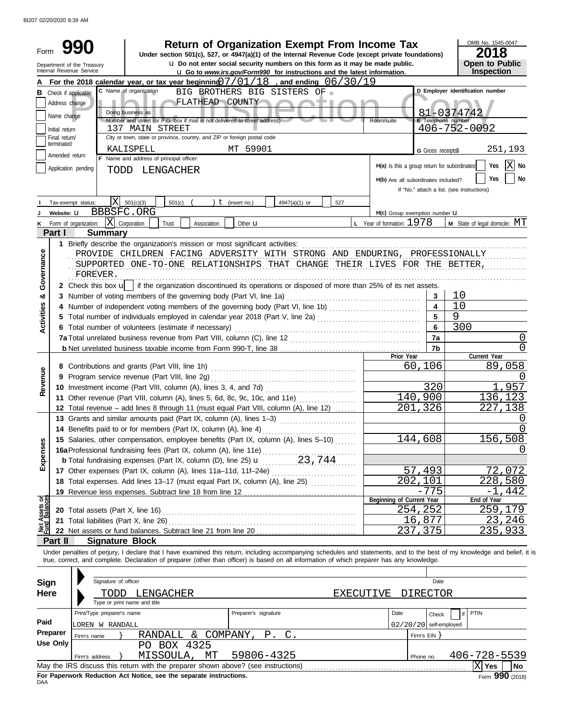BI207 02/20/2020 8:39 AM

| Form                                                                                     |                 |                                                        |                                                                                                                                                                                                                                |                 |                      | <b>Return of Organization Exempt From Income Tax</b><br>Under section 501(c), 527, or 4947(a)(1) of the Internal Revenue Code (except private foundations)       |     |                  |                                |                          | OMB No. 1545-0047<br>2018                  |                  |
|------------------------------------------------------------------------------------------|-----------------|--------------------------------------------------------|--------------------------------------------------------------------------------------------------------------------------------------------------------------------------------------------------------------------------------|-----------------|----------------------|------------------------------------------------------------------------------------------------------------------------------------------------------------------|-----|------------------|--------------------------------|--------------------------|--------------------------------------------|------------------|
|                                                                                          |                 | Department of the Treasury<br>Internal Revenue Service |                                                                                                                                                                                                                                |                 |                      | u Do not enter social security numbers on this form as it may be made public.<br><b>u</b> Go to www.irs.gov/Form990 for instructions and the latest information. |     |                  |                                |                          | <b>Open to Public</b><br>Inspection        |                  |
|                                                                                          |                 |                                                        | For the 2018 calendar year, or tax year beginning $7/01/18$ , and ending $06/30/19$                                                                                                                                            |                 |                      |                                                                                                                                                                  |     |                  |                                |                          |                                            |                  |
| в                                                                                        |                 | Check if applicable:                                   | C Name of organization                                                                                                                                                                                                         |                 |                      | BIG BROTHERS BIG SISTERS OF                                                                                                                                      |     |                  |                                |                          | D Employer identification number           |                  |
|                                                                                          | Address change  |                                                        |                                                                                                                                                                                                                                | FLATHEAD COUNTY |                      |                                                                                                                                                                  | --  |                  |                                |                          |                                            |                  |
|                                                                                          | Name change     |                                                        | Doing business as                                                                                                                                                                                                              |                 |                      |                                                                                                                                                                  |     |                  |                                |                          | 81-0374742                                 |                  |
|                                                                                          | Initial return  |                                                        | Number and street (or P.O. box if mail is not delivered to street address)<br>137 MAIN STREET                                                                                                                                  |                 |                      |                                                                                                                                                                  |     |                  | Room/suite                     | E Telephone number       | $406 - 752 - 0092$                         |                  |
|                                                                                          | Final return/   |                                                        | City or town, state or province, country, and ZIP or foreign postal code                                                                                                                                                       |                 |                      |                                                                                                                                                                  |     |                  |                                |                          |                                            |                  |
|                                                                                          | terminated      |                                                        | KALISPELL                                                                                                                                                                                                                      |                 | MT 59901             |                                                                                                                                                                  |     |                  |                                | G Gross receipts\$       |                                            | 251,193          |
|                                                                                          | Amended return  |                                                        | F Name and address of principal officer:                                                                                                                                                                                       |                 |                      |                                                                                                                                                                  |     |                  |                                |                          |                                            |                  |
| H(a) Is this a group return for subordinates<br>Application pending<br>LENGACHER<br>TODD |                 |                                                        |                                                                                                                                                                                                                                |                 |                      |                                                                                                                                                                  |     |                  |                                |                          | $ X $ No<br>Yes                            |                  |
| H(b) Are all subordinates included?                                                      |                 |                                                        |                                                                                                                                                                                                                                |                 |                      |                                                                                                                                                                  |     |                  |                                |                          | Yes<br>No                                  |                  |
|                                                                                          |                 |                                                        |                                                                                                                                                                                                                                |                 |                      |                                                                                                                                                                  |     |                  |                                |                          | If "No," attach a list. (see instructions) |                  |
|                                                                                          |                 | X <br>Tax-exempt status:                               | 501(c)(3)<br>501(c)                                                                                                                                                                                                            |                 | $t$ (insert no.)     | 4947(a)(1) or                                                                                                                                                    | 527 |                  |                                |                          |                                            |                  |
|                                                                                          | Website: U      | BBBSFC.ORG                                             |                                                                                                                                                                                                                                |                 |                      |                                                                                                                                                                  |     |                  | H(c) Group exemption number LI |                          |                                            |                  |
| κ                                                                                        |                 | $\mathbf{X}$ Corporation<br>Form of organization:      | Trust                                                                                                                                                                                                                          | Association     | Other <b>u</b>       |                                                                                                                                                                  |     |                  | L Year of formation: 1978      |                          | <b>M</b> State of legal domicile: $MT$     |                  |
|                                                                                          | Part I          | <b>Summary</b>                                         |                                                                                                                                                                                                                                |                 |                      |                                                                                                                                                                  |     |                  |                                |                          |                                            |                  |
|                                                                                          |                 |                                                        | 1 Briefly describe the organization's mission or most significant activities:                                                                                                                                                  |                 |                      |                                                                                                                                                                  |     |                  |                                |                          |                                            |                  |
| Governance                                                                               |                 |                                                        | PROVIDE CHILDREN FACING ADVERSITY WITH STRONG AND ENDURING, PROFESSIONALLY                                                                                                                                                     |                 |                      |                                                                                                                                                                  |     |                  |                                |                          |                                            |                  |
|                                                                                          |                 |                                                        | SUPPORTED ONE-TO-ONE RELATIONSHIPS THAT CHANGE THEIR LIVES FOR THE BETTER,                                                                                                                                                     |                 |                      |                                                                                                                                                                  |     |                  |                                |                          |                                            |                  |
|                                                                                          |                 | FOREVER.                                               |                                                                                                                                                                                                                                |                 |                      |                                                                                                                                                                  |     |                  |                                |                          |                                            |                  |
|                                                                                          |                 |                                                        | 2 Check this box $\mathbf{u}$   if the organization discontinued its operations or disposed of more than 25% of its net assets.                                                                                                |                 |                      |                                                                                                                                                                  |     |                  |                                |                          |                                            |                  |
| ఱ                                                                                        |                 |                                                        | 3 Number of voting members of the governing body (Part VI, line 1a)                                                                                                                                                            |                 |                      |                                                                                                                                                                  |     |                  |                                | 3                        | 10                                         |                  |
|                                                                                          |                 |                                                        |                                                                                                                                                                                                                                |                 |                      |                                                                                                                                                                  |     |                  |                                |                          | 10                                         |                  |
| Activities                                                                               |                 |                                                        |                                                                                                                                                                                                                                |                 |                      |                                                                                                                                                                  |     |                  |                                |                          | 9                                          |                  |
|                                                                                          |                 |                                                        | 6 Total number of volunteers (estimate if necessary)                                                                                                                                                                           |                 |                      |                                                                                                                                                                  |     |                  |                                | 6                        | 300                                        |                  |
|                                                                                          |                 |                                                        |                                                                                                                                                                                                                                |                 |                      |                                                                                                                                                                  |     |                  |                                | 7a                       |                                            | 0                |
|                                                                                          |                 |                                                        |                                                                                                                                                                                                                                |                 |                      |                                                                                                                                                                  |     |                  | Prior Year                     | 7b                       | Current Year                               |                  |
|                                                                                          |                 |                                                        |                                                                                                                                                                                                                                |                 |                      |                                                                                                                                                                  |     |                  |                                | 60,106                   |                                            | 89,058           |
|                                                                                          |                 |                                                        | 9 Program service revenue (Part VIII, line 2g)                                                                                                                                                                                 |                 |                      |                                                                                                                                                                  |     |                  |                                |                          |                                            | $\left( \right)$ |
| Revenue                                                                                  |                 |                                                        | 10 Investment income (Part VIII, column (A), lines 3, 4, and 7d)                                                                                                                                                               |                 |                      |                                                                                                                                                                  |     |                  |                                | 320                      |                                            | 1,957            |
|                                                                                          |                 |                                                        | 11 Other revenue (Part VIII, column (A), lines 5, 6d, 8c, 9c, 10c, and 11e)                                                                                                                                                    |                 |                      |                                                                                                                                                                  |     |                  |                                | 140,900                  |                                            | 136,123          |
|                                                                                          |                 |                                                        | 12 Total revenue - add lines 8 through 11 (must equal Part VIII, column (A), line 12)                                                                                                                                          |                 |                      |                                                                                                                                                                  |     |                  | 201                            | 326                      |                                            | 227,138          |
|                                                                                          |                 |                                                        | 13 Grants and similar amounts paid (Part IX, column (A), lines 1-3)                                                                                                                                                            |                 |                      |                                                                                                                                                                  |     |                  |                                |                          |                                            | $\left( \right)$ |
|                                                                                          |                 |                                                        | 14 Benefits paid to or for members (Part IX, column (A), line 4)                                                                                                                                                               |                 |                      |                                                                                                                                                                  |     |                  |                                |                          |                                            | 0                |
|                                                                                          |                 |                                                        | 15 Salaries, other compensation, employee benefits (Part IX, column (A), lines 5-10)                                                                                                                                           |                 |                      |                                                                                                                                                                  |     |                  |                                | 144,608                  |                                            | 156,508          |
| Expenses                                                                                 |                 |                                                        |                                                                                                                                                                                                                                |                 |                      |                                                                                                                                                                  |     |                  |                                |                          |                                            |                  |
|                                                                                          |                 |                                                        | <b>b</b> Total fundraising expenses (Part IX, column (D), line 25) <b>u</b>                                                                                                                                                    |                 |                      | 23,744                                                                                                                                                           |     |                  |                                |                          |                                            |                  |
|                                                                                          |                 |                                                        | 17 Other expenses (Part IX, column (A), lines 11a-11d, 11f-24e)                                                                                                                                                                |                 |                      |                                                                                                                                                                  |     |                  |                                | 57,493                   |                                            | 72,072           |
|                                                                                          |                 |                                                        | 18 Total expenses. Add lines 13-17 (must equal Part IX, column (A), line 25)                                                                                                                                                   |                 |                      |                                                                                                                                                                  |     |                  |                                | 202,101                  |                                            | 228,580          |
|                                                                                          |                 |                                                        | 19 Revenue less expenses. Subtract line 18 from line 12 [11] revenues contained to the set of the set of the set of the set of the set of the set of the set of the set of the set of the set of the set of the set of the set |                 |                      |                                                                                                                                                                  |     |                  |                                | $-775$                   |                                            | -1,442           |
| Net Assets or<br>Fund Balances                                                           |                 |                                                        |                                                                                                                                                                                                                                |                 |                      |                                                                                                                                                                  |     |                  | Beginning of Current Year      | 254,252                  | End of Year                                | 259,179          |
|                                                                                          |                 |                                                        |                                                                                                                                                                                                                                |                 |                      |                                                                                                                                                                  |     |                  |                                | 16,877                   |                                            | 23,246           |
|                                                                                          |                 |                                                        |                                                                                                                                                                                                                                |                 |                      |                                                                                                                                                                  |     |                  |                                | 237,375                  |                                            | 235,933          |
|                                                                                          | Part II         | <b>Signature Block</b>                                 |                                                                                                                                                                                                                                |                 |                      |                                                                                                                                                                  |     |                  |                                |                          |                                            |                  |
|                                                                                          |                 |                                                        | Under penalties of perjury, I declare that I have examined this return, including accompanying schedules and statements, and to the best of my knowledge and belief, it is                                                     |                 |                      |                                                                                                                                                                  |     |                  |                                |                          |                                            |                  |
|                                                                                          |                 |                                                        | true, correct, and complete. Declaration of preparer (other than officer) is based on all information of which preparer has any knowledge.                                                                                     |                 |                      |                                                                                                                                                                  |     |                  |                                |                          |                                            |                  |
|                                                                                          |                 |                                                        |                                                                                                                                                                                                                                |                 |                      |                                                                                                                                                                  |     |                  |                                |                          |                                            |                  |
| <b>Sign</b>                                                                              |                 | Signature of officer                                   |                                                                                                                                                                                                                                |                 |                      |                                                                                                                                                                  |     |                  |                                | Date                     |                                            |                  |
| <b>Here</b>                                                                              |                 | TODD                                                   | LENGACHER                                                                                                                                                                                                                      |                 |                      |                                                                                                                                                                  |     | <b>EXECUTIVE</b> |                                | <b>DIRECTOR</b>          |                                            |                  |
|                                                                                          |                 |                                                        | Type or print name and title                                                                                                                                                                                                   |                 |                      |                                                                                                                                                                  |     |                  |                                |                          |                                            |                  |
|                                                                                          |                 | Print/Type preparer's name                             |                                                                                                                                                                                                                                |                 | Preparer's signature |                                                                                                                                                                  |     |                  | Date                           | Check                    | PTIN                                       |                  |
| Paid                                                                                     |                 | LOREN W RANDALL                                        |                                                                                                                                                                                                                                |                 |                      |                                                                                                                                                                  |     |                  |                                | $02/20/20$ self-employed |                                            |                  |
|                                                                                          | Preparer        | Firm's name                                            | RANDALL & COMPANY,                                                                                                                                                                                                             |                 |                      | $\mathsf{C}$ .<br>P.                                                                                                                                             |     |                  |                                | Firm's EIN }             |                                            |                  |
|                                                                                          | <b>Use Only</b> |                                                        | PO BOX 4325                                                                                                                                                                                                                    |                 |                      |                                                                                                                                                                  |     |                  |                                |                          |                                            |                  |
|                                                                                          |                 | Firm's address                                         | MISSOULA,                                                                                                                                                                                                                      | MТ              | 59806-4325           |                                                                                                                                                                  |     |                  |                                | Phone no.                | 406-728-5539                               |                  |
|                                                                                          |                 |                                                        |                                                                                                                                                                                                                                |                 |                      |                                                                                                                                                                  |     |                  |                                |                          | $ \mathrm{X} $ Yes                         | No               |

| For Paperwork Reduction Act Notice, see the separate instructions. |  |  |
|--------------------------------------------------------------------|--|--|
| DAA                                                                |  |  |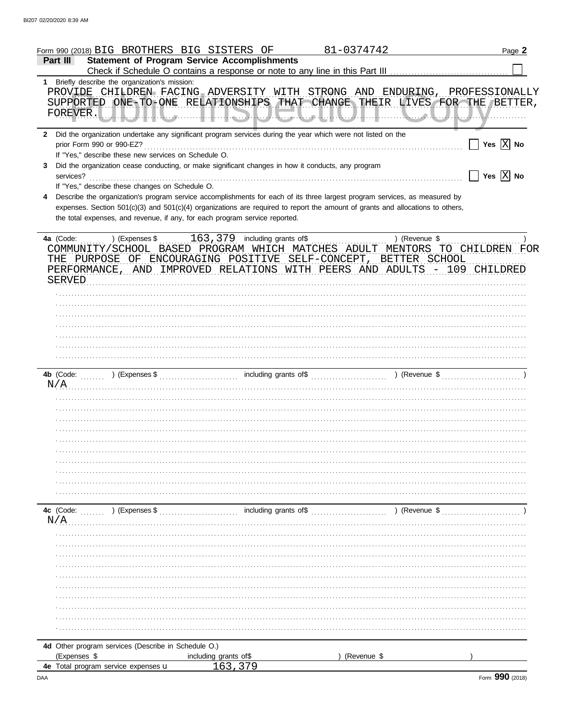|                  | Form 990 (2018) BIG BROTHERS BIG SISTERS OF                                                                                                                                                                                                                                                                                                                                                                                                                 |                                                     | 81-0374742  |               | Page 2                                                                                 |
|------------------|-------------------------------------------------------------------------------------------------------------------------------------------------------------------------------------------------------------------------------------------------------------------------------------------------------------------------------------------------------------------------------------------------------------------------------------------------------------|-----------------------------------------------------|-------------|---------------|----------------------------------------------------------------------------------------|
| Part III         |                                                                                                                                                                                                                                                                                                                                                                                                                                                             | <b>Statement of Program Service Accomplishments</b> |             |               |                                                                                        |
|                  | 1 Briefly describe the organization's mission:<br>PROVIDE CHILDREN FACING ADVERSITY WITH STRONG AND ENDURING, PROFESSIONALLY<br>SUPPORTED ONE-TO-ONE RELATIONSHIPS THAT CHANGE THEIR LIVES FOR THE BETTER,                                                                                                                                                                                                                                                  |                                                     |             |               |                                                                                        |
| 3                | 2 Did the organization undertake any significant program services during the year which were not listed on the<br>If "Yes," describe these new services on Schedule O.<br>Did the organization cease conducting, or make significant changes in how it conducts, any program                                                                                                                                                                                |                                                     |             |               | $\prod$ Yes $\boxed{\mathrm{X}}$ No<br>$\boxed{\phantom{1}}$ Yes $\boxed{\text{X}}$ No |
| 4                | If "Yes," describe these changes on Schedule O.<br>Describe the organization's program service accomplishments for each of its three largest program services, as measured by<br>expenses. Section 501(c)(3) and 501(c)(4) organizations are required to report the amount of grants and allocations to others,<br>the total expenses, and revenue, if any, for each program service reported.                                                              |                                                     |             |               |                                                                                        |
|                  | COMMUNITY/SCHOOL BASED PROGRAM WHICH MATCHES ADULT MENTORS TO CHILDREN FOR<br>THE PURPOSE OF ENCOURAGING POSITIVE SELF-CONCEPT, BETTER SCHOOL<br>PERFORMANCE, AND IMPROVED RELATIONS WITH PEERS AND ADULTS - 109 CHILDRED<br>SERVED Research and the contract of the contract of the contract of the contract of the contract of the contract of the contract of the contract of the contract of the contract of the contract of the contract of the contra |                                                     |             |               |                                                                                        |
|                  |                                                                                                                                                                                                                                                                                                                                                                                                                                                             |                                                     |             |               |                                                                                        |
|                  |                                                                                                                                                                                                                                                                                                                                                                                                                                                             |                                                     |             |               |                                                                                        |
|                  | N/A                                                                                                                                                                                                                                                                                                                                                                                                                                                         |                                                     |             |               |                                                                                        |
|                  |                                                                                                                                                                                                                                                                                                                                                                                                                                                             |                                                     |             |               |                                                                                        |
| 4c (Code:<br>N/A | $(1, 1, 1, 1, 1)$ (Expenses \$                                                                                                                                                                                                                                                                                                                                                                                                                              | including grants of\$                               |             | ) (Revenue \$ |                                                                                        |
|                  |                                                                                                                                                                                                                                                                                                                                                                                                                                                             |                                                     |             |               |                                                                                        |
|                  |                                                                                                                                                                                                                                                                                                                                                                                                                                                             |                                                     |             |               |                                                                                        |
| (Expenses \$     | 4d Other program services (Describe in Schedule O.)                                                                                                                                                                                                                                                                                                                                                                                                         | including grants of\$                               | (Revenue \$ |               |                                                                                        |
|                  | 4e Total program service expenses u                                                                                                                                                                                                                                                                                                                                                                                                                         |                                                     |             |               |                                                                                        |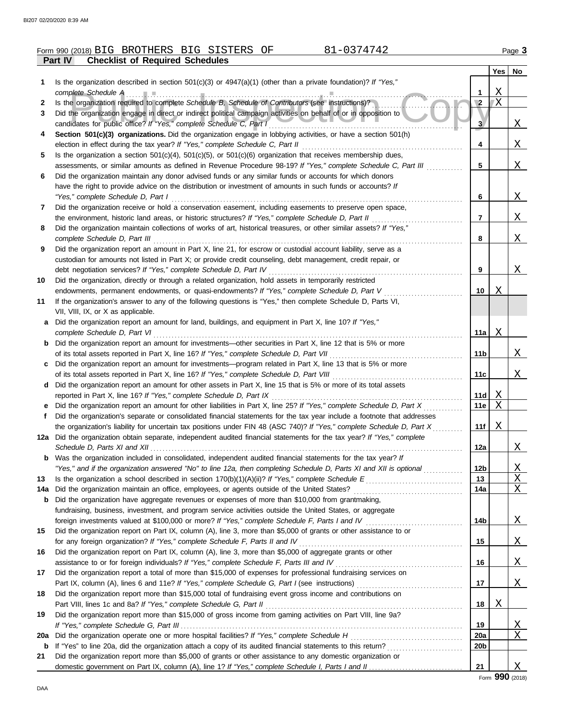|            | 81-0374742<br>Form 990 (2018) BIG BROTHERS BIG SISTERS OF                                                                                                                                                                   |                 |         | Page 3   |
|------------|-----------------------------------------------------------------------------------------------------------------------------------------------------------------------------------------------------------------------------|-----------------|---------|----------|
|            | <b>Checklist of Required Schedules</b><br>Part IV                                                                                                                                                                           |                 |         |          |
|            |                                                                                                                                                                                                                             |                 | Yes     | No       |
| 1.         | Is the organization described in section $501(c)(3)$ or $4947(a)(1)$ (other than a private foundation)? If "Yes,"                                                                                                           |                 |         |          |
|            | complete Schedule A manufacturer and complete Schedule A manufacturer and complete Schedule A                                                                                                                               | 1               | Χ<br>ΙX |          |
| 2<br>3     | Is the organization required to complete Schedule B, Schedule of Contributors (see instructions)?<br>Did the organization engage in direct or indirect political campaign activities on behalf of or in opposition to       | $\sqrt{2}$      |         |          |
|            |                                                                                                                                                                                                                             | 3               |         | X        |
| 4          | Section 501(c)(3) organizations. Did the organization engage in lobbying activities, or have a section 501(h)                                                                                                               |                 |         |          |
|            |                                                                                                                                                                                                                             | 4               |         | X        |
| 5          | Is the organization a section $501(c)(4)$ , $501(c)(5)$ , or $501(c)(6)$ organization that receives membership dues,                                                                                                        |                 |         |          |
|            | assessments, or similar amounts as defined in Revenue Procedure 98-19? If "Yes," complete Schedule C, Part III                                                                                                              | 5               |         | Х.       |
| 6          | Did the organization maintain any donor advised funds or any similar funds or accounts for which donors                                                                                                                     |                 |         |          |
|            | have the right to provide advice on the distribution or investment of amounts in such funds or accounts? If                                                                                                                 |                 |         |          |
|            | "Yes," complete Schedule D, Part I                                                                                                                                                                                          | 6               |         | X        |
| 7          | Did the organization receive or hold a conservation easement, including easements to preserve open space,                                                                                                                   |                 |         |          |
|            | the environment, historic land areas, or historic structures? If "Yes," complete Schedule D, Part II<br>Did the organization maintain collections of works of art, historical treasures, or other similar assets? If "Yes," | $\overline{7}$  |         | X        |
| 8          | complete Schedule D, Part III                                                                                                                                                                                               | 8               |         | Χ        |
| 9          | Did the organization report an amount in Part X, line 21, for escrow or custodial account liability, serve as a                                                                                                             |                 |         |          |
|            | custodian for amounts not listed in Part X; or provide credit counseling, debt management, credit repair, or                                                                                                                |                 |         |          |
|            | debt negotiation services? If "Yes," complete Schedule D, Part IV                                                                                                                                                           | 9               |         | X        |
| 10         | Did the organization, directly or through a related organization, hold assets in temporarily restricted                                                                                                                     |                 |         |          |
|            | endowments, permanent endowments, or quasi-endowments? If "Yes," complete Schedule D, Part V                                                                                                                                | 10              | Χ       |          |
| 11         | If the organization's answer to any of the following questions is "Yes," then complete Schedule D, Parts VI,                                                                                                                |                 |         |          |
|            | VII, VIII, IX, or X as applicable.                                                                                                                                                                                          |                 |         |          |
| a          | Did the organization report an amount for land, buildings, and equipment in Part X, line 10? If "Yes,"                                                                                                                      |                 |         |          |
|            | complete Schedule D, Part VI                                                                                                                                                                                                | 11a             | Χ       |          |
| b          | Did the organization report an amount for investments-other securities in Part X, line 12 that is 5% or more                                                                                                                | 11b             |         | X        |
| c          | Did the organization report an amount for investments—program related in Part X, line 13 that is 5% or more                                                                                                                 |                 |         |          |
|            |                                                                                                                                                                                                                             | 11c             |         | X        |
| d          | Did the organization report an amount for other assets in Part X, line 15 that is 5% or more of its total assets                                                                                                            |                 |         |          |
|            | reported in Part X, line 16? If "Yes," complete Schedule D, Part IX                                                                                                                                                         | 11d             | Χ       |          |
| е          | Did the organization report an amount for other liabilities in Part X, line 25? If "Yes," complete Schedule D, Part X                                                                                                       | 11e             | Χ       |          |
| f          | Did the organization's separate or consolidated financial statements for the tax year include a footnote that addresses                                                                                                     |                 |         |          |
|            | the organization's liability for uncertain tax positions under FIN 48 (ASC 740)? If "Yes," complete Schedule D, Part X                                                                                                      | 11f             | Χ       |          |
|            | 12a Did the organization obtain separate, independent audited financial statements for the tax year? If "Yes," complete                                                                                                     |                 |         |          |
|            | Was the organization included in consolidated, independent audited financial statements for the tax year? If                                                                                                                | 12a             |         | <u>X</u> |
| b          | "Yes," and if the organization answered "No" to line 12a, then completing Schedule D, Parts XI and XII is optional                                                                                                          | 12 <sub>b</sub> |         | <u>X</u> |
| 13         |                                                                                                                                                                                                                             | 13              |         | Χ        |
| 14a        |                                                                                                                                                                                                                             | 14a             |         | Χ        |
| b          | Did the organization have aggregate revenues or expenses of more than \$10,000 from grantmaking,                                                                                                                            |                 |         |          |
|            | fundraising, business, investment, and program service activities outside the United States, or aggregate                                                                                                                   |                 |         |          |
|            |                                                                                                                                                                                                                             | 14b             |         | X        |
| 15         | Did the organization report on Part IX, column (A), line 3, more than \$5,000 of grants or other assistance to or                                                                                                           |                 |         |          |
|            | for any foreign organization? If "Yes," complete Schedule F, Parts II and IV                                                                                                                                                | 15              |         | Χ        |
| 16         | Did the organization report on Part IX, column (A), line 3, more than \$5,000 of aggregate grants or other                                                                                                                  |                 |         |          |
|            |                                                                                                                                                                                                                             | 16              |         | Χ        |
| 17         | Did the organization report a total of more than \$15,000 of expenses for professional fundraising services on                                                                                                              | 17              |         | Χ        |
| 18         | Did the organization report more than \$15,000 total of fundraising event gross income and contributions on                                                                                                                 |                 |         |          |
|            |                                                                                                                                                                                                                             | 18              | Χ       |          |
| 19         | Did the organization report more than \$15,000 of gross income from gaming activities on Part VIII, line 9a?                                                                                                                |                 |         |          |
|            |                                                                                                                                                                                                                             | 19              |         | <u>X</u> |
| <b>20a</b> |                                                                                                                                                                                                                             | 20a             |         | X        |
| b          |                                                                                                                                                                                                                             | 20b             |         |          |
| 21         | Did the organization report more than \$5,000 of grants or other assistance to any domestic organization or                                                                                                                 |                 |         |          |
|            |                                                                                                                                                                                                                             | 21              |         | Χ        |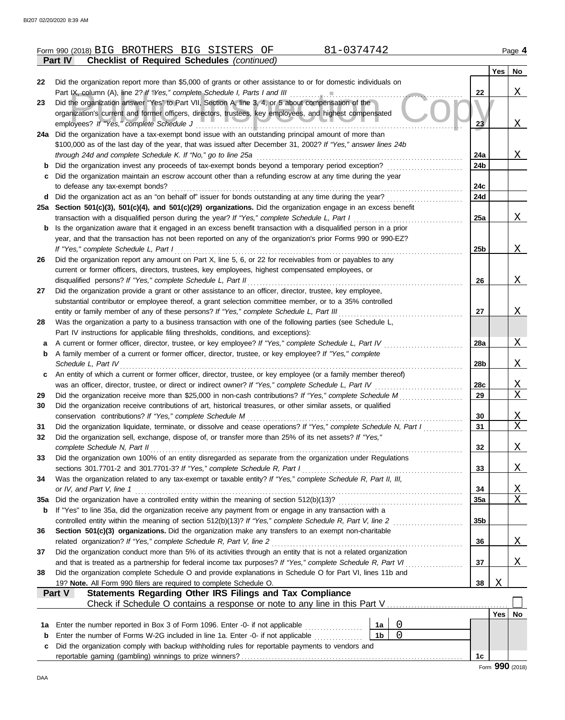|          | 81-0374742<br>Form 990 (2018) BIG BROTHERS BIG SISTERS OF                                                                                                                                                                  |                 |            | Page 4        |
|----------|----------------------------------------------------------------------------------------------------------------------------------------------------------------------------------------------------------------------------|-----------------|------------|---------------|
|          | <b>Checklist of Required Schedules (continued)</b><br><b>Part IV</b>                                                                                                                                                       |                 |            |               |
|          |                                                                                                                                                                                                                            |                 | Yes        | No            |
| 22       | Did the organization report more than \$5,000 of grants or other assistance to or for domestic individuals on                                                                                                              |                 |            |               |
|          | Part IX, column (A), line 2? If "Yes," complete Schedule I, Parts I and III [11] [11] [11] [11] [11] [11] [11]                                                                                                             | 22              |            | $X_{-}$       |
| 23       | Did the organization answer "Yes" to Part VII, Section A, line 3, 4, or 5 about compensation of the<br>organization's current and former officers, directors, trustees, key employees, and highest compensated             |                 |            |               |
|          | employees? If "Yes," complete Schedule J                                                                                                                                                                                   | 23              |            | $\mathbf{X}$  |
|          | 24a Did the organization have a tax-exempt bond issue with an outstanding principal amount of more than                                                                                                                    |                 |            |               |
|          | \$100,000 as of the last day of the year, that was issued after December 31, 2002? If "Yes," answer lines 24b                                                                                                              |                 |            |               |
|          | through 24d and complete Schedule K. If "No," go to line 25a                                                                                                                                                               | 24a             |            | X             |
| b        | Did the organization invest any proceeds of tax-exempt bonds beyond a temporary period exception?                                                                                                                          | 24b             |            |               |
| c        | Did the organization maintain an escrow account other than a refunding escrow at any time during the year                                                                                                                  |                 |            |               |
|          | to defease any tax-exempt bonds?                                                                                                                                                                                           | 24c             |            |               |
|          | Did the organization act as an "on behalf of" issuer for bonds outstanding at any time during the year?                                                                                                                    | 24d             |            |               |
|          | 25a Section 501(c)(3), 501(c)(4), and 501(c)(29) organizations. Did the organization engage in an excess benefit                                                                                                           |                 |            |               |
|          | transaction with a disqualified person during the year? If "Yes," complete Schedule L, Part I                                                                                                                              | 25a             |            | X             |
| b        | Is the organization aware that it engaged in an excess benefit transaction with a disqualified person in a prior                                                                                                           |                 |            |               |
|          | year, and that the transaction has not been reported on any of the organization's prior Forms 990 or 990-EZ?                                                                                                               |                 |            |               |
| 26       | If "Yes," complete Schedule L, Part I<br>Did the organization report any amount on Part X, line 5, 6, or 22 for receivables from or payables to any                                                                        | 25b             |            | X             |
|          | current or former officers, directors, trustees, key employees, highest compensated employees, or                                                                                                                          |                 |            |               |
|          | disqualified persons? If "Yes," complete Schedule L, Part II                                                                                                                                                               | 26              |            | X             |
| 27       | Did the organization provide a grant or other assistance to an officer, director, trustee, key employee,                                                                                                                   |                 |            |               |
|          | substantial contributor or employee thereof, a grant selection committee member, or to a 35% controlled                                                                                                                    |                 |            |               |
|          | entity or family member of any of these persons? If "Yes," complete Schedule L, Part III                                                                                                                                   | 27              |            | X             |
| 28       | Was the organization a party to a business transaction with one of the following parties (see Schedule L,                                                                                                                  |                 |            |               |
|          | Part IV instructions for applicable filing thresholds, conditions, and exceptions):                                                                                                                                        |                 |            |               |
| a        | A current or former officer, director, trustee, or key employee? If "Yes," complete Schedule L, Part IV                                                                                                                    | <b>28a</b>      |            | <u>X</u>      |
| b        | A family member of a current or former officer, director, trustee, or key employee? If "Yes," complete                                                                                                                     |                 |            |               |
|          | Schedule L, Part IV                                                                                                                                                                                                        | 28b             |            | X             |
| c        | An entity of which a current or former officer, director, trustee, or key employee (or a family member thereof)                                                                                                            |                 |            |               |
|          |                                                                                                                                                                                                                            | 28c<br>29       |            | <u>x</u><br>Χ |
| 29<br>30 | Did the organization receive more than \$25,000 in non-cash contributions? If "Yes," complete Schedule M<br>Did the organization receive contributions of art, historical treasures, or other similar assets, or qualified |                 |            |               |
|          | conservation contributions? If "Yes," complete Schedule M                                                                                                                                                                  | 30              |            | <u>X</u>      |
| 31       | Did the organization liquidate, terminate, or dissolve and cease operations? If "Yes," complete Schedule N, Part I                                                                                                         | 31              |            | X             |
| 32       | Did the organization sell, exchange, dispose of, or transfer more than 25% of its net assets? If "Yes,"                                                                                                                    |                 |            |               |
|          | complete Schedule N, Part II                                                                                                                                                                                               | 32              |            | <u>X</u>      |
| 33       | Did the organization own 100% of an entity disregarded as separate from the organization under Regulations                                                                                                                 |                 |            |               |
|          | sections 301.7701-2 and 301.7701-3? If "Yes," complete Schedule R, Part I                                                                                                                                                  | 33              |            | <u>X</u>      |
| 34       | Was the organization related to any tax-exempt or taxable entity? If "Yes," complete Schedule R, Part II, III,                                                                                                             |                 |            |               |
|          | or IV, and Part V, line 1                                                                                                                                                                                                  | 34              |            | <u>X</u>      |
| 35a      |                                                                                                                                                                                                                            | 35a             |            | X             |
| b        | If "Yes" to line 35a, did the organization receive any payment from or engage in any transaction with a                                                                                                                    |                 |            |               |
|          | Section 501(c)(3) organizations. Did the organization make any transfers to an exempt non-charitable                                                                                                                       | 35 <sub>b</sub> |            |               |
| 36       | related organization? If "Yes," complete Schedule R, Part V, line 2                                                                                                                                                        | 36              |            | X             |
| 37       | Did the organization conduct more than 5% of its activities through an entity that is not a related organization                                                                                                           |                 |            |               |
|          | and that is treated as a partnership for federal income tax purposes? If "Yes," complete Schedule R, Part VI                                                                                                               | 37              |            | Χ             |
| 38       | Did the organization complete Schedule O and provide explanations in Schedule O for Part VI, lines 11b and                                                                                                                 |                 |            |               |
|          | 19? Note. All Form 990 filers are required to complete Schedule O.                                                                                                                                                         | 38              | Χ          |               |
|          | Statements Regarding Other IRS Filings and Tax Compliance<br>Part V                                                                                                                                                        |                 |            |               |
|          |                                                                                                                                                                                                                            |                 |            |               |
|          |                                                                                                                                                                                                                            |                 | $Yes \mid$ | No            |
| 1a       | 0<br>Enter the number reported in Box 3 of Form 1096. Enter -0- if not applicable<br>1a                                                                                                                                    |                 |            |               |
| b        | 1 <sub>b</sub><br>$\overline{0}$<br>Enter the number of Forms W-2G included in line 1a. Enter -0- if not applicable                                                                                                        |                 |            |               |
| c        | Did the organization comply with backup withholding rules for reportable payments to vendors and                                                                                                                           |                 |            |               |
|          |                                                                                                                                                                                                                            | 1c              |            |               |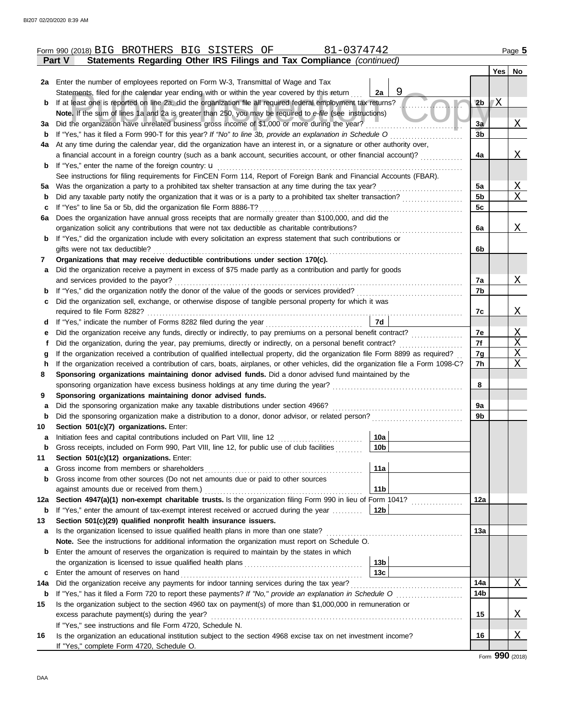|          | 81-0374742<br>Form 990 (2018) BIG BROTHERS BIG SISTERS<br>OF                                                                                                                                 |                 |                |    | Page 5          |
|----------|----------------------------------------------------------------------------------------------------------------------------------------------------------------------------------------------|-----------------|----------------|----|-----------------|
|          | Statements Regarding Other IRS Filings and Tax Compliance (continued)<br>Part V                                                                                                              |                 |                |    |                 |
|          |                                                                                                                                                                                              |                 |                |    | Yes   No        |
|          | 2a Enter the number of employees reported on Form W-3, Transmittal of Wage and Tax                                                                                                           |                 |                |    |                 |
|          | Statements, filed for the calendar year ending with or within the year covered by this return                                                                                                | 2a              |                |    |                 |
| b        | If at least one is reported on line 2a, did the organization file all required federal employment tax returns?                                                                               |                 | 2 <sub>b</sub> | 7X |                 |
|          | Note. If the sum of lines 1a and 2a is greater than 250, you may be required to e-file (see instructions)                                                                                    |                 |                |    |                 |
| За       | Did the organization have unrelated business gross income of \$1,000 or more during the year?                                                                                                |                 | 3a             |    | Χ               |
| b        | If "Yes," has it filed a Form 990-T for this year? If "No" to line 3b, provide an explanation in Schedule O                                                                                  |                 | 3 <sub>b</sub> |    |                 |
| 4a       | At any time during the calendar year, did the organization have an interest in, or a signature or other authority over,                                                                      |                 |                |    |                 |
|          | a financial account in a foreign country (such as a bank account, securities account, or other financial account)?                                                                           |                 | 4a             |    | Χ               |
| b        | If "Yes," enter the name of the foreign country: <b>u</b>                                                                                                                                    |                 |                |    |                 |
|          | See instructions for filing requirements for FinCEN Form 114, Report of Foreign Bank and Financial Accounts (FBAR).                                                                          |                 |                |    |                 |
| 5а       | Was the organization a party to a prohibited tax shelter transaction at any time during the tax year?                                                                                        |                 | 5a             |    | Χ               |
| b        | Did any taxable party notify the organization that it was or is a party to a prohibited tax shelter transaction?                                                                             |                 | 5b             |    | X               |
| c        | If "Yes" to line 5a or 5b, did the organization file Form 8886-T?                                                                                                                            |                 | 5c             |    |                 |
| 6a       | Does the organization have annual gross receipts that are normally greater than \$100,000, and did the                                                                                       |                 |                |    |                 |
|          | organization solicit any contributions that were not tax deductible as charitable contributions?                                                                                             |                 | 6a             |    | Χ               |
| b        | If "Yes," did the organization include with every solicitation an express statement that such contributions or                                                                               |                 |                |    |                 |
|          | gifts were not tax deductible?                                                                                                                                                               |                 | 6b             |    |                 |
| 7        | Organizations that may receive deductible contributions under section 170(c).<br>Did the organization receive a payment in excess of \$75 made partly as a contribution and partly for goods |                 |                |    |                 |
| a        | and services provided to the payor?                                                                                                                                                          |                 | 7a             |    | Χ               |
| b        | If "Yes," did the organization notify the donor of the value of the goods or services provided?                                                                                              |                 | 7b             |    |                 |
| c        | Did the organization sell, exchange, or otherwise dispose of tangible personal property for which it was                                                                                     |                 |                |    |                 |
|          |                                                                                                                                                                                              |                 | 7c             |    | Χ               |
| d        |                                                                                                                                                                                              | 7d              |                |    |                 |
| е        | Did the organization receive any funds, directly or indirectly, to pay premiums on a personal benefit contract?                                                                              |                 | 7e             |    | Χ               |
| f        | Did the organization, during the year, pay premiums, directly or indirectly, on a personal benefit contract?                                                                                 |                 | 7f             |    | X               |
| g        | If the organization received a contribution of qualified intellectual property, did the organization file Form 8899 as required?                                                             |                 | 7g             |    | Χ               |
| h        | If the organization received a contribution of cars, boats, airplanes, or other vehicles, did the organization file a Form 1098-C?                                                           |                 | 7h             |    | Χ               |
| 8        | Sponsoring organizations maintaining donor advised funds. Did a donor advised fund maintained by the                                                                                         |                 |                |    |                 |
|          | sponsoring organization have excess business holdings at any time during the year?                                                                                                           |                 | 8              |    |                 |
| 9        | Sponsoring organizations maintaining donor advised funds.                                                                                                                                    |                 |                |    |                 |
| a        | Did the sponsoring organization make any taxable distributions under section 4966?                                                                                                           |                 | 9a             |    |                 |
| b        | Did the sponsoring organization make a distribution to a donor, donor advisor, or related person?                                                                                            |                 | 9b             |    |                 |
| 10       | Section 501(c)(7) organizations. Enter:                                                                                                                                                      |                 |                |    |                 |
|          | Initiation fees and capital contributions included on Part VIII, line 12 [11][11][11][11][11][11][11][11][11][                                                                               | 10a             |                |    |                 |
| b        | Gross receipts, included on Form 990, Part VIII, line 12, for public use of club facilities                                                                                                  | 10 <sub>b</sub> |                |    |                 |
| 11       | Section 501(c)(12) organizations. Enter:                                                                                                                                                     |                 |                |    |                 |
| a        | Gross income from members or shareholders                                                                                                                                                    | 11a             |                |    |                 |
| b        | Gross income from other sources (Do not net amounts due or paid to other sources                                                                                                             |                 |                |    |                 |
|          | against amounts due or received from them.)<br>Section 4947(a)(1) non-exempt charitable trusts. Is the organization filing Form 990 in lieu of Form 1041?                                    | 11 <sub>b</sub> |                |    |                 |
| 12a<br>b | If "Yes," enter the amount of tax-exempt interest received or accrued during the year                                                                                                        | 12b             | 12a            |    |                 |
| 13       | Section 501(c)(29) qualified nonprofit health insurance issuers.                                                                                                                             |                 |                |    |                 |
| а        | Is the organization licensed to issue qualified health plans in more than one state?                                                                                                         |                 | 13a            |    |                 |
|          | Note. See the instructions for additional information the organization must report on Schedule O.                                                                                            |                 |                |    |                 |
| b        | Enter the amount of reserves the organization is required to maintain by the states in which                                                                                                 |                 |                |    |                 |
|          |                                                                                                                                                                                              | 13 <sub>b</sub> |                |    |                 |
| с        | Enter the amount of reserves on hand                                                                                                                                                         | 13 <sub>c</sub> |                |    |                 |
| 14a      | Did the organization receive any payments for indoor tanning services during the tax year?                                                                                                   |                 | 14a            |    | Χ               |
| b        |                                                                                                                                                                                              |                 | 14b            |    |                 |
| 15       | Is the organization subject to the section 4960 tax on payment(s) of more than \$1,000,000 in remuneration or                                                                                |                 |                |    |                 |
|          | excess parachute payment(s) during the year?                                                                                                                                                 |                 | 15             |    | <u>X</u>        |
|          | If "Yes," see instructions and file Form 4720, Schedule N.                                                                                                                                   |                 |                |    |                 |
| 16       | Is the organization an educational institution subject to the section 4968 excise tax on net investment income?                                                                              |                 | 16             |    | X               |
|          | If "Yes," complete Form 4720, Schedule O.                                                                                                                                                    |                 |                |    |                 |
|          |                                                                                                                                                                                              |                 |                |    | Form 990 (2018) |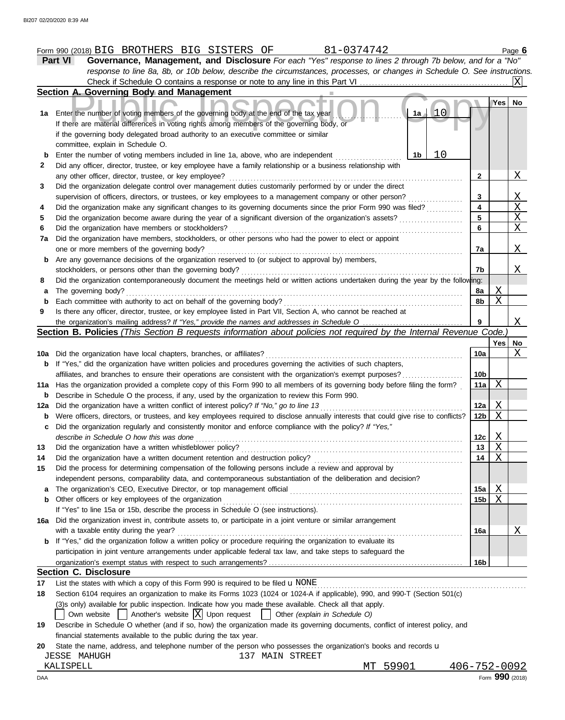|     | Form 990 (2018) BIG BROTHERS BIG SISTERS<br>81-0374742<br>ΟF                                                                                                                             |                 |          | Page $6$       |
|-----|------------------------------------------------------------------------------------------------------------------------------------------------------------------------------------------|-----------------|----------|----------------|
|     | Governance, Management, and Disclosure For each "Yes" response to lines 2 through 7b below, and for a "No"<br>Part VI                                                                    |                 |          |                |
|     | response to line 8a, 8b, or 10b below, describe the circumstances, processes, or changes in Schedule O. See instructions.                                                                |                 |          |                |
|     |                                                                                                                                                                                          |                 |          | lxl            |
|     | Section A. Governing Body and Management                                                                                                                                                 |                 |          |                |
| 1а  | $1a + 10$<br>Enter the number of voting members of the governing body at the end of the tax year                                                                                         |                 | Yes      | No             |
|     | If there are material differences in voting rights among members of the governing body, or                                                                                               |                 |          |                |
|     | if the governing body delegated broad authority to an executive committee or similar                                                                                                     |                 |          |                |
| b   | committee, explain in Schedule O.<br>10<br>1b<br>Enter the number of voting members included in line 1a, above, who are independent                                                      |                 |          |                |
| 2   | Did any officer, director, trustee, or key employee have a family relationship or a business relationship with                                                                           |                 |          |                |
|     | any other officer, director, trustee, or key employee?                                                                                                                                   | 2               |          | X              |
| 3   | Did the organization delegate control over management duties customarily performed by or under the direct                                                                                |                 |          |                |
|     | supervision of officers, directors, or trustees, or key employees to a management company or other person?                                                                               | 3               |          |                |
| 4   | Did the organization make any significant changes to its governing documents since the prior Form 990 was filed?                                                                         | 4               |          | $\frac{X}{X}$  |
| 5   | Did the organization become aware during the year of a significant diversion of the organization's assets?                                                                               | 5               |          |                |
| 6   | Did the organization have members or stockholders?                                                                                                                                       | 6               |          | $\overline{X}$ |
| 7a  | Did the organization have members, stockholders, or other persons who had the power to elect or appoint                                                                                  |                 |          |                |
|     | one or more members of the governing body?                                                                                                                                               | 7a              |          | $X_{-}$        |
| b   | Are any governance decisions of the organization reserved to (or subject to approval by) members,                                                                                        |                 |          |                |
|     | stockholders, or persons other than the governing body?                                                                                                                                  | 7b              |          | Χ              |
| 8   | Did the organization contemporaneously document the meetings held or written actions undertaken during the year by the following:                                                        |                 |          |                |
| а   | The governing body?                                                                                                                                                                      | 8a              | <u>X</u> |                |
| b   | Each committee with authority to act on behalf of the governing body?                                                                                                                    | 8b              | X        |                |
| 9   | Is there any officer, director, trustee, or key employee listed in Part VII, Section A, who cannot be reached at                                                                         |                 |          |                |
|     | the organization's mailing address? If "Yes," provide the names and addresses in Schedule O                                                                                              | 9               |          | X              |
|     | Section B. Policies (This Section B requests information about policies not required by the Internal Revenue Code.)                                                                      |                 |          |                |
|     |                                                                                                                                                                                          |                 | Yes      | No<br>X        |
| b   | 10a Did the organization have local chapters, branches, or affiliates?<br>If "Yes," did the organization have written policies and procedures governing the activities of such chapters, | 10a             |          |                |
|     | affiliates, and branches to ensure their operations are consistent with the organization's exempt purposes?                                                                              | 10 <sub>b</sub> |          |                |
| 11a | Has the organization provided a complete copy of this Form 990 to all members of its governing body before filing the form?                                                              | 11a             | Χ        |                |
| b   | Describe in Schedule O the process, if any, used by the organization to review this Form 990.                                                                                            |                 |          |                |
| 12a | Did the organization have a written conflict of interest policy? If "No," go to line 13                                                                                                  | 12a             | X        |                |
| b   | Were officers, directors, or trustees, and key employees required to disclose annually interests that could give rise to conflicts?                                                      | 12b             | Χ        |                |
|     | Did the organization regularly and consistently monitor and enforce compliance with the policy? If "Yes,"                                                                                |                 |          |                |
|     | describe in Schedule O how this was done                                                                                                                                                 | 12c             | Χ        |                |
| 13  | Did the organization have a written whistleblower policy?                                                                                                                                | 13              | Χ        |                |
| 14  | Did the organization have a written document retention and destruction policy?                                                                                                           | 14              | Χ        |                |
| 15  | Did the process for determining compensation of the following persons include a review and approval by                                                                                   |                 |          |                |
|     | independent persons, comparability data, and contemporaneous substantiation of the deliberation and decision?                                                                            |                 |          |                |
| a   |                                                                                                                                                                                          | 15a             | Χ        |                |
| b   | Other officers or key employees of the organization                                                                                                                                      | 15 <sub>b</sub> | Χ        |                |
|     | If "Yes" to line 15a or 15b, describe the process in Schedule O (see instructions).                                                                                                      |                 |          |                |
| 16а | Did the organization invest in, contribute assets to, or participate in a joint venture or similar arrangement                                                                           |                 |          |                |
|     | with a taxable entity during the year?                                                                                                                                                   | 16a             |          | Χ              |
| b   | If "Yes," did the organization follow a written policy or procedure requiring the organization to evaluate its                                                                           |                 |          |                |
|     | participation in joint venture arrangements under applicable federal tax law, and take steps to safeguard the                                                                            |                 |          |                |
|     |                                                                                                                                                                                          | 16b             |          |                |
|     | <b>Section C. Disclosure</b>                                                                                                                                                             |                 |          |                |
| 17  | List the states with which a copy of this Form 990 is required to be filed $\mathbf u$ NONE                                                                                              |                 |          |                |
|     |                                                                                                                                                                                          |                 |          |                |
| 18  | Section 6104 requires an organization to make its Forms 1023 (1024 or 1024-A if applicable), 990, and 990-T (Section 501(c)                                                              |                 |          |                |
|     | (3)s only) available for public inspection. Indicate how you made these available. Check all that apply.                                                                                 |                 |          |                |
|     |                                                                                                                                                                                          |                 |          |                |
| 19  | Describe in Schedule O whether (and if so, how) the organization made its governing documents, conflict of interest policy, and                                                          |                 |          |                |
| 20  | financial statements available to the public during the tax year.<br>State the name, address, and telephone number of the person who possesses the organization's books and records u    |                 |          |                |

KALISPELL MT 59901 406-752-0092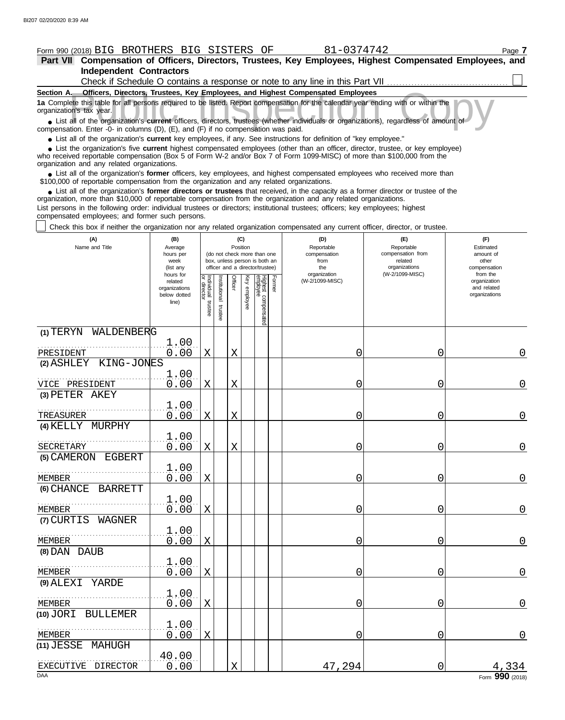#### Form 990 (2018) Page **7** BIG BROTHERS BIG SISTERS OF 81-0374742 **Part VII Compensation of Officers, Directors, Trustees, Key Employees, Highest Compensated Employees, and Independent Contractors** Check if Schedule O contains a response or note to any line in this Part VII . . . . . . . . . . . . . . . . . . . . . . . . . . . . . . . . . . . . . . . .  $\perp$

| Section A. Officers, Directors, Trustees, Key Employees, and Highest Compensated Employees                                                                                                                                                                                                                 |
|------------------------------------------------------------------------------------------------------------------------------------------------------------------------------------------------------------------------------------------------------------------------------------------------------------|
| 1a Complete this table for all persons required to be listed. Report compensation for the calendar year ending with or within the<br>organization's tax year.                                                                                                                                              |
| • List all of the organization's current officers, directors, trustees (whether individuals or organizations), regardless of amount of<br>compensation. Enter -0- in columns $(D)$ , $(E)$ , and $(F)$ if no compensation was paid.                                                                        |
| • List all of the organization's current key employees, if any. See instructions for definition of "key employee."                                                                                                                                                                                         |
| • List the organization's five current highest compensated employees (other than an officer, director, trustee, or key employee)<br>who received reportable compensation (Box 5 of Form W-2 and/or Box 7 of Form 1099-MISC) of more than \$100,000 from the<br>organization and any related organizations. |
| • List all of the organization's former officers, key employees, and highest compensated employees who received more than<br>\$100,000 of reportable compensation from the organization and any related organizations.                                                                                     |
| • List all of the organization's former directors or trustees that received, in the capacity as a former director or trustee of the<br>organization, more than \$10,000 of reportable compensation from the organization and any related organizations.                                                    |
| List persons in the following order: individual trustees or directors; institutional trustees; officers; key employees; highest                                                                                                                                                                            |

compensated employees; and former such persons.

Check this box if neither the organization nor any related organization compensated any current officer, director, or trustee.

| (A)<br>Name and Title               | (B)<br>Average<br>hours per<br>week<br>(list any               |                                   |                          | (C)<br>Position |              | (do not check more than one<br>box, unless person is both an<br>officer and a director/trustee) |        | (D)<br>Reportable<br>compensation<br>from<br>the | (E)<br>Reportable<br>compensation from<br>related<br>organizations | (F)<br>Estimated<br>amount of<br>other<br>compensation   |
|-------------------------------------|----------------------------------------------------------------|-----------------------------------|--------------------------|-----------------|--------------|-------------------------------------------------------------------------------------------------|--------|--------------------------------------------------|--------------------------------------------------------------------|----------------------------------------------------------|
|                                     | hours for<br>related<br>organizations<br>below dotted<br>line) | Individual trustee<br>or director | Institutional<br>trustee | <b>Officer</b>  | Key employee | Highest compensated<br>employee                                                                 | Former | organization<br>(W-2/1099-MISC)                  | (W-2/1099-MISC)                                                    | from the<br>organization<br>and related<br>organizations |
| (1) TERYN WALDENBERG                |                                                                |                                   |                          |                 |              |                                                                                                 |        |                                                  |                                                                    |                                                          |
| PRESIDENT                           | 1.00<br>0.00                                                   | $\mathbf X$                       |                          | $\mathbf X$     |              |                                                                                                 |        | 0                                                | 0                                                                  | 0                                                        |
| KING-JONES<br>(2) ASHLEY            |                                                                |                                   |                          |                 |              |                                                                                                 |        |                                                  |                                                                    |                                                          |
| VICE PRESIDENT                      | 1.00<br>0.00                                                   | X                                 |                          | X               |              |                                                                                                 |        | 0                                                | 0                                                                  | 0                                                        |
| (3) PETER AKEY                      |                                                                |                                   |                          |                 |              |                                                                                                 |        |                                                  |                                                                    |                                                          |
| TREASURER                           | 1.00<br>0.00                                                   | X                                 |                          | $\mathbf X$     |              |                                                                                                 |        | 0                                                | 0                                                                  | $\overline{0}$                                           |
| (4) KELLY MURPHY                    |                                                                |                                   |                          |                 |              |                                                                                                 |        |                                                  |                                                                    |                                                          |
| SECRETARY                           | 1.00<br>0.00                                                   | X                                 |                          | X               |              |                                                                                                 |        | 0                                                | 0                                                                  | $\mathbf 0$                                              |
| (5) CAMERON EGBERT                  |                                                                |                                   |                          |                 |              |                                                                                                 |        |                                                  |                                                                    |                                                          |
| MEMBER                              | 1.00<br>0.00                                                   | X                                 |                          |                 |              |                                                                                                 |        | 0                                                | 0                                                                  | $\mathbf 0$                                              |
| (6) CHANCE<br><b>BARRETT</b>        |                                                                |                                   |                          |                 |              |                                                                                                 |        |                                                  |                                                                    |                                                          |
| MEMBER                              | 1.00<br>0.00                                                   | $\mathbf X$                       |                          |                 |              |                                                                                                 |        | 0                                                | 0                                                                  | $\overline{0}$                                           |
| (7) CURTIS<br>WAGNER                |                                                                |                                   |                          |                 |              |                                                                                                 |        |                                                  |                                                                    |                                                          |
| MEMBER                              | 1.00<br>0.00                                                   | X                                 |                          |                 |              |                                                                                                 |        | O                                                | 0                                                                  | $\mathbf 0$                                              |
| (8) DAN DAUB                        |                                                                |                                   |                          |                 |              |                                                                                                 |        |                                                  |                                                                    |                                                          |
| <b>MEMBER</b>                       | 1.00<br>0.00                                                   | $\mathbf X$                       |                          |                 |              |                                                                                                 |        | 0                                                | 0                                                                  | $\overline{0}$                                           |
| $(9)$ $\triangle$ LEXI<br>YARDE     |                                                                |                                   |                          |                 |              |                                                                                                 |        |                                                  |                                                                    |                                                          |
| MEMBER                              | 1.00<br>0.00                                                   | X                                 |                          |                 |              |                                                                                                 |        | 0                                                | 0                                                                  | $\overline{0}$                                           |
| $(10)$ JORI<br>BULLEMER             |                                                                |                                   |                          |                 |              |                                                                                                 |        |                                                  |                                                                    |                                                          |
| MEMBER                              | 1.00<br>0.00                                                   | X                                 |                          |                 |              |                                                                                                 |        | 0                                                | 0                                                                  | $\mathbf 0$                                              |
| $(11)$ $JESSE$<br>MAHUGH            | 40.00                                                          |                                   |                          |                 |              |                                                                                                 |        |                                                  |                                                                    |                                                          |
| EXECUTIVE<br>DIRECTOR<br><b>DAA</b> | 0.00                                                           |                                   |                          | X               |              |                                                                                                 |        | 47,294                                           | 0                                                                  | 334<br>Form 990 (2018)                                   |

| ⌒    |  |
|------|--|
| 747. |  |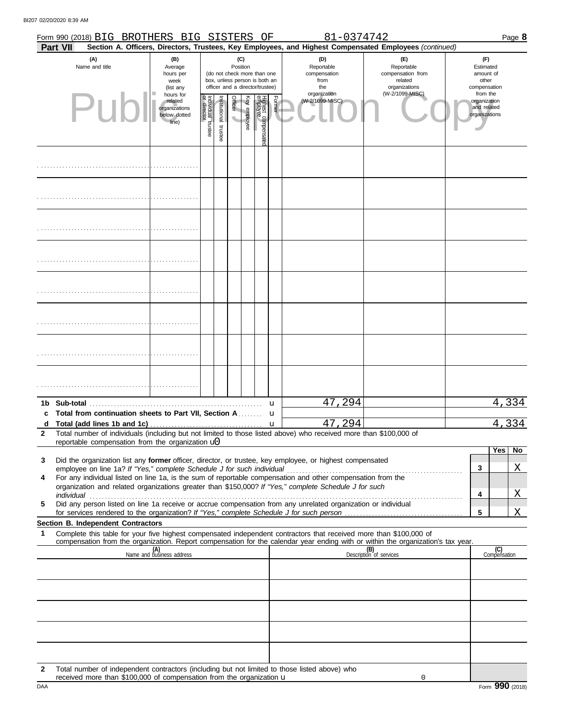|                   | Form 990 (2018) BIG BROTHERS BIG SISTERS OF<br><b>Part VII</b>                                                                                                                                                       |                                                                          |                                   |                                                                                                 |                            |              |                                |        | 81-0374742                                                                          | Section A. Officers, Directors, Trustees, Key Employees, and Highest Compensated Employees (continued) | Page 8                                                                             |
|-------------------|----------------------------------------------------------------------------------------------------------------------------------------------------------------------------------------------------------------------|--------------------------------------------------------------------------|-----------------------------------|-------------------------------------------------------------------------------------------------|----------------------------|--------------|--------------------------------|--------|-------------------------------------------------------------------------------------|--------------------------------------------------------------------------------------------------------|------------------------------------------------------------------------------------|
|                   | (A)<br>Name and title                                                                                                                                                                                                | (B)<br>Average<br>hours per<br>week<br>(list any<br>hours for<br>related |                                   | (do not check more than one<br>box, unless person is both an<br>officer and a director/trustee) | (C)<br>Position<br>Officer |              |                                | Former | (D)<br>Reportable<br>compensation<br>from<br>the<br>organization<br>(W-2/1099-MISC) | (F)<br>Reportable<br>compensation from<br>related<br>organizations<br>(W-2/1099-MISC)                  | (F)<br>Estimated<br>amount of<br>other<br>compensation<br>from the<br>organization |
|                   | Pub                                                                                                                                                                                                                  | organizations<br>below dotted<br>line)                                   | Individual trustee<br>or director | nstitutional<br>trustee                                                                         | $\overline{\phantom{0}}$   | Key employee | Highest compensate<br>employee |        |                                                                                     |                                                                                                        | and related<br>organizations                                                       |
|                   |                                                                                                                                                                                                                      |                                                                          |                                   |                                                                                                 |                            |              |                                |        |                                                                                     |                                                                                                        |                                                                                    |
|                   |                                                                                                                                                                                                                      |                                                                          |                                   |                                                                                                 |                            |              |                                |        |                                                                                     |                                                                                                        |                                                                                    |
|                   |                                                                                                                                                                                                                      |                                                                          |                                   |                                                                                                 |                            |              |                                |        |                                                                                     |                                                                                                        |                                                                                    |
|                   |                                                                                                                                                                                                                      |                                                                          |                                   |                                                                                                 |                            |              |                                |        |                                                                                     |                                                                                                        |                                                                                    |
|                   |                                                                                                                                                                                                                      |                                                                          |                                   |                                                                                                 |                            |              |                                |        |                                                                                     |                                                                                                        |                                                                                    |
|                   |                                                                                                                                                                                                                      |                                                                          |                                   |                                                                                                 |                            |              |                                |        |                                                                                     |                                                                                                        |                                                                                    |
|                   |                                                                                                                                                                                                                      |                                                                          |                                   |                                                                                                 |                            |              |                                |        |                                                                                     |                                                                                                        |                                                                                    |
|                   |                                                                                                                                                                                                                      |                                                                          |                                   |                                                                                                 |                            |              |                                |        |                                                                                     |                                                                                                        |                                                                                    |
|                   |                                                                                                                                                                                                                      |                                                                          |                                   |                                                                                                 |                            |              |                                | u      | 47,294                                                                              |                                                                                                        | 4,334                                                                              |
|                   | c Total from continuation sheets to Part VII, Section A                                                                                                                                                              |                                                                          |                                   |                                                                                                 |                            |              |                                | u      |                                                                                     |                                                                                                        |                                                                                    |
| d<br>$\mathbf{2}$ | Total number of individuals (including but not limited to those listed above) who received more than \$100,000 of                                                                                                    |                                                                          |                                   |                                                                                                 |                            |              |                                | u      | 47,294                                                                              |                                                                                                        | <u>4,334</u>                                                                       |
|                   | reportable compensation from the organization $\mathbf{u}$                                                                                                                                                           |                                                                          |                                   |                                                                                                 |                            |              |                                |        |                                                                                     |                                                                                                        |                                                                                    |
| 3                 | Did the organization list any former officer, director, or trustee, key employee, or highest compensated                                                                                                             |                                                                          |                                   |                                                                                                 |                            |              |                                |        |                                                                                     |                                                                                                        | <b>Yes</b><br>No                                                                   |
|                   | employee on line 1a? If "Yes," complete Schedule J for such individual                                                                                                                                               |                                                                          |                                   |                                                                                                 |                            |              |                                |        |                                                                                     |                                                                                                        | Χ<br>3                                                                             |
| 4                 | For any individual listed on line 1a, is the sum of reportable compensation and other compensation from the<br>organization and related organizations greater than \$150,000? If "Yes," complete Schedule J for such |                                                                          |                                   |                                                                                                 |                            |              |                                |        |                                                                                     |                                                                                                        |                                                                                    |
|                   | individual                                                                                                                                                                                                           |                                                                          |                                   |                                                                                                 |                            |              |                                |        |                                                                                     |                                                                                                        | Χ<br>4                                                                             |
| 5                 | Did any person listed on line 1a receive or accrue compensation from any unrelated organization or individual                                                                                                        |                                                                          |                                   |                                                                                                 |                            |              |                                |        |                                                                                     |                                                                                                        | <u>X</u><br>5                                                                      |
|                   | Section B. Independent Contractors                                                                                                                                                                                   |                                                                          |                                   |                                                                                                 |                            |              |                                |        |                                                                                     |                                                                                                        |                                                                                    |
| 1                 | Complete this table for your five highest compensated independent contractors that received more than \$100,000 of                                                                                                   |                                                                          |                                   |                                                                                                 |                            |              |                                |        |                                                                                     |                                                                                                        |                                                                                    |
|                   | compensation from the organization. Report compensation for the calendar year ending with or within the organization's tax year.                                                                                     | (A)<br>Name and business address                                         |                                   |                                                                                                 |                            |              |                                |        |                                                                                     | (B)<br>Description of services                                                                         | (C)<br>Compensation                                                                |
|                   |                                                                                                                                                                                                                      |                                                                          |                                   |                                                                                                 |                            |              |                                |        |                                                                                     |                                                                                                        |                                                                                    |
|                   |                                                                                                                                                                                                                      |                                                                          |                                   |                                                                                                 |                            |              |                                |        |                                                                                     |                                                                                                        |                                                                                    |
|                   |                                                                                                                                                                                                                      |                                                                          |                                   |                                                                                                 |                            |              |                                |        |                                                                                     |                                                                                                        |                                                                                    |
|                   |                                                                                                                                                                                                                      |                                                                          |                                   |                                                                                                 |                            |              |                                |        |                                                                                     |                                                                                                        |                                                                                    |
| $\mathbf{2}$      | Total number of independent contractors (including but not limited to those listed above) who                                                                                                                        |                                                                          |                                   |                                                                                                 |                            |              |                                |        |                                                                                     |                                                                                                        |                                                                                    |

0

received more than \$100,000 of compensation from the organization u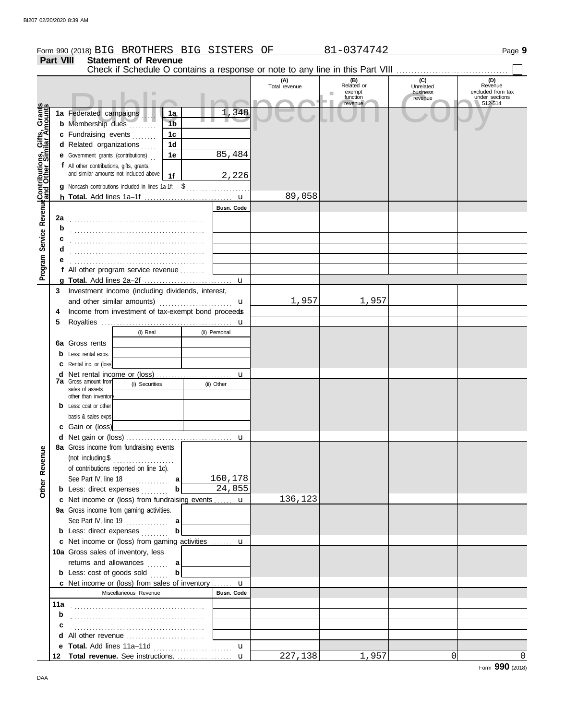|                                              |                  | Form 990 (2018) BIG BROTHERS BIG SISTERS OF                                   |                        |                      | 81-0374742                                              |                                         | Page 9                                                           |
|----------------------------------------------|------------------|-------------------------------------------------------------------------------|------------------------|----------------------|---------------------------------------------------------|-----------------------------------------|------------------------------------------------------------------|
|                                              | <b>Part VIII</b> | <b>Statement of Revenue</b>                                                   |                        |                      |                                                         |                                         |                                                                  |
|                                              |                  | Check if Schedule O contains a response or note to any line in this Part VIII |                        |                      |                                                         |                                         |                                                                  |
|                                              |                  |                                                                               |                        | (A)<br>Total revenue | (B)<br>Related or<br>exempt<br>ш<br>function<br>revenue | (C)<br>Unrelated<br>business<br>revenue | (D)<br>Revenue<br>excluded from tax<br>under sections<br>512-514 |
|                                              |                  | 1a Federated campaigns<br>1a<br><b>b</b> Membership dues<br>1 <sub>b</sub>    | 1,348                  |                      |                                                         |                                         |                                                                  |
|                                              |                  | c Fundraising events<br>1c                                                    |                        |                      |                                                         |                                         |                                                                  |
| Service Revenue Contributions, Gifts, Grants |                  | 1 <sub>d</sub><br>d Related organizations                                     |                        |                      |                                                         |                                         |                                                                  |
|                                              |                  | 1e<br><b>e</b> Government grants (contributions)                              | 85,484                 |                      |                                                         |                                         |                                                                  |
|                                              |                  | f All other contributions, gifts, grants,                                     |                        |                      |                                                         |                                         |                                                                  |
|                                              |                  | and similar amounts not included above<br>1f                                  | 2,226                  |                      |                                                         |                                         |                                                                  |
|                                              |                  | g Noncash contributions included in lines 1a-1f: \$                           |                        |                      |                                                         |                                         |                                                                  |
|                                              |                  |                                                                               |                        | 89,058               |                                                         |                                         |                                                                  |
|                                              |                  |                                                                               | <b>Busn. Code</b>      |                      |                                                         |                                         |                                                                  |
|                                              | 2a               |                                                                               |                        |                      |                                                         |                                         |                                                                  |
|                                              | b                |                                                                               |                        |                      |                                                         |                                         |                                                                  |
|                                              | d                |                                                                               |                        |                      |                                                         |                                         |                                                                  |
|                                              |                  |                                                                               |                        |                      |                                                         |                                         |                                                                  |
| Program                                      |                  | f All other program service revenue                                           |                        |                      |                                                         |                                         |                                                                  |
|                                              |                  |                                                                               | u                      |                      |                                                         |                                         |                                                                  |
|                                              | 3                | Investment income (including dividends, interest,                             |                        |                      |                                                         |                                         |                                                                  |
|                                              |                  | and other similar amounts)                                                    | u                      | 1,957                | 1,957                                                   |                                         |                                                                  |
|                                              | 4                | Income from investment of tax-exempt bond proceeds                            |                        |                      |                                                         |                                         |                                                                  |
|                                              |                  |                                                                               | u                      |                      |                                                         |                                         |                                                                  |
|                                              |                  | (i) Real                                                                      | (ii) Personal          |                      |                                                         |                                         |                                                                  |
|                                              | 6а               | Gross rents                                                                   |                        |                      |                                                         |                                         |                                                                  |
|                                              |                  | Less: rental exps.<br>Rental inc. or (loss)                                   |                        |                      |                                                         |                                         |                                                                  |
|                                              | d                |                                                                               | u                      |                      |                                                         |                                         |                                                                  |
|                                              |                  | <b>7a</b> Gross amount from<br>(i) Securities                                 | (ii) Other             |                      |                                                         |                                         |                                                                  |
|                                              |                  | sales of assets<br>other than inventor                                        |                        |                      |                                                         |                                         |                                                                  |
|                                              |                  | Less: cost or other                                                           |                        |                      |                                                         |                                         |                                                                  |
|                                              |                  | basis & sales exps                                                            |                        |                      |                                                         |                                         |                                                                  |
|                                              |                  | c Gain or (loss)                                                              |                        |                      |                                                         |                                         |                                                                  |
|                                              |                  |                                                                               |                        |                      |                                                         |                                         |                                                                  |
|                                              |                  | 8a Gross income from fundraising events                                       |                        |                      |                                                         |                                         |                                                                  |
| Revenue                                      |                  | (not including \$<br>of contributions reported on line 1c).                   |                        |                      |                                                         |                                         |                                                                  |
|                                              |                  | See Part IV, line 18 $\ldots$ a                                               | 160,178                |                      |                                                         |                                         |                                                                  |
| Other                                        |                  | $\mathbf{b}$<br><b>b</b> Less: direct expenses                                | 24,055                 |                      |                                                         |                                         |                                                                  |
|                                              |                  | c Net income or (loss) from fundraising events  u                             |                        | 136,123              |                                                         |                                         |                                                                  |
|                                              |                  | 9a Gross income from gaming activities.                                       |                        |                      |                                                         |                                         |                                                                  |
|                                              |                  | See Part IV, line 19 $\ldots$ a                                               |                        |                      |                                                         |                                         |                                                                  |
|                                              |                  | b<br><b>b</b> Less: direct expenses                                           |                        |                      |                                                         |                                         |                                                                  |
|                                              |                  | c Net income or (loss) from gaming activities  u                              |                        |                      |                                                         |                                         |                                                                  |
|                                              |                  | 10a Gross sales of inventory, less                                            |                        |                      |                                                         |                                         |                                                                  |
|                                              |                  | returns and allowances  a                                                     |                        |                      |                                                         |                                         |                                                                  |
|                                              |                  | $\mathbf b$<br><b>b</b> Less: cost of goods sold $\ldots$                     |                        |                      |                                                         |                                         |                                                                  |
|                                              |                  | c Net income or (loss) from sales of inventory<br>Miscellaneous Revenue       | <b>u</b><br>Busn. Code |                      |                                                         |                                         |                                                                  |
|                                              | 11a              |                                                                               |                        |                      |                                                         |                                         |                                                                  |
|                                              | b                |                                                                               |                        |                      |                                                         |                                         |                                                                  |
|                                              | c                |                                                                               |                        |                      |                                                         |                                         |                                                                  |
|                                              |                  |                                                                               |                        |                      |                                                         |                                         |                                                                  |
|                                              | е                |                                                                               | $\mathbf{u}$           |                      |                                                         |                                         |                                                                  |
|                                              | 12               | Total revenue. See instructions.                                              | $\mathbf{u}$           | 227,138              | 1,957                                                   | $\Omega$                                | $\mathbf 0$                                                      |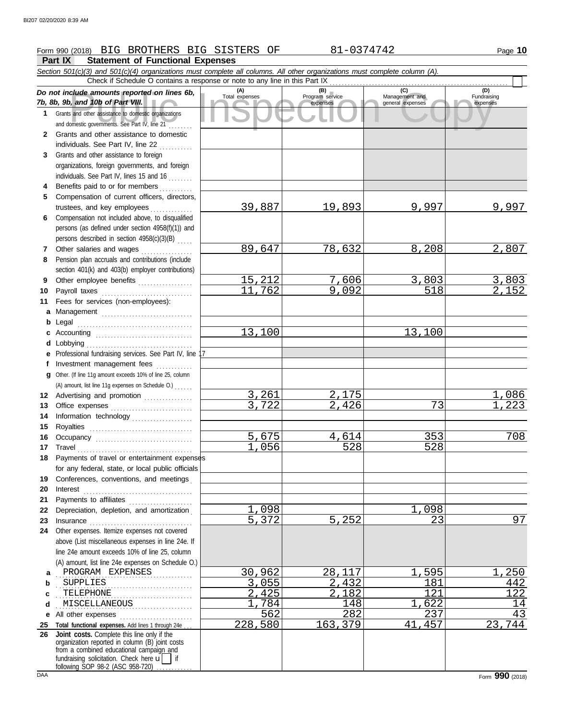## Form 990 (2018) Page **10** BIG BROTHERS BIG SISTERS OF 81-0374742

# **Part IX Statement of Functional Expenses**<br>Section 501(c)(3) and 501(c)(4) organizations must complete all of

*Section 501(c)(3) and 501(c)(4) organizations must complete all columns. All other organizations must complete column (A).*

|              | Secuon 501(c)(3) and 501(c)(4) organizations must complete all columns. All other organizations must complete column (A).<br>Check if Schedule O contains a response or note to any line in this Part IX |                       |                                    |                                    |                         |  |  |  |
|--------------|----------------------------------------------------------------------------------------------------------------------------------------------------------------------------------------------------------|-----------------------|------------------------------------|------------------------------------|-------------------------|--|--|--|
|              |                                                                                                                                                                                                          |                       |                                    | (C)                                | (D)                     |  |  |  |
|              | Do not include amounts reported on lines 6b,<br>7b, 8b, 9b, and 10b of Part VIII.                                                                                                                        | (A)<br>Total expenses | (B)<br>Program service<br>expenses | Management and<br>general expenses | Fundraising<br>expenses |  |  |  |
|              | 1 Grants and other assistance to domestic organizations                                                                                                                                                  |                       |                                    |                                    |                         |  |  |  |
|              |                                                                                                                                                                                                          |                       |                                    |                                    |                         |  |  |  |
|              | and domestic governments. See Part IV, line 21                                                                                                                                                           |                       |                                    |                                    |                         |  |  |  |
| $\mathbf{2}$ | Grants and other assistance to domestic                                                                                                                                                                  |                       |                                    |                                    |                         |  |  |  |
|              | individuals. See Part IV, line 22                                                                                                                                                                        |                       |                                    |                                    |                         |  |  |  |
| 3            | Grants and other assistance to foreign                                                                                                                                                                   |                       |                                    |                                    |                         |  |  |  |
|              | organizations, foreign governments, and foreign                                                                                                                                                          |                       |                                    |                                    |                         |  |  |  |
|              | individuals. See Part IV, lines 15 and 16                                                                                                                                                                |                       |                                    |                                    |                         |  |  |  |
| 4            | Benefits paid to or for members                                                                                                                                                                          |                       |                                    |                                    |                         |  |  |  |
| 5            | Compensation of current officers, directors,                                                                                                                                                             |                       |                                    |                                    |                         |  |  |  |
|              | trustees, and key employees                                                                                                                                                                              | 39,887                | 19,893                             | 9,997                              | 9,997                   |  |  |  |
| 6            | Compensation not included above, to disqualified                                                                                                                                                         |                       |                                    |                                    |                         |  |  |  |
|              | persons (as defined under section 4958(f)(1)) and                                                                                                                                                        |                       |                                    |                                    |                         |  |  |  |
|              | persons described in section 4958(c)(3)(B)                                                                                                                                                               |                       |                                    |                                    |                         |  |  |  |
| 7            | Other salaries and wages<br>.                                                                                                                                                                            | 89,647                | 78,632                             | 8,208                              | 2,807                   |  |  |  |
| 8            | Pension plan accruals and contributions (include                                                                                                                                                         |                       |                                    |                                    |                         |  |  |  |
|              | section 401(k) and 403(b) employer contributions)                                                                                                                                                        |                       |                                    |                                    |                         |  |  |  |
| 9            | Other employee benefits                                                                                                                                                                                  | 15,212                | 7,606                              | 3,803                              |                         |  |  |  |
| 10           | Payroll taxes                                                                                                                                                                                            | 11,762                | 9,092                              | 518                                | $\frac{3,803}{2,152}$   |  |  |  |
| 11           | Fees for services (non-employees):                                                                                                                                                                       |                       |                                    |                                    |                         |  |  |  |
| a            |                                                                                                                                                                                                          |                       |                                    |                                    |                         |  |  |  |
|              | Management<br><b>b</b> Legal                                                                                                                                                                             |                       |                                    |                                    |                         |  |  |  |
| c            |                                                                                                                                                                                                          | 13,100                |                                    | 13,100                             |                         |  |  |  |
|              | <b>d</b> Lobbying                                                                                                                                                                                        |                       |                                    |                                    |                         |  |  |  |
|              | e Professional fundraising services. See Part IV, line 17                                                                                                                                                |                       |                                    |                                    |                         |  |  |  |
|              | f Investment management fees                                                                                                                                                                             |                       |                                    |                                    |                         |  |  |  |
|              | Other. (If line 11g amount exceeds 10% of line 25, column                                                                                                                                                |                       |                                    |                                    |                         |  |  |  |
| a            |                                                                                                                                                                                                          |                       |                                    |                                    |                         |  |  |  |
|              | (A) amount, list line 11g expenses on Schedule O.)                                                                                                                                                       | 3,261                 | 2,175                              |                                    | 1,086                   |  |  |  |
| 12           | Advertising and promotion [1] [1] Advertising and promotion                                                                                                                                              | 3,722                 | 2,426                              | 73                                 | 223                     |  |  |  |
| 13           |                                                                                                                                                                                                          |                       |                                    |                                    |                         |  |  |  |
| 14           | Information technology                                                                                                                                                                                   |                       |                                    |                                    |                         |  |  |  |
| 15           |                                                                                                                                                                                                          | 5,675                 | 4,614                              | 353                                | 708                     |  |  |  |
| 16<br>17     | Occupancy<br>Travel                                                                                                                                                                                      | 1,056                 | 528                                | 528                                |                         |  |  |  |
| 18           | Payments of travel or entertainment expenses                                                                                                                                                             |                       |                                    |                                    |                         |  |  |  |
|              | for any federal, state, or local public officials                                                                                                                                                        |                       |                                    |                                    |                         |  |  |  |
|              | Conferences, conventions, and meetings                                                                                                                                                                   |                       |                                    |                                    |                         |  |  |  |
| 19           |                                                                                                                                                                                                          |                       |                                    |                                    |                         |  |  |  |
| 20           | Interest                                                                                                                                                                                                 |                       |                                    |                                    |                         |  |  |  |
| 21           | Payments to affiliates                                                                                                                                                                                   | 1<br>098              |                                    | ,098                               |                         |  |  |  |
| 22           | Depreciation, depletion, and amortization                                                                                                                                                                | 5,372                 | 5,252                              | 23                                 | 97                      |  |  |  |
| 23           | Other expenses. Itemize expenses not covered                                                                                                                                                             |                       |                                    |                                    |                         |  |  |  |
| 24           | above (List miscellaneous expenses in line 24e. If                                                                                                                                                       |                       |                                    |                                    |                         |  |  |  |
|              | line 24e amount exceeds 10% of line 25, column                                                                                                                                                           |                       |                                    |                                    |                         |  |  |  |
|              |                                                                                                                                                                                                          |                       |                                    |                                    |                         |  |  |  |
|              | (A) amount, list line 24e expenses on Schedule O.)<br>PROGRAM EXPENSES                                                                                                                                   | 30,962                | 28,117                             | 595                                |                         |  |  |  |
| a            |                                                                                                                                                                                                          |                       |                                    |                                    | 250                     |  |  |  |
| b            | <b>SUPPLIES</b>                                                                                                                                                                                          | 3,055                 | 2,432                              | 181                                | 442                     |  |  |  |
| c            | TELEPHONE                                                                                                                                                                                                | 2,425                 | 2,182                              | 121                                | 122                     |  |  |  |
| d            | MISCELLANEOUS                                                                                                                                                                                            | 784                   | 148                                | 622                                | 14                      |  |  |  |
| е            | All other expenses                                                                                                                                                                                       | 562                   | 282                                | 237                                | 43                      |  |  |  |
| 25<br>26     | Total functional expenses. Add lines 1 through 24e<br>Joint costs. Complete this line only if the                                                                                                        | 228,580               | 163,379                            | 457<br>41                          | 23,744                  |  |  |  |
|              | organization reported in column (B) joint costs                                                                                                                                                          |                       |                                    |                                    |                         |  |  |  |
|              | from a combined educational campaign and                                                                                                                                                                 |                       |                                    |                                    |                         |  |  |  |
|              | fundraising solicitation. Check here u                                                                                                                                                                   |                       |                                    |                                    |                         |  |  |  |
|              | following SOP 98-2 (ASC 958-720)                                                                                                                                                                         |                       |                                    |                                    |                         |  |  |  |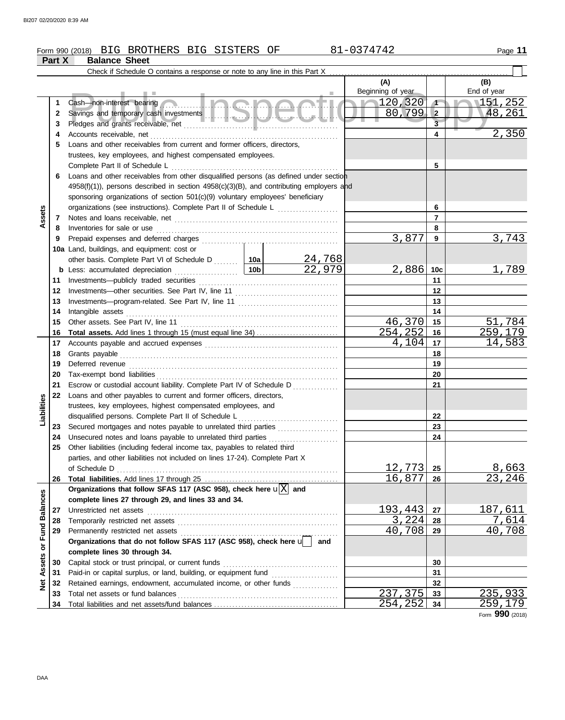## Form 990 (2018) BIG BROTHERS BIG SISTERS OF 81-0374742 Page 11 **Part X Balance Sheet (A) (B)** Check if Schedule O contains a response or note to any line in this Part X . . . . . . . . . . . . . . . . . . . . . . . . . . . . . . . . . . . . . . . . . . . . . . . . . . . . . . . . . . .

|                         |              |                                                                                                                  |     |                  | $\mathbf{M}$<br>Beginning of year |                         | נשן.<br>End of year |
|-------------------------|--------------|------------------------------------------------------------------------------------------------------------------|-----|------------------|-----------------------------------|-------------------------|---------------------|
|                         | 1            |                                                                                                                  |     |                  | $\sim$ 120,320                    | $\sqrt{ }$              | 151,252             |
|                         | $\mathbf{2}$ |                                                                                                                  |     |                  | 80,799                            | $\overline{2}$          | 48,261              |
|                         | 3            |                                                                                                                  |     |                  |                                   | $\overline{\mathbf{3}}$ |                     |
|                         | 4            |                                                                                                                  |     |                  |                                   | 4                       | 2,350               |
|                         | 5            | Loans and other receivables from current and former officers, directors,                                         |     |                  |                                   |                         |                     |
|                         |              | trustees, key employees, and highest compensated employees.                                                      |     |                  |                                   |                         |                     |
|                         |              | Complete Part II of Schedule L                                                                                   |     |                  |                                   | 5                       |                     |
|                         | 6            | Loans and other receivables from other disqualified persons (as defined under section                            |     |                  |                                   |                         |                     |
|                         |              | 4958(f)(1)), persons described in section 4958(c)(3)(B), and contributing employers and                          |     |                  |                                   |                         |                     |
|                         |              | sponsoring organizations of section 501(c)(9) voluntary employees' beneficiary                                   |     |                  |                                   |                         |                     |
|                         |              | organizations (see instructions). Complete Part II of Schedule L                                                 |     |                  | 6                                 |                         |                     |
| Assets                  | 7            |                                                                                                                  |     |                  |                                   | $\overline{7}$          |                     |
|                         | 8            | Inventories for sale or use                                                                                      |     |                  |                                   | 8                       |                     |
|                         | 9            | Prepaid expenses and deferred charges                                                                            |     |                  | 3,877                             | 9                       | 3,743               |
|                         |              | 10a Land, buildings, and equipment: cost or                                                                      |     |                  |                                   |                         |                     |
|                         |              | other basis. Complete Part VI of Schedule D  10a                                                                 |     | 24,768           |                                   |                         |                     |
|                         |              | <b>b</b> Less: accumulated depreciation                                                                          | 10b | $\boxed{22,979}$ | $2,886$ 10c                       |                         | 1,789               |
|                         | 11           | Investments-publicly traded securities                                                                           |     |                  |                                   | 11                      |                     |
|                         | 12           |                                                                                                                  |     |                  |                                   | 12                      |                     |
|                         | 13           |                                                                                                                  |     |                  |                                   | 13                      |                     |
|                         | 14           | Intangible assets                                                                                                |     |                  | 14                                |                         |                     |
|                         | 15           | Other assets. See Part IV, line 11                                                                               |     |                  | 46,370                            | 15                      | 51,784              |
|                         | 16           |                                                                                                                  |     |                  | 254,252                           | 16                      | 259,179             |
|                         | 17           |                                                                                                                  |     |                  | 4,104                             | 17                      | 14,583              |
|                         | 18           |                                                                                                                  |     |                  | 18                                |                         |                     |
|                         | 19           |                                                                                                                  |     |                  | 19                                |                         |                     |
|                         | 20           | Tax-exempt bond liabilities                                                                                      |     | 20               |                                   |                         |                     |
|                         | 21           | Escrow or custodial account liability. Complete Part IV of Schedule D                                            |     | 21               |                                   |                         |                     |
|                         | 22           | Loans and other payables to current and former officers, directors,                                              |     |                  |                                   |                         |                     |
| Liabilities             |              | trustees, key employees, highest compensated employees, and                                                      |     |                  |                                   |                         |                     |
|                         |              | disqualified persons. Complete Part II of Schedule L                                                             |     |                  |                                   | 22                      |                     |
|                         | 23           | Secured mortgages and notes payable to unrelated third parties [[[[[[[[[[[[[[[[[[[[[[[[[[[[[]]]]]]]]             |     |                  |                                   | 23                      |                     |
|                         | 24           | Unsecured notes and loans payable to unrelated third parties                                                     |     |                  |                                   | 24                      |                     |
|                         | 25           | Other liabilities (including federal income tax, payables to related third                                       |     |                  |                                   |                         |                     |
|                         |              | parties, and other liabilities not included on lines 17-24). Complete Part X                                     |     |                  |                                   |                         |                     |
|                         |              | of Schedule D $\ldots$ $\ldots$ $\ldots$ $\ldots$ $\ldots$ $\ldots$ $\ldots$ $\ldots$ $\ldots$ $\ldots$ $\ldots$ |     |                  | 12,773                            | 25                      | 8,663               |
|                         | 26           |                                                                                                                  |     |                  | 16,877                            | 26                      | 23,246              |
|                         |              | Organizations that follow SFAS 117 (ASC 958), check here $\mathbf{u}[\overline{X}]$ and                          |     |                  |                                   |                         |                     |
|                         |              | complete lines 27 through 29, and lines 33 and 34.                                                               |     |                  |                                   |                         |                     |
|                         | 27           | Unrestricted net assets                                                                                          |     |                  | 193,443<br>3,224                  | 27                      | 187,611<br>7,614    |
|                         | 28           |                                                                                                                  |     |                  | 40,708                            | 28<br>29                | 40,708              |
|                         | 29           | Organizations that do not follow SFAS 117 (ASC 958), check here u                                                |     |                  |                                   |                         |                     |
|                         |              | complete lines 30 through 34.                                                                                    |     | and              |                                   |                         |                     |
|                         | 30           | Capital stock or trust principal, or current funds                                                               |     |                  |                                   | 30                      |                     |
| Assets or Fund Balances | 31           | Paid-in or capital surplus, or land, building, or equipment fund [                                               |     |                  |                                   | 31                      |                     |
|                         | 32           | Retained earnings, endowment, accumulated income, or other funds                                                 |     |                  |                                   | 32                      |                     |
| $\frac{1}{2}$           | 33           | Total net assets or fund balances                                                                                |     |                  | 237,375                           | 33                      | 235,933             |
|                         | 34           |                                                                                                                  |     |                  | 254,252                           | 34                      | 259,179             |
|                         |              |                                                                                                                  |     |                  |                                   |                         | $000$ $(001)$       |

Form **990** (2018)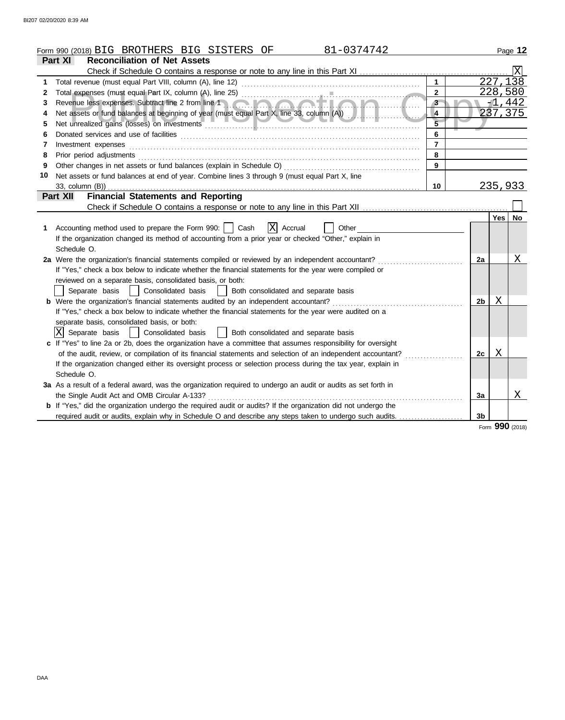|    | 81-0374742<br>Form 990 (2018) BIG BROTHERS BIG SISTERS OF                                                             |                |                |          | Page 12         |  |
|----|-----------------------------------------------------------------------------------------------------------------------|----------------|----------------|----------|-----------------|--|
|    | <b>Reconciliation of Net Assets</b><br>Part XI                                                                        |                |                |          |                 |  |
|    |                                                                                                                       |                |                |          | Χ               |  |
| 1  |                                                                                                                       |                |                | 227,138  |                 |  |
| 2  |                                                                                                                       | $\overline{2}$ |                | 228,580  |                 |  |
| 3  |                                                                                                                       | $3 -$          |                | $-1,442$ |                 |  |
| 4  | Net assets or fund balances at beginning of year (must equal Part X, line 33, column (A))<br>4                        |                |                |          |                 |  |
| 5  |                                                                                                                       |                |                |          |                 |  |
| 6  |                                                                                                                       | 6              |                |          |                 |  |
| 7  | Investment expenses                                                                                                   | $\overline{7}$ |                |          |                 |  |
| 8  | Prior period adjustments                                                                                              | 8              |                |          |                 |  |
| 9  |                                                                                                                       | 9              |                |          |                 |  |
| 10 | Net assets or fund balances at end of year. Combine lines 3 through 9 (must equal Part X, line                        |                |                |          |                 |  |
|    | 33, column (B))                                                                                                       | 10             |                | 235,933  |                 |  |
|    | <b>Financial Statements and Reporting</b><br>Part XII                                                                 |                |                |          |                 |  |
|    |                                                                                                                       |                |                |          |                 |  |
|    |                                                                                                                       |                |                | Yes   No |                 |  |
| 1. | X Accrual<br>Accounting method used to prepare the Form 990:     Cash<br>Other                                        |                |                |          |                 |  |
|    | If the organization changed its method of accounting from a prior year or checked "Other," explain in                 |                |                |          |                 |  |
|    | Schedule O.                                                                                                           |                |                |          |                 |  |
|    | 2a Were the organization's financial statements compiled or reviewed by an independent accountant?                    |                | 2a             |          | Χ               |  |
|    | If "Yes," check a box below to indicate whether the financial statements for the year were compiled or                |                |                |          |                 |  |
|    | reviewed on a separate basis, consolidated basis, or both:                                                            |                |                |          |                 |  |
|    | Separate basis<br>Consolidated basis<br>Both consolidated and separate basis                                          |                |                |          |                 |  |
|    | <b>b</b> Were the organization's financial statements audited by an independent accountant?                           |                | 2 <sub>b</sub> | Χ        |                 |  |
|    | If "Yes," check a box below to indicate whether the financial statements for the year were audited on a               |                |                |          |                 |  |
|    | separate basis, consolidated basis, or both:                                                                          |                |                |          |                 |  |
|    | X Separate basis<br>Consolidated basis<br>Both consolidated and separate basis                                        |                |                |          |                 |  |
|    | c If "Yes" to line 2a or 2b, does the organization have a committee that assumes responsibility for oversight         |                |                |          |                 |  |
|    | of the audit, review, or compilation of its financial statements and selection of an independent accountant?          |                | 2c             | X        |                 |  |
|    | If the organization changed either its oversight process or selection process during the tax year, explain in         |                |                |          |                 |  |
|    | Schedule O.                                                                                                           |                |                |          |                 |  |
|    | 3a As a result of a federal award, was the organization required to undergo an audit or audits as set forth in        |                |                |          |                 |  |
|    | the Single Audit Act and OMB Circular A-133?                                                                          |                | 3a             |          | Χ               |  |
|    | <b>b</b> If "Yes," did the organization undergo the required audit or audits? If the organization did not undergo the |                |                |          |                 |  |
|    | required audit or audits, explain why in Schedule O and describe any steps taken to undergo such audits.              |                | 3b             |          |                 |  |
|    |                                                                                                                       |                |                |          | Form 990 (2018) |  |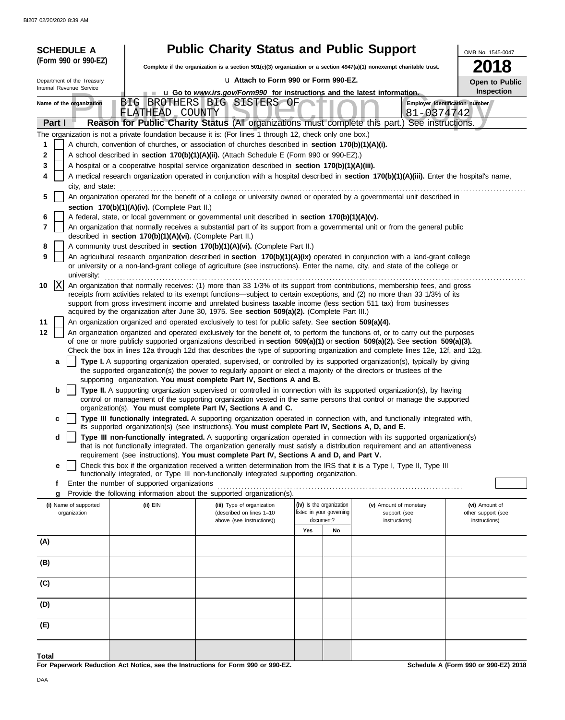|        | <b>SCHEDULE A</b>                                                                                                                                                               |                                                            | <b>Public Charity Status and Public Support</b>                                                                                                                                                |     |                                                      |                                                                                                                                                                                                                                                                                                                                                                                                    | OMB No. 1545-0047                    |  |
|--------|---------------------------------------------------------------------------------------------------------------------------------------------------------------------------------|------------------------------------------------------------|------------------------------------------------------------------------------------------------------------------------------------------------------------------------------------------------|-----|------------------------------------------------------|----------------------------------------------------------------------------------------------------------------------------------------------------------------------------------------------------------------------------------------------------------------------------------------------------------------------------------------------------------------------------------------------------|--------------------------------------|--|
|        | (Form 990 or 990-EZ)                                                                                                                                                            |                                                            | Complete if the organization is a section 501(c)(3) organization or a section $4947(a)(1)$ nonexempt charitable trust.                                                                         |     |                                                      |                                                                                                                                                                                                                                                                                                                                                                                                    |                                      |  |
|        | Department of the Treasury                                                                                                                                                      |                                                            | u Attach to Form 990 or Form 990-EZ.                                                                                                                                                           |     |                                                      |                                                                                                                                                                                                                                                                                                                                                                                                    | Open to Public                       |  |
|        | Internal Revenue Service                                                                                                                                                        |                                                            | <b>u</b> Go to <i>www.irs.gov/Form990</i> for instructions and the latest information.                                                                                                         |     |                                                      |                                                                                                                                                                                                                                                                                                                                                                                                    | Inspection                           |  |
|        | Name of the organization                                                                                                                                                        | FLATHEAD COUNTY                                            | BIG BROTHERS BIG SISTERS OF                                                                                                                                                                    |     |                                                      | Employer identification number<br>81-0374742                                                                                                                                                                                                                                                                                                                                                       |                                      |  |
|        | Part I                                                                                                                                                                          |                                                            |                                                                                                                                                                                                |     |                                                      | Reason for Public Charity Status (All organizations must complete this part.) See instructions.                                                                                                                                                                                                                                                                                                    |                                      |  |
|        |                                                                                                                                                                                 |                                                            | The organization is not a private foundation because it is: (For lines 1 through 12, check only one box.)                                                                                      |     |                                                      |                                                                                                                                                                                                                                                                                                                                                                                                    |                                      |  |
| 1<br>2 |                                                                                                                                                                                 |                                                            | A church, convention of churches, or association of churches described in <b>section 170(b)(1)(A)(i).</b>                                                                                      |     |                                                      |                                                                                                                                                                                                                                                                                                                                                                                                    |                                      |  |
| 3      |                                                                                                                                                                                 |                                                            | A school described in section 170(b)(1)(A)(ii). (Attach Schedule E (Form 990 or 990-EZ).)<br>A hospital or a cooperative hospital service organization described in section 170(b)(1)(A)(iii). |     |                                                      |                                                                                                                                                                                                                                                                                                                                                                                                    |                                      |  |
| 4      | A medical research organization operated in conjunction with a hospital described in section 170(b)(1)(A)(iii). Enter the hospital's name,                                      |                                                            |                                                                                                                                                                                                |     |                                                      |                                                                                                                                                                                                                                                                                                                                                                                                    |                                      |  |
|        | city, and state:                                                                                                                                                                |                                                            |                                                                                                                                                                                                |     |                                                      |                                                                                                                                                                                                                                                                                                                                                                                                    |                                      |  |
|        | An organization operated for the benefit of a college or university owned or operated by a governmental unit described in<br>5<br>section 170(b)(1)(A)(iv). (Complete Part II.) |                                                            |                                                                                                                                                                                                |     |                                                      |                                                                                                                                                                                                                                                                                                                                                                                                    |                                      |  |
| 6      |                                                                                                                                                                                 |                                                            | A federal, state, or local government or governmental unit described in section 170(b)(1)(A)(v).                                                                                               |     |                                                      |                                                                                                                                                                                                                                                                                                                                                                                                    |                                      |  |
| 7      |                                                                                                                                                                                 | described in section 170(b)(1)(A)(vi). (Complete Part II.) |                                                                                                                                                                                                |     |                                                      | An organization that normally receives a substantial part of its support from a governmental unit or from the general public                                                                                                                                                                                                                                                                       |                                      |  |
| 8      |                                                                                                                                                                                 |                                                            | A community trust described in section 170(b)(1)(A)(vi). (Complete Part II.)                                                                                                                   |     |                                                      |                                                                                                                                                                                                                                                                                                                                                                                                    |                                      |  |
| 9      | university:                                                                                                                                                                     |                                                            |                                                                                                                                                                                                |     |                                                      | An agricultural research organization described in section 170(b)(1)(A)(ix) operated in conjunction with a land-grant college<br>or university or a non-land-grant college of agriculture (see instructions). Enter the name, city, and state of the college or                                                                                                                                    |                                      |  |
| 10     | X                                                                                                                                                                               |                                                            |                                                                                                                                                                                                |     |                                                      | An organization that normally receives: (1) more than 33 1/3% of its support from contributions, membership fees, and gross                                                                                                                                                                                                                                                                        |                                      |  |
|        |                                                                                                                                                                                 |                                                            |                                                                                                                                                                                                |     |                                                      | receipts from activities related to its exempt functions—subject to certain exceptions, and (2) no more than 33 1/3% of its<br>support from gross investment income and unrelated business taxable income (less section 511 tax) from businesses                                                                                                                                                   |                                      |  |
|        |                                                                                                                                                                                 |                                                            | acquired by the organization after June 30, 1975. See section 509(a)(2). (Complete Part III.)                                                                                                  |     |                                                      |                                                                                                                                                                                                                                                                                                                                                                                                    |                                      |  |
| 11     |                                                                                                                                                                                 |                                                            | An organization organized and operated exclusively to test for public safety. See section 509(a)(4).                                                                                           |     |                                                      |                                                                                                                                                                                                                                                                                                                                                                                                    |                                      |  |
| 12     |                                                                                                                                                                                 |                                                            |                                                                                                                                                                                                |     |                                                      | An organization organized and operated exclusively for the benefit of, to perform the functions of, or to carry out the purposes<br>of one or more publicly supported organizations described in section 509(a)(1) or section 509(a)(2). See section 509(a)(3).<br>Check the box in lines 12a through 12d that describes the type of supporting organization and complete lines 12e, 12f, and 12g. |                                      |  |
|        | a                                                                                                                                                                               |                                                            |                                                                                                                                                                                                |     |                                                      | Type I. A supporting organization operated, supervised, or controlled by its supported organization(s), typically by giving                                                                                                                                                                                                                                                                        |                                      |  |
|        |                                                                                                                                                                                 |                                                            | the supported organization(s) the power to regularly appoint or elect a majority of the directors or trustees of the<br>supporting organization. You must complete Part IV, Sections A and B.  |     |                                                      |                                                                                                                                                                                                                                                                                                                                                                                                    |                                      |  |
|        | b                                                                                                                                                                               |                                                            |                                                                                                                                                                                                |     |                                                      | Type II. A supporting organization supervised or controlled in connection with its supported organization(s), by having                                                                                                                                                                                                                                                                            |                                      |  |
|        |                                                                                                                                                                                 |                                                            | organization(s). You must complete Part IV, Sections A and C.                                                                                                                                  |     |                                                      | control or management of the supporting organization vested in the same persons that control or manage the supported                                                                                                                                                                                                                                                                               |                                      |  |
|        | c                                                                                                                                                                               |                                                            | its supported organization(s) (see instructions). You must complete Part IV, Sections A, D, and E.                                                                                             |     |                                                      | Type III functionally integrated. A supporting organization operated in connection with, and functionally integrated with,                                                                                                                                                                                                                                                                         |                                      |  |
|        | d                                                                                                                                                                               |                                                            |                                                                                                                                                                                                |     |                                                      | Type III non-functionally integrated. A supporting organization operated in connection with its supported organization(s)<br>that is not functionally integrated. The organization generally must satisfy a distribution requirement and an attentiveness                                                                                                                                          |                                      |  |
|        |                                                                                                                                                                                 |                                                            | requirement (see instructions). You must complete Part IV, Sections A and D, and Part V.                                                                                                       |     |                                                      |                                                                                                                                                                                                                                                                                                                                                                                                    |                                      |  |
|        | е                                                                                                                                                                               |                                                            | functionally integrated, or Type III non-functionally integrated supporting organization.                                                                                                      |     |                                                      | Check this box if the organization received a written determination from the IRS that it is a Type I, Type II, Type III                                                                                                                                                                                                                                                                            |                                      |  |
|        | f                                                                                                                                                                               | Enter the number of supported organizations                |                                                                                                                                                                                                |     |                                                      |                                                                                                                                                                                                                                                                                                                                                                                                    |                                      |  |
|        | g                                                                                                                                                                               |                                                            | Provide the following information about the supported organization(s).                                                                                                                         |     |                                                      |                                                                                                                                                                                                                                                                                                                                                                                                    |                                      |  |
|        | (i) Name of supported<br>organization                                                                                                                                           | (ii) EIN                                                   | (iii) Type of organization<br>(described on lines 1-10                                                                                                                                         |     | (iv) Is the organization<br>listed in your governing | (v) Amount of monetary<br>support (see                                                                                                                                                                                                                                                                                                                                                             | (vi) Amount of<br>other support (see |  |
|        |                                                                                                                                                                                 |                                                            | above (see instructions))                                                                                                                                                                      |     | document?                                            | instructions)                                                                                                                                                                                                                                                                                                                                                                                      | instructions)                        |  |
| (A)    |                                                                                                                                                                                 |                                                            |                                                                                                                                                                                                | Yes | No                                                   |                                                                                                                                                                                                                                                                                                                                                                                                    |                                      |  |
| (B)    |                                                                                                                                                                                 |                                                            |                                                                                                                                                                                                |     |                                                      |                                                                                                                                                                                                                                                                                                                                                                                                    |                                      |  |
| (C)    |                                                                                                                                                                                 |                                                            |                                                                                                                                                                                                |     |                                                      |                                                                                                                                                                                                                                                                                                                                                                                                    |                                      |  |
| (D)    |                                                                                                                                                                                 |                                                            |                                                                                                                                                                                                |     |                                                      |                                                                                                                                                                                                                                                                                                                                                                                                    |                                      |  |
| (E)    |                                                                                                                                                                                 |                                                            |                                                                                                                                                                                                |     |                                                      |                                                                                                                                                                                                                                                                                                                                                                                                    |                                      |  |
|        |                                                                                                                                                                                 |                                                            |                                                                                                                                                                                                |     |                                                      |                                                                                                                                                                                                                                                                                                                                                                                                    |                                      |  |
| Total  |                                                                                                                                                                                 |                                                            | For Paperwork Reduction Act Notice, see the Instructions for Form 990 or 990-EZ.                                                                                                               |     |                                                      |                                                                                                                                                                                                                                                                                                                                                                                                    | Schedule A (Form 990 or 990-EZ) 2018 |  |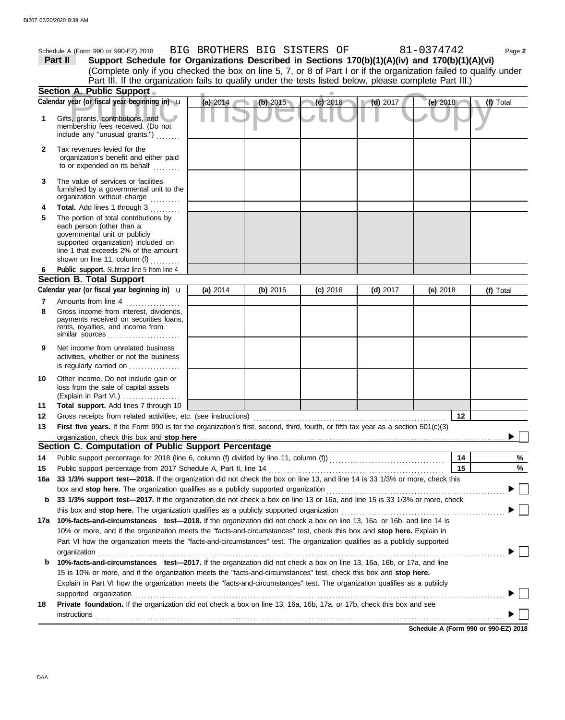|              | Schedule A (Form 990 or 990-EZ) 2018 BIG BROTHERS BIG SISTERS OF                                                                                                                                                   |          |          |            |            | 81-0374742 | Page 2    |
|--------------|--------------------------------------------------------------------------------------------------------------------------------------------------------------------------------------------------------------------|----------|----------|------------|------------|------------|-----------|
|              | Support Schedule for Organizations Described in Sections 170(b)(1)(A)(iv) and 170(b)(1)(A)(vi)<br>Part II                                                                                                          |          |          |            |            |            |           |
|              | (Complete only if you checked the box on line 5, 7, or 8 of Part I or if the organization failed to qualify under                                                                                                  |          |          |            |            |            |           |
|              | Part III. If the organization fails to qualify under the tests listed below, please complete Part III.)                                                                                                            |          |          |            |            |            |           |
|              | Section A. Public Support                                                                                                                                                                                          |          |          |            |            |            |           |
|              | Calendar year (or fiscal year beginning in) <b>u</b>                                                                                                                                                               | (a) 2014 | (b) 2015 | (c) 2016   | $(d)$ 2017 | (e) $2018$ | (f) Total |
| 1            | Gifts, grants, contributions, and<br>membership fees received. (Do not<br>include any "unusual grants.")                                                                                                           |          |          |            |            |            |           |
| $\mathbf{2}$ | Tax revenues levied for the<br>organization's benefit and either paid<br>to or expended on its behalf                                                                                                              |          |          |            |            |            |           |
| 3            | The value of services or facilities<br>furnished by a governmental unit to the<br>organization without charge                                                                                                      |          |          |            |            |            |           |
| 4            | Total. Add lines 1 through 3                                                                                                                                                                                       |          |          |            |            |            |           |
| 5            | The portion of total contributions by<br>each person (other than a<br>governmental unit or publicly<br>supported organization) included on<br>line 1 that exceeds 2% of the amount<br>shown on line 11, column (f) |          |          |            |            |            |           |
| 6            | Public support. Subtract line 5 from line 4                                                                                                                                                                        |          |          |            |            |            |           |
|              | <b>Section B. Total Support</b>                                                                                                                                                                                    |          |          |            |            |            |           |
|              | Calendar year (or fiscal year beginning in) $\mathbf u$                                                                                                                                                            | (a) 2014 | (b) 2015 | $(c)$ 2016 | $(d)$ 2017 | (e) $2018$ | (f) Total |
| 7<br>8       | Amounts from line 4<br>Gross income from interest, dividends,<br>payments received on securities loans,<br>rents, royalties, and income from<br>similar sources                                                    |          |          |            |            |            |           |
| 9            | Net income from unrelated business<br>activities, whether or not the business<br>is regularly carried on                                                                                                           |          |          |            |            |            |           |
| 10           | Other income. Do not include gain or<br>loss from the sale of capital assets<br>(Explain in Part VI.)                                                                                                              |          |          |            |            |            |           |
| 11           | Total support. Add lines 7 through 10                                                                                                                                                                              |          |          |            |            |            |           |
| 12           |                                                                                                                                                                                                                    |          |          |            |            | 12         |           |
| 13           | First five years. If the Form 990 is for the organization's first, second, third, fourth, or fifth tax year as a section 501(c)(3)                                                                                 |          |          |            |            |            |           |
|              | organization, check this box and stop here                                                                                                                                                                         |          |          |            |            |            |           |
|              | Section C. Computation of Public Support Percentage                                                                                                                                                                |          |          |            |            |            |           |
| 14           |                                                                                                                                                                                                                    |          |          |            |            | 14         | %         |
| 15           | Public support percentage from 2017 Schedule A, Part II, line 14                                                                                                                                                   |          |          |            |            | 15         | $\%$      |
| 16a          | 33 1/3% support test-2018. If the organization did not check the box on line 13, and line 14 is 33 1/3% or more, check this                                                                                        |          |          |            |            |            |           |
| b            | box and stop here. The organization qualifies as a publicly supported organization<br>33 1/3% support test-2017. If the organization did not check a box on line 13 or 16a, and line 15 is 33 1/3% or more, check  |          |          |            |            |            |           |
|              | this box and stop here. The organization qualifies as a publicly supported organization                                                                                                                            |          |          |            |            |            |           |
| 17а          | 10%-facts-and-circumstances test-2018. If the organization did not check a box on line 13, 16a, or 16b, and line 14 is                                                                                             |          |          |            |            |            |           |
|              | 10% or more, and if the organization meets the "facts-and-circumstances" test, check this box and stop here. Explain in                                                                                            |          |          |            |            |            |           |
|              | Part VI how the organization meets the "facts-and-circumstances" test. The organization qualifies as a publicly supported                                                                                          |          |          |            |            |            |           |
|              | organization                                                                                                                                                                                                       |          |          |            |            |            |           |
| b            | 10%-facts-and-circumstances test-2017. If the organization did not check a box on line 13, 16a, 16b, or 17a, and line                                                                                              |          |          |            |            |            |           |
|              | 15 is 10% or more, and if the organization meets the "facts-and-circumstances" test, check this box and stop here.                                                                                                 |          |          |            |            |            |           |
|              | Explain in Part VI how the organization meets the "facts-and-circumstances" test. The organization qualifies as a publicly                                                                                         |          |          |            |            |            |           |
|              | supported organization                                                                                                                                                                                             |          |          |            |            |            |           |
| 18           | Private foundation. If the organization did not check a box on line 13, 16a, 16b, 17a, or 17b, check this box and see                                                                                              |          |          |            |            |            |           |
|              | <b>instructions</b>                                                                                                                                                                                                |          |          |            |            |            |           |
|              |                                                                                                                                                                                                                    |          |          |            |            |            |           |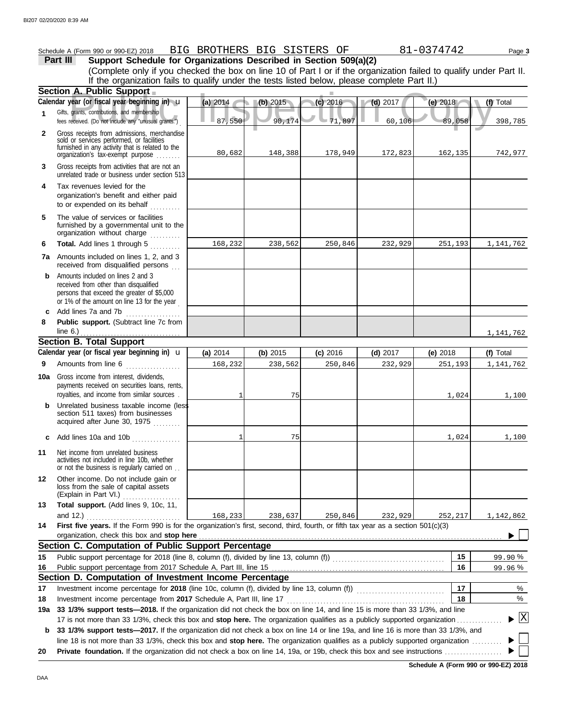|              | Schedule A (Form 990 or 990-EZ) 2018<br>Part III<br>Support Schedule for Organizations Described in Section 509(a)(2)                                                                                                                                           | BIG BROTHERS BIG SISTERS OF |            |            |                 | 81-0374742 | Page 3              |
|--------------|-----------------------------------------------------------------------------------------------------------------------------------------------------------------------------------------------------------------------------------------------------------------|-----------------------------|------------|------------|-----------------|------------|---------------------|
|              | (Complete only if you checked the box on line 10 of Part I or if the organization failed to qualify under Part II.<br>If the organization fails to qualify under the tests listed below, please complete Part II.)                                              |                             |            |            |                 |            |                     |
|              | Section A. Public Support                                                                                                                                                                                                                                       |                             |            |            |                 |            |                     |
|              | Calendar year (or fiscal year beginning in) u                                                                                                                                                                                                                   | (a) $2014$                  | (b) 2015   | $(c)$ 2016 | $\sqrt{d}$ 2017 | (e) 2018   | (f) Total           |
| 1            | Gifts, grants, contributions, and membership<br>fees received. (Do not include any "unusual grants.")                                                                                                                                                           | 87,550                      | 90,174     | $-71,897$  | 60,106          | 89,058     | 398,785             |
| $\mathbf{2}$ | Gross receipts from admissions, merchandise<br>sold or services performed, or facilities<br>furnished in any activity that is related to the<br>organization's fax-exempt purpose                                                                               | 80,682                      | 148,388    | 178,949    | 172,823         | 162,135    | 742,977             |
| 3            | Gross receipts from activities that are not an<br>unrelated trade or business under section 513                                                                                                                                                                 |                             |            |            |                 |            |                     |
| 4            | Tax revenues levied for the<br>organization's benefit and either paid<br>to or expended on its behalf                                                                                                                                                           |                             |            |            |                 |            |                     |
| 5            | The value of services or facilities<br>furnished by a governmental unit to the<br>organization without charge                                                                                                                                                   |                             |            |            |                 |            |                     |
| 6            | Total. Add lines 1 through 5                                                                                                                                                                                                                                    | 168,232                     | 238,562    | 250,846    | 232,929         | 251,193    | 1,141,762           |
|              | 7a Amounts included on lines 1, 2, and 3<br>received from disqualified persons                                                                                                                                                                                  |                             |            |            |                 |            |                     |
| b            | Amounts included on lines 2 and 3<br>received from other than disqualified<br>persons that exceed the greater of \$5,000<br>or 1% of the amount on line 13 for the year                                                                                         |                             |            |            |                 |            |                     |
|              | c Add lines 7a and 7b $\ldots$                                                                                                                                                                                                                                  |                             |            |            |                 |            |                     |
| 8            | Public support. (Subtract line 7c from<br>line 6.) $\ldots$ $\ldots$ $\ldots$ $\ldots$ $\ldots$ $\ldots$                                                                                                                                                        |                             |            |            |                 |            | 1,141,762           |
|              | <b>Section B. Total Support</b>                                                                                                                                                                                                                                 |                             |            |            |                 |            |                     |
|              | Calendar year (or fiscal year beginning in) $\mathbf u$                                                                                                                                                                                                         | (a) 2014                    | (b) $2015$ | $(c)$ 2016 | $(d)$ 2017      | (e) $2018$ | (f) Total           |
| 9            | Amounts from line 6                                                                                                                                                                                                                                             | 168,232                     | 238,562    | 250,846    | 232,929         | 251,193    | 1,141,762           |
|              | <b>10a</b> Gross income from interest, dividends,<br>payments received on securities loans, rents,<br>royalties, and income from similar sources                                                                                                                | 1                           | 75         |            |                 | 1,024      | 1,100               |
| b            | Unrelated business taxable income (less<br>section 511 taxes) from businesses<br>acquired after June 30, 1975                                                                                                                                                   |                             |            |            |                 |            |                     |
| c            | Add lines 10a and 10b                                                                                                                                                                                                                                           | $\mathbf{1}$                | 75         |            |                 | 1,024      | 1,100               |
| 11           | Net income from unrelated business<br>activities not included in line 10b, whether<br>or not the business is regularly carried on                                                                                                                               |                             |            |            |                 |            |                     |
| 12           | Other income. Do not include gain or<br>loss from the sale of capital assets<br>(Explain in Part VI.)                                                                                                                                                           |                             |            |            |                 |            |                     |
| 13           | Total support. (Add lines 9, 10c, 11,                                                                                                                                                                                                                           |                             |            |            |                 |            |                     |
|              | and 12.) $\qquad \qquad$                                                                                                                                                                                                                                        | 168,233                     | 238,637    | 250,846    | 232,929         | 252,217    | 1,142,862           |
| 14           | First five years. If the Form 990 is for the organization's first, second, third, fourth, or fifth tax year as a section 501(c)(3)<br>organization, check this box and stop here                                                                                |                             |            |            |                 |            |                     |
|              | Section C. Computation of Public Support Percentage                                                                                                                                                                                                             |                             |            |            |                 |            |                     |
| 15           |                                                                                                                                                                                                                                                                 |                             |            |            |                 | 15         | 99.90%              |
| 16           | Section D. Computation of Investment Income Percentage                                                                                                                                                                                                          |                             |            |            |                 | 16         | 99.96%              |
| 17           |                                                                                                                                                                                                                                                                 |                             |            |            |                 | 17         | %                   |
| 18           |                                                                                                                                                                                                                                                                 |                             |            |            |                 | 18         | %                   |
| 19a          | 33 1/3% support tests-2018. If the organization did not check the box on line 14, and line 15 is more than 33 1/3%, and line                                                                                                                                    |                             |            |            |                 |            |                     |
| b            | 17 is not more than 33 1/3%, check this box and stop here. The organization qualifies as a publicly supported organization<br>33 1/3% support tests-2017. If the organization did not check a box on line 14 or line 19a, and line 16 is more than 33 1/3%, and |                             |            |            |                 |            | $\lfloor x \rfloor$ |
|              | line 18 is not more than 33 1/3%, check this box and stop here. The organization qualifies as a publicly supported organization                                                                                                                                 |                             |            |            |                 |            |                     |
| 20           |                                                                                                                                                                                                                                                                 |                             |            |            |                 |            |                     |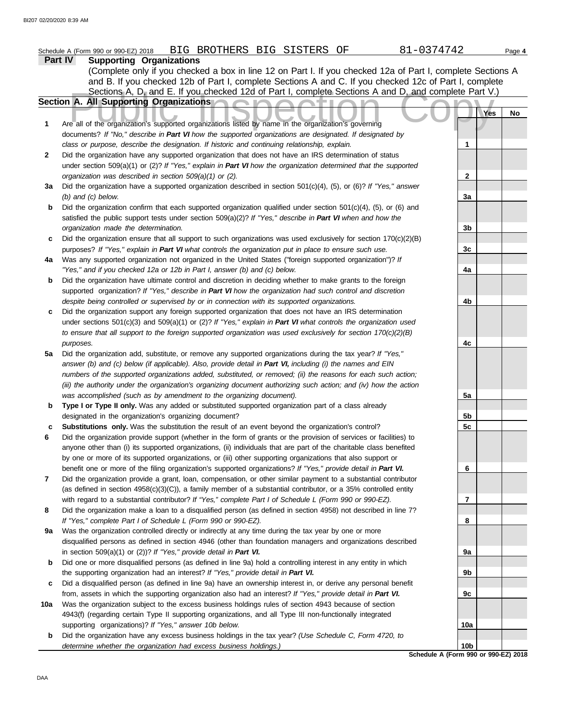#### Sections A, D, and E. If you checked 12d of Part I, complete Sections A and D, and complete Part V.<br>
Public Inspection Comparisons apported organizations listed by name in the organization's governing **Part IV Supporting Organizations** Sections A, D<sub>y</sub> and E. If you checked 12d of Part I, complete Sections A and D, and complete Part V.) Schedule A (Form 990 or 990-EZ) 2018 BIG BROTHERS BIG SISTERS OF 81-0374742 Page 4 **Section A. All Supporting Organizations** (Complete only if you checked a box in line 12 on Part I. If you checked 12a of Part I, complete Sections A and B. If you checked 12b of Part I, complete Sections A and C. If you checked 12c of Part I, complete documents? *If "No," describe in Part VI how the supported organizations are designated. If designated by class or purpose, describe the designation. If historic and continuing relationship, explain.* Did the organization have any supported organization that does not have an IRS determination of status under section 509(a)(1) or (2)? *If "Yes," explain in Part VI how the organization determined that the supported organization was described in section 509(a)(1) or (2).* **1 2 3a** Did the organization have a supported organization described in section 501(c)(4), (5), or (6)? *If "Yes," answer* **b** Did the organization confirm that each supported organization qualified under section 501(c)(4), (5), or (6) and **c** Did the organization ensure that all support to such organizations was used exclusively for section 170(c)(2)(B) *(b) and (c) below.* satisfied the public support tests under section 509(a)(2)? *If "Yes," describe in Part VI when and how the organization made the determination.* purposes? *If "Yes," explain in Part VI what controls the organization put in place to ensure such use.* **Yes No 1 2 3a 3b 3c**

- **4a** Was any supported organization not organized in the United States ("foreign supported organization")? *If "Yes," and if you checked 12a or 12b in Part I, answer (b) and (c) below.*
- **b** Did the organization have ultimate control and discretion in deciding whether to make grants to the foreign supported organization? *If "Yes," describe in Part VI how the organization had such control and discretion despite being controlled or supervised by or in connection with its supported organizations.*
- **c** Did the organization support any foreign supported organization that does not have an IRS determination under sections 501(c)(3) and 509(a)(1) or (2)? *If "Yes," explain in Part VI what controls the organization used to ensure that all support to the foreign supported organization was used exclusively for section 170(c)(2)(B) purposes.*
- **5a** Did the organization add, substitute, or remove any supported organizations during the tax year? *If "Yes,"* answer (b) and (c) below (if applicable). Also, provide detail in Part VI, including (i) the names and EIN *numbers of the supported organizations added, substituted, or removed; (ii) the reasons for each such action; (iii) the authority under the organization's organizing document authorizing such action; and (iv) how the action was accomplished (such as by amendment to the organizing document).*
- **b** Type I or Type II only. Was any added or substituted supported organization part of a class already designated in the organization's organizing document?
- **c Substitutions only.** Was the substitution the result of an event beyond the organization's control?
- **6** Did the organization provide support (whether in the form of grants or the provision of services or facilities) to anyone other than (i) its supported organizations, (ii) individuals that are part of the charitable class benefited by one or more of its supported organizations, or (iii) other supporting organizations that also support or benefit one or more of the filing organization's supported organizations? *If "Yes," provide detail in Part VI.*
- **7** Did the organization provide a grant, loan, compensation, or other similar payment to a substantial contributor (as defined in section 4958(c)(3)(C)), a family member of a substantial contributor, or a 35% controlled entity with regard to a substantial contributor? *If "Yes," complete Part I of Schedule L (Form 990 or 990-EZ).*
- **8** Did the organization make a loan to a disqualified person (as defined in section 4958) not described in line 7? *If "Yes," complete Part I of Schedule L (Form 990 or 990-EZ).*
- **9a** Was the organization controlled directly or indirectly at any time during the tax year by one or more disqualified persons as defined in section 4946 (other than foundation managers and organizations described in section 509(a)(1) or (2))? *If "Yes," provide detail in Part VI.*
- **b** Did one or more disqualified persons (as defined in line 9a) hold a controlling interest in any entity in which the supporting organization had an interest? *If "Yes," provide detail in Part VI.*
- **c** Did a disqualified person (as defined in line 9a) have an ownership interest in, or derive any personal benefit from, assets in which the supporting organization also had an interest? *If "Yes," provide detail in Part VI.*
- **10a** Was the organization subject to the excess business holdings rules of section 4943 because of section 4943(f) (regarding certain Type II supporting organizations, and all Type III non-functionally integrated supporting organizations)? *If "Yes," answer 10b below.*
	- **b** Did the organization have any excess business holdings in the tax year? *(Use Schedule C, Form 4720, to determine whether the organization had excess business holdings.)*

**Schedule A (Form 990 or 990-EZ) 2018 10b**

**4a**

**4b**

**4c**

**5a**

**5b 5c**

**6**

**7**

**8**

**9a**

**9b**

**9c**

**10a**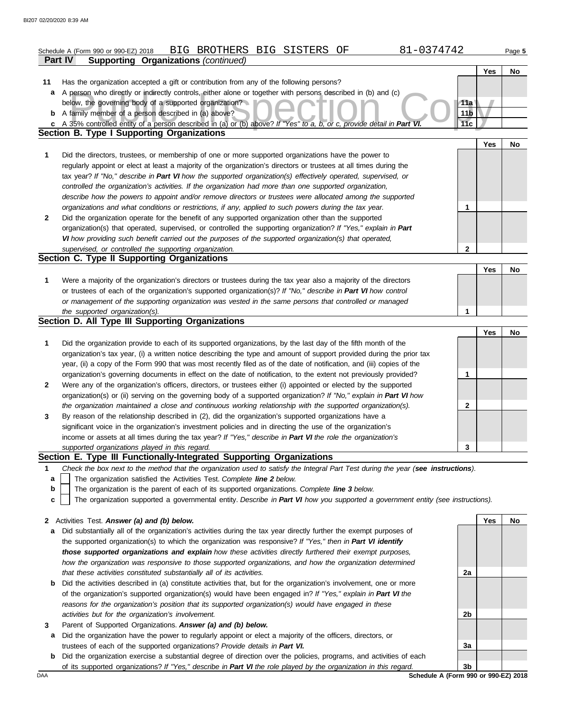| 81-0374742<br>BIG BROTHERS BIG SISTERS<br>ΟF<br>Schedule A (Form 990 or 990-EZ) 2018<br>Page 5 |                                                                                                                                   |                 |     |    |
|------------------------------------------------------------------------------------------------|-----------------------------------------------------------------------------------------------------------------------------------|-----------------|-----|----|
|                                                                                                | Part IV<br><b>Supporting Organizations (continued)</b>                                                                            |                 |     |    |
|                                                                                                |                                                                                                                                   |                 | Yes | No |
| 11                                                                                             | Has the organization accepted a gift or contribution from any of the following persons?                                           |                 |     |    |
| a                                                                                              | A person who directly or indirectly controls, either alone or together with persons described in (b) and (c)                      |                 |     |    |
|                                                                                                | below, the governing body of a supported organization?                                                                            | 11a             |     |    |
| b                                                                                              | A family member of a person described in (a) above?                                                                               | 11 <sub>b</sub> |     |    |
|                                                                                                | c A 35% controlled entity of a person described in (a) or (b) above? If "Yes" to a, b, or c, provide detail in Part VI.           | 11 <sub>c</sub> |     |    |
|                                                                                                | <b>Section B. Type I Supporting Organizations</b>                                                                                 |                 |     |    |
|                                                                                                |                                                                                                                                   |                 | Yes | No |
|                                                                                                |                                                                                                                                   |                 |     |    |
| 1                                                                                              | Did the directors, trustees, or membership of one or more supported organizations have the power to                               |                 |     |    |
|                                                                                                | regularly appoint or elect at least a majority of the organization's directors or trustees at all times during the                |                 |     |    |
|                                                                                                | tax year? If "No," describe in Part VI how the supported organization(s) effectively operated, supervised, or                     |                 |     |    |
|                                                                                                | controlled the organization's activities. If the organization had more than one supported organization,                           |                 |     |    |
|                                                                                                | describe how the powers to appoint and/or remove directors or trustees were allocated among the supported                         |                 |     |    |
|                                                                                                | organizations and what conditions or restrictions, if any, applied to such powers during the tax year.                            | 1               |     |    |
| $\mathbf{2}$                                                                                   | Did the organization operate for the benefit of any supported organization other than the supported                               |                 |     |    |
|                                                                                                | organization(s) that operated, supervised, or controlled the supporting organization? If "Yes," explain in Part                   |                 |     |    |
|                                                                                                | VI how providing such benefit carried out the purposes of the supported organization(s) that operated,                            |                 |     |    |
|                                                                                                | supervised, or controlled the supporting organization.                                                                            | $\mathbf{2}$    |     |    |
|                                                                                                | Section C. Type II Supporting Organizations                                                                                       |                 |     |    |
|                                                                                                |                                                                                                                                   |                 | Yes | No |
| 1                                                                                              | Were a majority of the organization's directors or trustees during the tax year also a majority of the directors                  |                 |     |    |
|                                                                                                | or trustees of each of the organization's supported organization(s)? If "No," describe in Part VI how control                     |                 |     |    |
|                                                                                                | or management of the supporting organization was vested in the same persons that controlled or managed                            |                 |     |    |
|                                                                                                | the supported organization(s).                                                                                                    | 1               |     |    |
|                                                                                                | Section D. All Type III Supporting Organizations                                                                                  |                 |     |    |
|                                                                                                |                                                                                                                                   |                 | Yes | No |
| 1                                                                                              | Did the organization provide to each of its supported organizations, by the last day of the fifth month of the                    |                 |     |    |
|                                                                                                | organization's tax year, (i) a written notice describing the type and amount of support provided during the prior tax             |                 |     |    |
|                                                                                                | year, (ii) a copy of the Form 990 that was most recently filed as of the date of notification, and (iii) copies of the            |                 |     |    |
|                                                                                                | organization's governing documents in effect on the date of notification, to the extent not previously provided?                  | 1               |     |    |
| $\mathbf{2}$                                                                                   | Were any of the organization's officers, directors, or trustees either (i) appointed or elected by the supported                  |                 |     |    |
|                                                                                                |                                                                                                                                   |                 |     |    |
|                                                                                                | organization(s) or (ii) serving on the governing body of a supported organization? If "No," explain in Part VI how                | $\mathbf{2}$    |     |    |
|                                                                                                | the organization maintained a close and continuous working relationship with the supported organization(s).                       |                 |     |    |
| 3                                                                                              | By reason of the relationship described in (2), did the organization's supported organizations have a                             |                 |     |    |
|                                                                                                | significant voice in the organization's investment policies and in directing the use of the organization's                        |                 |     |    |
|                                                                                                | income or assets at all times during the tax year? If "Yes," describe in Part VI the role the organization's                      |                 |     |    |
|                                                                                                | supported organizations played in this regard.                                                                                    | 3               |     |    |
|                                                                                                | Section E. Type III Functionally-Integrated Supporting Organizations                                                              |                 |     |    |
| 1                                                                                              | Check the box next to the method that the organization used to satisfy the Integral Part Test during the year (see instructions). |                 |     |    |
| a                                                                                              | The organization satisfied the Activities Test. Complete line 2 below.                                                            |                 |     |    |
| b                                                                                              | The organization is the parent of each of its supported organizations. Complete line 3 below.                                     |                 |     |    |
| c                                                                                              | The organization supported a governmental entity. Describe in Part VI how you supported a government entity (see instructions).   |                 |     |    |
|                                                                                                |                                                                                                                                   |                 |     |    |
| $\mathbf{2}$                                                                                   | Activities Test. Answer (a) and (b) below.                                                                                        |                 | Yes | No |
| a                                                                                              | Did substantially all of the organization's activities during the tax year directly further the exempt purposes of                |                 |     |    |
|                                                                                                | the supported organization(s) to which the organization was responsive? If "Yes," then in Part VI identify                        |                 |     |    |
|                                                                                                | those supported organizations and explain how these activities directly furthered their exempt purposes,                          |                 |     |    |
|                                                                                                | how the organization was responsive to those supported organizations, and how the organization determined                         |                 |     |    |
|                                                                                                | that these activities constituted substantially all of its activities.                                                            | 2a              |     |    |
| b                                                                                              | Did the activities described in (a) constitute activities that, but for the organization's involvement, one or more               |                 |     |    |
|                                                                                                | of the organization's supported organization(s) would have been engaged in? If "Yes," explain in Part VI the                      |                 |     |    |
|                                                                                                | reasons for the organization's position that its supported organization(s) would have engaged in these                            |                 |     |    |
|                                                                                                | activities but for the organization's involvement.                                                                                | 2b              |     |    |
| 3                                                                                              | Parent of Supported Organizations. Answer (a) and (b) below.                                                                      |                 |     |    |
|                                                                                                |                                                                                                                                   |                 |     |    |

- **a** Did the organization have the power to regularly appoint or elect a majority of the officers, directors, or trustees of each of the supported organizations? *Provide details in Part VI.*
- **b** Did the organization exercise a substantial degree of direction over the policies, programs, and activities of each Did the organization exercise a substantial degree of direction over the policies, programs, and activities of each of its supported organizations? *If "Yes," describe in Part VI the role played by the organization in this regard.* **3b**

DAA **Schedule A (Form 990 or 990-EZ) 2018**

**3a**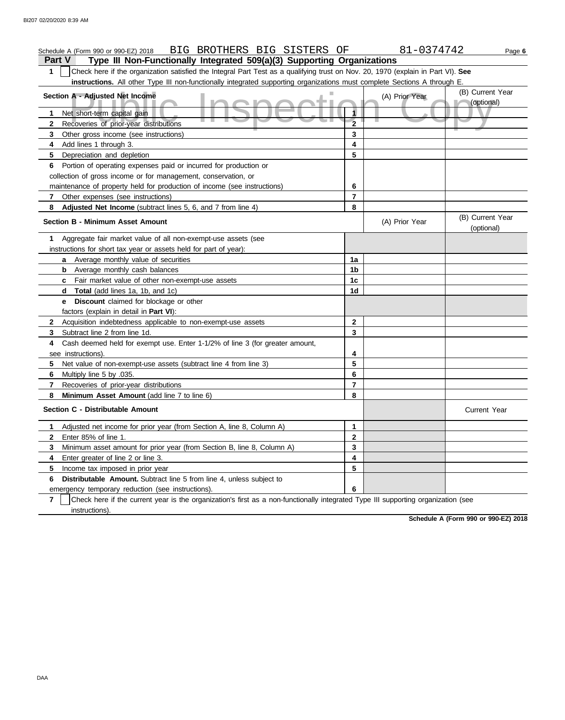#### A - Adjusted Net Income<br>
et short-term capital gain<br>
ecoveries of prior-year distributions **Part V Type III Non-Functionally Integrated 509(a)(3) Supporting Organizations** Schedule A (Form 990 or 990-EZ) 2018 BIG BROTHERS BIG SISTERS OF 81-0374742 Page **6 1** Check here if the organization satisfied the Integral Part Test as a qualifying trust on Nov. 20, 1970 (explain in Part VI). **See instructions.** All other Type III non-functionally integrated supporting organizations must complete Sections A through E. **1** Net short-term capital gain **2 3 4** Add lines 1 through 3. **5** Depreciation and depletion **6** Portion of operating expenses paid or incurred for production or **7 8 Adjusted Net Income** (subtract lines 5, 6, and 7 from line 4) **1** Aggregate fair market value of all non-exempt-use assets (see **Section A - Adjusted Net Income** Recoveries of prior-year distributions Other gross income (see instructions) collection of gross income or for management, conservation, or maintenance of property held for production of income (see instructions) Other expenses (see instructions) **Section B - Minimum Asset Amount** instructions for short tax year or assets held for part of year): **a** Average monthly value of securities **b** Average monthly cash balances **c** Fair market value of other non-exempt-use assets **d Total** (add lines 1a, 1b, and 1c) **e Discount** claimed for blockage or other factors (explain in detail in **Part VI**): **8 Minimum Asset Amount** (add line 7 to line 6) **7 6** Multiply line 5 by .035. **5** Net value of non-exempt-use assets (subtract line 4 from line 3) **4** Cash deemed held for exempt use. Enter 1-1/2% of line 3 (for greater amount, **3** Subtract line 2 from line 1d. **2** Acquisition indebtedness applicable to non-exempt-use assets see instructions). Recoveries of prior-year distributions **Section C - Distributable Amount 7 6 Distributable Amount.** Subtract line 5 from line 4, unless subject to **5** Income tax imposed in prior year **4** Enter greater of line 2 or line 3. **3 2 1** Adjusted net income for prior year (from Section A, line 8, Column A) Enter 85% of line 1. Minimum asset amount for prior year (from Section B, line 8, Column A) emergency temporary reduction (see instructions). instructions). Check here if the current year is the organization's first as a non-functionally integrated Type III supporting organization (see **8 7 6 5 4 3 2 1** (A) Prior Year (B) Current Year (optional) (optional) (B) Current Year (A) Prior Year **1a 1b 1c 1d 2 3 4 5 6 7 8 3 2 1 6 5 4** Current Year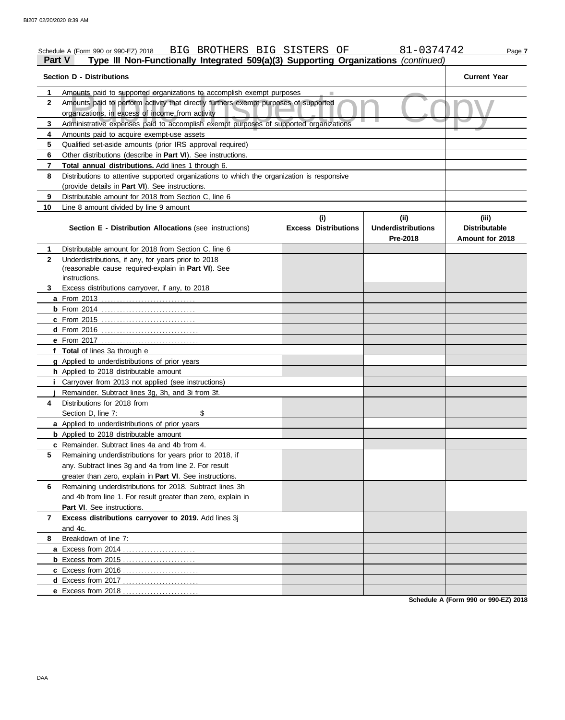| <b>Part V</b>  | BIG BROTHERS BIG SISTERS OF<br>Schedule A (Form 990 or 990-EZ) 2018<br>Type III Non-Functionally Integrated 509(a)(3) Supporting Organizations (continued) |                                    | 81-0374742                                    | Page 7                                           |  |  |  |
|----------------|------------------------------------------------------------------------------------------------------------------------------------------------------------|------------------------------------|-----------------------------------------------|--------------------------------------------------|--|--|--|
|                | <b>Section D - Distributions</b>                                                                                                                           |                                    |                                               | <b>Current Year</b>                              |  |  |  |
| 1              | Amounts paid to supported organizations to accomplish exempt purposes                                                                                      |                                    |                                               |                                                  |  |  |  |
| $\mathbf{2}$   | Amounts paid to perform activity that directly furthers exempt purposes of supported<br>organizations, in excess of income from activity                   |                                    |                                               |                                                  |  |  |  |
| 3              | Administrative expenses paid to accomplish exempt purposes of supported organizations                                                                      |                                    |                                               |                                                  |  |  |  |
| 4              | Amounts paid to acquire exempt-use assets                                                                                                                  |                                    |                                               |                                                  |  |  |  |
| 5              | Qualified set-aside amounts (prior IRS approval required)                                                                                                  |                                    |                                               |                                                  |  |  |  |
| 6              | Other distributions (describe in Part VI). See instructions.                                                                                               |                                    |                                               |                                                  |  |  |  |
| $\overline{7}$ | Total annual distributions. Add lines 1 through 6.                                                                                                         |                                    |                                               |                                                  |  |  |  |
| 8              | Distributions to attentive supported organizations to which the organization is responsive                                                                 |                                    |                                               |                                                  |  |  |  |
|                | (provide details in Part VI). See instructions.                                                                                                            |                                    |                                               |                                                  |  |  |  |
| 9              | Distributable amount for 2018 from Section C, line 6                                                                                                       |                                    |                                               |                                                  |  |  |  |
| 10             | Line 8 amount divided by line 9 amount                                                                                                                     |                                    |                                               |                                                  |  |  |  |
|                | <b>Section E - Distribution Allocations (see instructions)</b>                                                                                             | (i)<br><b>Excess Distributions</b> | (ii)<br><b>Underdistributions</b><br>Pre-2018 | (iii)<br><b>Distributable</b><br>Amount for 2018 |  |  |  |
| 1              | Distributable amount for 2018 from Section C, line 6                                                                                                       |                                    |                                               |                                                  |  |  |  |
| $\mathbf{2}$   | Underdistributions, if any, for years prior to 2018<br>(reasonable cause required-explain in Part VI). See<br>instructions.                                |                                    |                                               |                                                  |  |  |  |
| 3.             | Excess distributions carryover, if any, to 2018                                                                                                            |                                    |                                               |                                                  |  |  |  |
|                |                                                                                                                                                            |                                    |                                               |                                                  |  |  |  |
|                |                                                                                                                                                            |                                    |                                               |                                                  |  |  |  |
|                | c From 2015                                                                                                                                                |                                    |                                               |                                                  |  |  |  |
|                |                                                                                                                                                            |                                    |                                               |                                                  |  |  |  |
|                | e From 2017                                                                                                                                                |                                    |                                               |                                                  |  |  |  |
|                | f Total of lines 3a through e                                                                                                                              |                                    |                                               |                                                  |  |  |  |
|                | g Applied to underdistributions of prior years                                                                                                             |                                    |                                               |                                                  |  |  |  |
|                | h Applied to 2018 distributable amount                                                                                                                     |                                    |                                               |                                                  |  |  |  |
|                | Carryover from 2013 not applied (see instructions)                                                                                                         |                                    |                                               |                                                  |  |  |  |
|                | Remainder. Subtract lines 3g, 3h, and 3i from 3f.                                                                                                          |                                    |                                               |                                                  |  |  |  |
| 4              | Distributions for 2018 from                                                                                                                                |                                    |                                               |                                                  |  |  |  |
|                | \$<br>Section D, line 7:                                                                                                                                   |                                    |                                               |                                                  |  |  |  |
|                | a Applied to underdistributions of prior years                                                                                                             |                                    |                                               |                                                  |  |  |  |
|                | <b>b</b> Applied to 2018 distributable amount                                                                                                              |                                    |                                               |                                                  |  |  |  |
|                | c Remainder. Subtract lines 4a and 4b from 4.                                                                                                              |                                    |                                               |                                                  |  |  |  |
| 5.             | Remaining underdistributions for years prior to 2018, if                                                                                                   |                                    |                                               |                                                  |  |  |  |
|                | any. Subtract lines 3g and 4a from line 2. For result                                                                                                      |                                    |                                               |                                                  |  |  |  |
|                | greater than zero, explain in Part VI. See instructions.                                                                                                   |                                    |                                               |                                                  |  |  |  |
| 6              | Remaining underdistributions for 2018. Subtract lines 3h                                                                                                   |                                    |                                               |                                                  |  |  |  |
|                | and 4b from line 1. For result greater than zero, explain in                                                                                               |                                    |                                               |                                                  |  |  |  |
|                | Part VI. See instructions.                                                                                                                                 |                                    |                                               |                                                  |  |  |  |
| 7              | Excess distributions carryover to 2019. Add lines 3j                                                                                                       |                                    |                                               |                                                  |  |  |  |
|                | and 4c.                                                                                                                                                    |                                    |                                               |                                                  |  |  |  |
| 8              | Breakdown of line 7:                                                                                                                                       |                                    |                                               |                                                  |  |  |  |
|                |                                                                                                                                                            |                                    |                                               |                                                  |  |  |  |
|                |                                                                                                                                                            |                                    |                                               |                                                  |  |  |  |
|                |                                                                                                                                                            |                                    |                                               |                                                  |  |  |  |
|                |                                                                                                                                                            |                                    |                                               |                                                  |  |  |  |
|                | e Excess from 2018                                                                                                                                         |                                    |                                               |                                                  |  |  |  |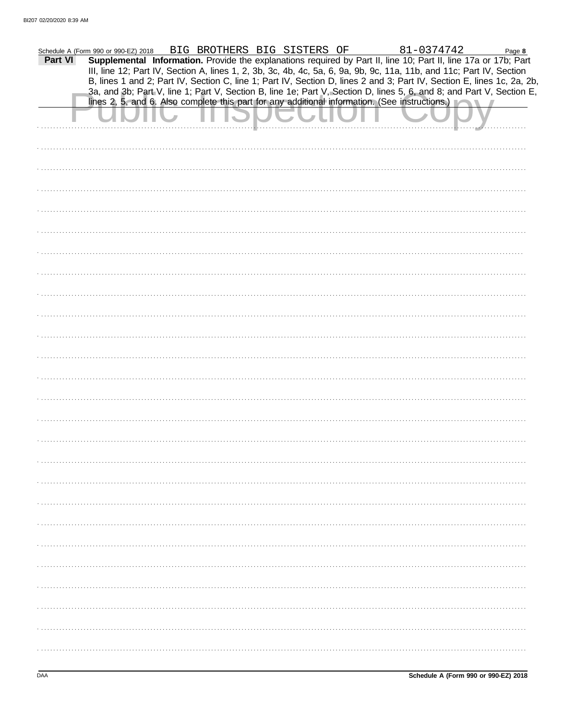|         | Schedule A (Form 990 or 990-EZ) 2018                                                                                 |  | BIG BROTHERS BIG SISTERS OF |  |  |  | 81-0374742 |               | Page 8                                                                                                                 |
|---------|----------------------------------------------------------------------------------------------------------------------|--|-----------------------------|--|--|--|------------|---------------|------------------------------------------------------------------------------------------------------------------------|
| Part VI | Supplemental Information. Provide the explanations required by Part II, line 10; Part II, line 17a or 17b; Part      |  |                             |  |  |  |            |               |                                                                                                                        |
|         | III, line 12; Part IV, Section A, lines 1, 2, 3b, 3c, 4b, 4c, 5a, 6, 9a, 9b, 9c, 11a, 11b, and 11c; Part IV, Section |  |                             |  |  |  |            |               | B, lines 1 and 2; Part IV, Section C, line 1; Part IV, Section D, lines 2 and 3; Part IV, Section E, lines 1c, 2a, 2b, |
|         |                                                                                                                      |  |                             |  |  |  |            |               | 3a, and 3b; Part V, line 1; Part V, Section B, line 1e; Part V, Section D, lines 5, 6, and 8; and Part V, Section E,   |
|         | lines 2, 5, and 6. Also complete this part for any additional information. (See instructions.)                       |  |                             |  |  |  |            | $\mathcal{R}$ |                                                                                                                        |
|         |                                                                                                                      |  |                             |  |  |  |            |               |                                                                                                                        |
|         |                                                                                                                      |  |                             |  |  |  |            |               |                                                                                                                        |
|         |                                                                                                                      |  |                             |  |  |  |            |               |                                                                                                                        |
|         |                                                                                                                      |  |                             |  |  |  |            |               |                                                                                                                        |
|         |                                                                                                                      |  |                             |  |  |  |            |               |                                                                                                                        |
|         |                                                                                                                      |  |                             |  |  |  |            |               |                                                                                                                        |
|         |                                                                                                                      |  |                             |  |  |  |            |               |                                                                                                                        |
|         |                                                                                                                      |  |                             |  |  |  |            |               |                                                                                                                        |
|         |                                                                                                                      |  |                             |  |  |  |            |               |                                                                                                                        |
|         |                                                                                                                      |  |                             |  |  |  |            |               |                                                                                                                        |
|         |                                                                                                                      |  |                             |  |  |  |            |               |                                                                                                                        |
|         |                                                                                                                      |  |                             |  |  |  |            |               |                                                                                                                        |
|         |                                                                                                                      |  |                             |  |  |  |            |               |                                                                                                                        |
|         |                                                                                                                      |  |                             |  |  |  |            |               |                                                                                                                        |
|         |                                                                                                                      |  |                             |  |  |  |            |               |                                                                                                                        |
|         |                                                                                                                      |  |                             |  |  |  |            |               |                                                                                                                        |
|         |                                                                                                                      |  |                             |  |  |  |            |               |                                                                                                                        |
|         |                                                                                                                      |  |                             |  |  |  |            |               |                                                                                                                        |
|         |                                                                                                                      |  |                             |  |  |  |            |               |                                                                                                                        |
|         |                                                                                                                      |  |                             |  |  |  |            |               |                                                                                                                        |
|         |                                                                                                                      |  |                             |  |  |  |            |               |                                                                                                                        |
|         |                                                                                                                      |  |                             |  |  |  |            |               |                                                                                                                        |
|         |                                                                                                                      |  |                             |  |  |  |            |               |                                                                                                                        |
|         |                                                                                                                      |  |                             |  |  |  |            |               |                                                                                                                        |
|         |                                                                                                                      |  |                             |  |  |  |            |               |                                                                                                                        |
|         |                                                                                                                      |  |                             |  |  |  |            |               |                                                                                                                        |
|         |                                                                                                                      |  |                             |  |  |  |            |               |                                                                                                                        |
|         |                                                                                                                      |  |                             |  |  |  |            |               |                                                                                                                        |
|         |                                                                                                                      |  |                             |  |  |  |            |               |                                                                                                                        |
|         |                                                                                                                      |  |                             |  |  |  |            |               |                                                                                                                        |
|         |                                                                                                                      |  |                             |  |  |  |            |               |                                                                                                                        |
|         |                                                                                                                      |  |                             |  |  |  |            |               |                                                                                                                        |
|         |                                                                                                                      |  |                             |  |  |  |            |               |                                                                                                                        |
|         |                                                                                                                      |  |                             |  |  |  |            |               |                                                                                                                        |
|         |                                                                                                                      |  |                             |  |  |  |            |               |                                                                                                                        |
|         |                                                                                                                      |  |                             |  |  |  |            |               |                                                                                                                        |
|         |                                                                                                                      |  |                             |  |  |  |            |               |                                                                                                                        |
|         |                                                                                                                      |  |                             |  |  |  |            |               |                                                                                                                        |
|         |                                                                                                                      |  |                             |  |  |  |            |               |                                                                                                                        |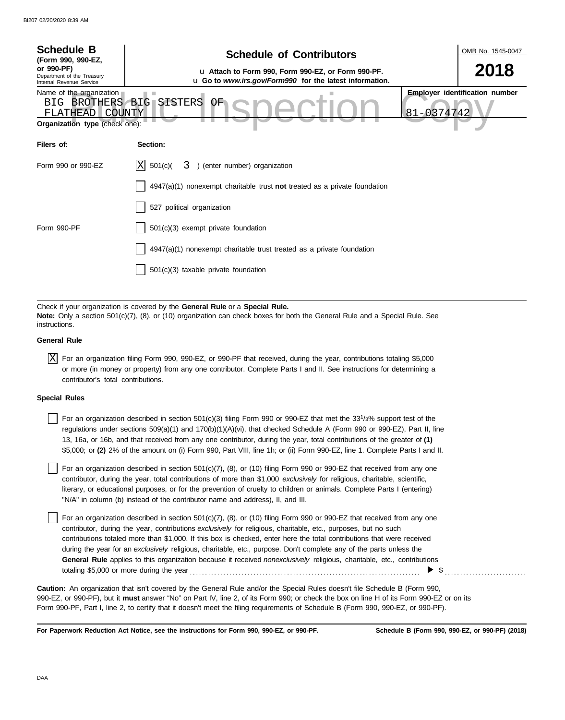| <b>Schedule B</b><br>(Form 990, 990-EZ,                                                                                                                                                                                      | <b>Schedule of Contributors</b>                                                                               |            | OMB No. 1545-0047                     |  |  |  |  |
|------------------------------------------------------------------------------------------------------------------------------------------------------------------------------------------------------------------------------|---------------------------------------------------------------------------------------------------------------|------------|---------------------------------------|--|--|--|--|
| or 990-PF)<br>Department of the Treasury<br>Internal Revenue Service                                                                                                                                                         | u Attach to Form 990, Form 990-EZ, or Form 990-PF.<br>u Go to www.irs.gov/Form990 for the latest information. |            | 2018                                  |  |  |  |  |
| Name of the organization<br>BIG.<br>FLATHEAD COUNTY<br><b>Organization type (check one):</b>                                                                                                                                 | BROTHERS BIG SISTERS<br>OF                                                                                    | 81-0374742 | <b>Employer identification number</b> |  |  |  |  |
| Filers of:                                                                                                                                                                                                                   | Section:                                                                                                      |            |                                       |  |  |  |  |
| Form 990 or 990-EZ                                                                                                                                                                                                           | 501(c)<br>3) (enter number) organization<br>IXI                                                               |            |                                       |  |  |  |  |
|                                                                                                                                                                                                                              | $4947(a)(1)$ nonexempt charitable trust not treated as a private foundation                                   |            |                                       |  |  |  |  |
|                                                                                                                                                                                                                              | 527 political organization                                                                                    |            |                                       |  |  |  |  |
| Form 990-PF                                                                                                                                                                                                                  | 501(c)(3) exempt private foundation                                                                           |            |                                       |  |  |  |  |
|                                                                                                                                                                                                                              | 4947(a)(1) nonexempt charitable trust treated as a private foundation                                         |            |                                       |  |  |  |  |
|                                                                                                                                                                                                                              | 501(c)(3) taxable private foundation                                                                          |            |                                       |  |  |  |  |
|                                                                                                                                                                                                                              |                                                                                                               |            |                                       |  |  |  |  |
| Check if your organization is covered by the General Rule or a Special Rule.<br>Note: Only a section 501(c)(7), (8), or (10) organization can check boxes for both the General Rule and a Special Rule. See<br>instructions. |                                                                                                               |            |                                       |  |  |  |  |

#### **General Rule**

 $\overline{X}$  For an organization filing Form 990, 990-EZ, or 990-PF that received, during the year, contributions totaling \$5,000 or more (in money or property) from any one contributor. Complete Parts I and II. See instructions for determining a contributor's total contributions.

### **Special Rules**

For an organization described in section  $501(c)(3)$  filing Form 990 or 990-EZ that met the 33<sup>1</sup>/3% support test of the regulations under sections 509(a)(1) and 170(b)(1)(A)(vi), that checked Schedule A (Form 990 or 990-EZ), Part II, line 13, 16a, or 16b, and that received from any one contributor, during the year, total contributions of the greater of **(1)** \$5,000; or **(2)** 2% of the amount on (i) Form 990, Part VIII, line 1h; or (ii) Form 990-EZ, line 1. Complete Parts I and II.

literary, or educational purposes, or for the prevention of cruelty to children or animals. Complete Parts I (entering) For an organization described in section 501(c)(7), (8), or (10) filing Form 990 or 990-EZ that received from any one contributor, during the year, total contributions of more than \$1,000 *exclusively* for religious, charitable, scientific, "N/A" in column (b) instead of the contributor name and address), II, and III.

For an organization described in section 501(c)(7), (8), or (10) filing Form 990 or 990-EZ that received from any one contributor, during the year, contributions *exclusively* for religious, charitable, etc., purposes, but no such contributions totaled more than \$1,000. If this box is checked, enter here the total contributions that were received during the year for an *exclusively* religious, charitable, etc., purpose. Don't complete any of the parts unless the **General Rule** applies to this organization because it received *nonexclusively* religious, charitable, etc., contributions totaling \$5,000 or more during the year . . . . . . . . . . . . . . . . . . . . . . . . . . . . . . . . . . . . . . . . . . . . . . . . . . . . . . . . . . . . . . . . . . . . . . . . . . . .  $\blacktriangleright$  \$

990-EZ, or 990-PF), but it **must** answer "No" on Part IV, line 2, of its Form 990; or check the box on line H of its Form 990-EZ or on its Form 990-PF, Part I, line 2, to certify that it doesn't meet the filing requirements of Schedule B (Form 990, 990-EZ, or 990-PF). **Caution:** An organization that isn't covered by the General Rule and/or the Special Rules doesn't file Schedule B (Form 990,

**For Paperwork Reduction Act Notice, see the instructions for Form 990, 990-EZ, or 990-PF.**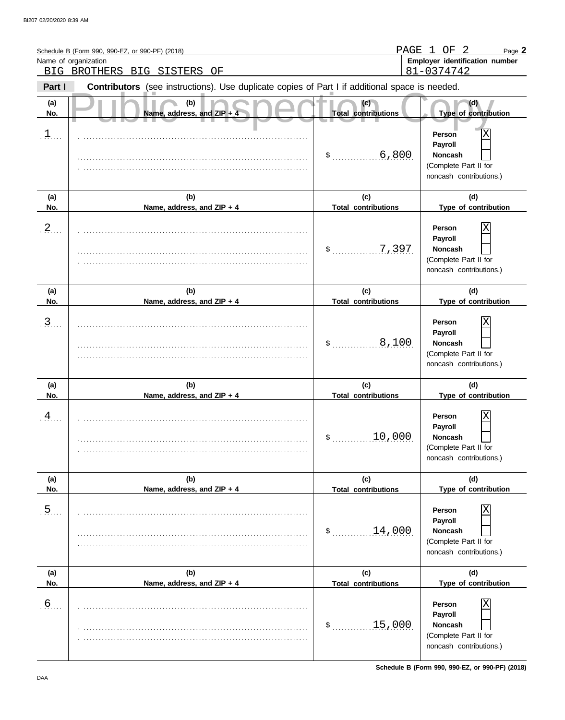|                | Schedule B (Form 990, 990-EZ, or 990-PF) (2018)<br>Name of organization                        | PAGE                              | $\mathbf{1}$<br>OF<br>- 2<br>Page 2<br>Employer identification number                        |
|----------------|------------------------------------------------------------------------------------------------|-----------------------------------|----------------------------------------------------------------------------------------------|
|                | BIG BROTHERS BIG SISTERS<br>ΟF                                                                 |                                   | 81-0374742                                                                                   |
| Part I         | Contributors (see instructions). Use duplicate copies of Part I if additional space is needed. |                                   |                                                                                              |
| (a)<br>No.     | (b)<br>Name, address, and ZIP + 4                                                              | (c)<br><b>Total contributions</b> | (d)<br>Type of contribution                                                                  |
| $\mathfrak{1}$ |                                                                                                | .6, 800<br>$\sim$                 | Χ<br>Person<br>Payroll<br><b>Noncash</b><br>(Complete Part II for<br>noncash contributions.) |
| (a)<br>No.     | (b)<br>Name, address, and ZIP + 4                                                              | (c)<br><b>Total contributions</b> | (d)<br>Type of contribution                                                                  |
| $\frac{2}{2}$  |                                                                                                | 7,397<br>$\sim$                   | Χ<br>Person<br>Payroll<br><b>Noncash</b><br>(Complete Part II for<br>noncash contributions.) |
| (a)            | (b)                                                                                            | (c)                               | (d)                                                                                          |
| No.            | Name, address, and ZIP + 4                                                                     | <b>Total contributions</b>        | Type of contribution                                                                         |
| $\overline{3}$ |                                                                                                | 8,100<br>\$                       | Χ<br>Person<br>Payroll<br><b>Noncash</b><br>(Complete Part II for<br>noncash contributions.) |
| (a)            | (b)                                                                                            | (c)                               | (d)                                                                                          |
| No.            | Name, address, and ZIP + 4                                                                     | <b>Total contributions</b>        | Type of contribution                                                                         |
| $\overline{4}$ |                                                                                                | 10,000<br>\$                      | Χ<br>Person<br>Payroll<br><b>Noncash</b><br>(Complete Part II for<br>noncash contributions.) |
| (a)            | (b)                                                                                            | (c)                               | (d)                                                                                          |
| No.            | Name, address, and ZIP + 4                                                                     | <b>Total contributions</b>        | Type of contribution                                                                         |
| 5 <sub>1</sub> |                                                                                                | 14,000<br>$\mathsf{\$}$           | Χ<br>Person<br>Payroll<br><b>Noncash</b><br>(Complete Part II for<br>noncash contributions.) |
| (a)<br>No.     | (b)<br>Name, address, and ZIP + 4                                                              | (c)<br><b>Total contributions</b> | (d)<br>Type of contribution                                                                  |
| .6             |                                                                                                | 15,000<br>\$                      | Χ<br>Person<br>Payroll<br><b>Noncash</b><br>(Complete Part II for<br>noncash contributions.) |

**Schedule B (Form 990, 990-EZ, or 990-PF) (2018)**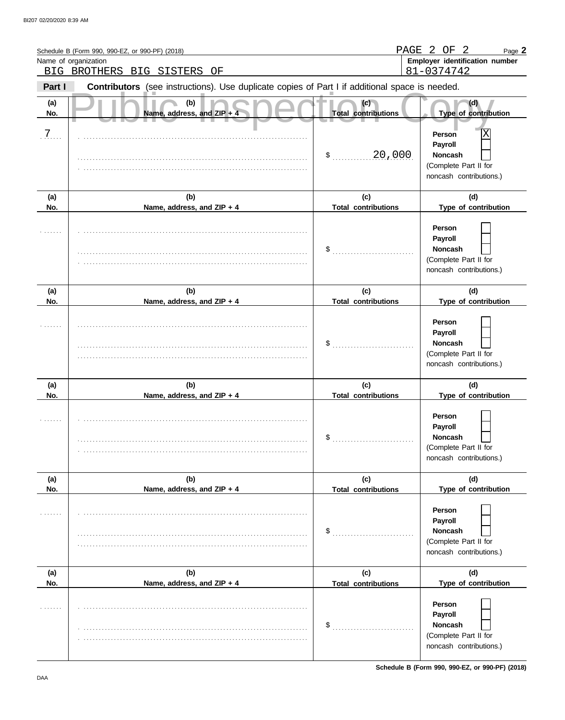|            | Schedule B (Form 990, 990-EZ, or 990-PF) (2018)                                                |                                   | PAGE 2 OF 2<br>Page 2                                                                                           |
|------------|------------------------------------------------------------------------------------------------|-----------------------------------|-----------------------------------------------------------------------------------------------------------------|
|            | Name of organization<br>BIG BROTHERS BIG SISTERS<br>ΟF                                         |                                   | Employer identification number<br>81-0374742                                                                    |
| Part I     | Contributors (see instructions). Use duplicate copies of Part I if additional space is needed. |                                   |                                                                                                                 |
| (a)<br>No. | (b)<br>Name, address, and ZIP + 4                                                              | (c)<br><b>Total contributions</b> | (d)<br>Type of contribution                                                                                     |
| 7.         |                                                                                                | 20,000<br>$\sim$                  | Χ<br>Person<br>Payroll<br><b>Noncash</b><br>(Complete Part II for<br>noncash contributions.)                    |
| (a)        | (b)                                                                                            | (c)                               | (d)                                                                                                             |
| No.        | Name, address, and ZIP + 4                                                                     | <b>Total contributions</b><br>\$  | Type of contribution<br>Person<br>Payroll<br><b>Noncash</b><br>(Complete Part II for<br>noncash contributions.) |
| (a)<br>No. | (b)<br>Name, address, and ZIP + 4                                                              | (c)<br><b>Total contributions</b> | (d)<br>Type of contribution                                                                                     |
|            |                                                                                                | \$                                | Person<br>Payroll<br><b>Noncash</b><br>(Complete Part II for<br>noncash contributions.)                         |
| (a)<br>No. | (b)<br>Name, address, and ZIP + 4                                                              | (c)<br><b>Total contributions</b> | (d)<br>Type of contribution                                                                                     |
|            |                                                                                                | \$                                | Person<br>Payroll<br>Noncash<br>(Complete Part II for<br>noncash contributions.)                                |
| (a)        | (b)                                                                                            | (c)                               | (d)                                                                                                             |
| No.        | Name, address, and ZIP + 4                                                                     | <b>Total contributions</b>        | Type of contribution                                                                                            |
|            |                                                                                                | $\frac{1}{2}$                     | Person<br>Payroll<br>Noncash<br>(Complete Part II for<br>noncash contributions.)                                |
| (a)<br>No. | (b)<br>Name, address, and ZIP + 4                                                              | (c)<br><b>Total contributions</b> | (d)<br>Type of contribution                                                                                     |
|            |                                                                                                | \$                                | Person<br>Payroll<br>Noncash<br>(Complete Part II for<br>noncash contributions.)                                |

**Schedule B (Form 990, 990-EZ, or 990-PF) (2018)**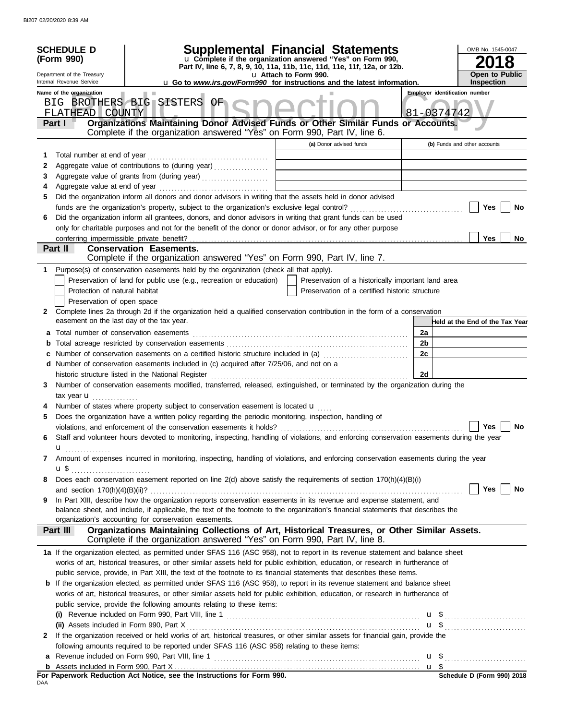|   | <b>SCHEDULE D</b><br>(Form 990)<br>Department of the Treasury<br>Internal Revenue Service<br>Name of the organization |                                                                                                                                                                                                                  | Supplemental Financial Statements<br>u Complete if the organization answered "Yes" on Form 990,<br>Part IV, line 6, 7, 8, 9, 10, 11a, 11b, 11c, 11d, 11e, 11f, 12a, or 12b.<br>u Attach to Form 990.<br><b>u</b> Go to <i>www.irs.gov/Form990</i> for instructions and the latest information. |    | OMB No. 1545-0047<br><b>Open to Public</b><br><b>Inspection</b><br><b>Employer identification number</b> |
|---|-----------------------------------------------------------------------------------------------------------------------|------------------------------------------------------------------------------------------------------------------------------------------------------------------------------------------------------------------|------------------------------------------------------------------------------------------------------------------------------------------------------------------------------------------------------------------------------------------------------------------------------------------------|----|----------------------------------------------------------------------------------------------------------|
|   |                                                                                                                       | BIG BROTHERS BIG SISTERS OF                                                                                                                                                                                      |                                                                                                                                                                                                                                                                                                |    |                                                                                                          |
|   | FLATHEAD COUNTY                                                                                                       |                                                                                                                                                                                                                  |                                                                                                                                                                                                                                                                                                |    | 81-0374742                                                                                               |
|   | Part I                                                                                                                | Organizations Maintaining Donor Advised Funds or Other Similar Funds or Accounts.<br>Complete if the organization answered "Yes" on Form 990, Part IV, line 6.                                                   |                                                                                                                                                                                                                                                                                                |    |                                                                                                          |
|   |                                                                                                                       |                                                                                                                                                                                                                  | (a) Donor advised funds                                                                                                                                                                                                                                                                        |    | (b) Funds and other accounts                                                                             |
| 1 |                                                                                                                       |                                                                                                                                                                                                                  |                                                                                                                                                                                                                                                                                                |    |                                                                                                          |
| 2 |                                                                                                                       | Aggregate value of contributions to (during year)                                                                                                                                                                |                                                                                                                                                                                                                                                                                                |    |                                                                                                          |
| 3 |                                                                                                                       |                                                                                                                                                                                                                  |                                                                                                                                                                                                                                                                                                |    |                                                                                                          |
| 4 |                                                                                                                       |                                                                                                                                                                                                                  |                                                                                                                                                                                                                                                                                                |    |                                                                                                          |
| 5 |                                                                                                                       | Did the organization inform all donors and donor advisors in writing that the assets held in donor advised                                                                                                       |                                                                                                                                                                                                                                                                                                |    |                                                                                                          |
| 6 |                                                                                                                       | Did the organization inform all grantees, donors, and donor advisors in writing that grant funds can be used                                                                                                     |                                                                                                                                                                                                                                                                                                |    | Yes<br>No                                                                                                |
|   |                                                                                                                       | only for charitable purposes and not for the benefit of the donor or donor advisor, or for any other purpose                                                                                                     |                                                                                                                                                                                                                                                                                                |    |                                                                                                          |
|   | conferring impermissible private benefit?                                                                             |                                                                                                                                                                                                                  |                                                                                                                                                                                                                                                                                                |    | <b>Yes</b><br>No                                                                                         |
|   | Part II                                                                                                               | <b>Conservation Easements.</b>                                                                                                                                                                                   |                                                                                                                                                                                                                                                                                                |    |                                                                                                          |
|   |                                                                                                                       | Complete if the organization answered "Yes" on Form 990, Part IV, line 7.                                                                                                                                        |                                                                                                                                                                                                                                                                                                |    |                                                                                                          |
| 1 |                                                                                                                       | Purpose(s) of conservation easements held by the organization (check all that apply).                                                                                                                            |                                                                                                                                                                                                                                                                                                |    |                                                                                                          |
|   |                                                                                                                       | Preservation of land for public use (e.g., recreation or education)                                                                                                                                              | Preservation of a historically important land area                                                                                                                                                                                                                                             |    |                                                                                                          |
|   | Protection of natural habitat                                                                                         |                                                                                                                                                                                                                  | Preservation of a certified historic structure                                                                                                                                                                                                                                                 |    |                                                                                                          |
|   | Preservation of open space                                                                                            |                                                                                                                                                                                                                  |                                                                                                                                                                                                                                                                                                |    |                                                                                                          |
| 2 | easement on the last day of the tax year.                                                                             | Complete lines 2a through 2d if the organization held a qualified conservation contribution in the form of a conservation                                                                                        |                                                                                                                                                                                                                                                                                                |    | Held at the End of the Tax Year                                                                          |
|   |                                                                                                                       |                                                                                                                                                                                                                  |                                                                                                                                                                                                                                                                                                | 2a |                                                                                                          |
|   |                                                                                                                       |                                                                                                                                                                                                                  |                                                                                                                                                                                                                                                                                                | 2b |                                                                                                          |
|   |                                                                                                                       |                                                                                                                                                                                                                  |                                                                                                                                                                                                                                                                                                | 2c |                                                                                                          |
|   |                                                                                                                       | d Number of conservation easements included in (c) acquired after 7/25/06, and not on a                                                                                                                          |                                                                                                                                                                                                                                                                                                |    |                                                                                                          |
|   |                                                                                                                       |                                                                                                                                                                                                                  |                                                                                                                                                                                                                                                                                                | 2d |                                                                                                          |
| 3 |                                                                                                                       | Number of conservation easements modified, transferred, released, extinguished, or terminated by the organization during the                                                                                     |                                                                                                                                                                                                                                                                                                |    |                                                                                                          |
|   | tax year $\mathbf{u}$                                                                                                 |                                                                                                                                                                                                                  |                                                                                                                                                                                                                                                                                                |    |                                                                                                          |
|   |                                                                                                                       | Number of states where property subject to conservation easement is located $\mathbf u$                                                                                                                          |                                                                                                                                                                                                                                                                                                |    |                                                                                                          |
| 5 |                                                                                                                       | Does the organization have a written policy regarding the periodic monitoring, inspection, handling of                                                                                                           |                                                                                                                                                                                                                                                                                                |    | <b>Yes</b>                                                                                               |
|   |                                                                                                                       | violations, and enforcement of the conservation easements it holds?<br>Staff and volunteer hours devoted to monitoring, inspecting, handling of violations, and enforcing conservation easements during the year |                                                                                                                                                                                                                                                                                                |    | No                                                                                                       |
| 6 |                                                                                                                       |                                                                                                                                                                                                                  |                                                                                                                                                                                                                                                                                                |    |                                                                                                          |
| 7 | u <sub></sub>                                                                                                         | Amount of expenses incurred in monitoring, inspecting, handling of violations, and enforcing conservation easements during the year                                                                              |                                                                                                                                                                                                                                                                                                |    |                                                                                                          |
|   |                                                                                                                       |                                                                                                                                                                                                                  |                                                                                                                                                                                                                                                                                                |    |                                                                                                          |
| 8 |                                                                                                                       | Does each conservation easement reported on line 2(d) above satisfy the requirements of section 170(h)(4)(B)(i)                                                                                                  |                                                                                                                                                                                                                                                                                                |    |                                                                                                          |
|   |                                                                                                                       |                                                                                                                                                                                                                  |                                                                                                                                                                                                                                                                                                |    | Yes  <br>No                                                                                              |
| 9 |                                                                                                                       | In Part XIII, describe how the organization reports conservation easements in its revenue and expense statement, and                                                                                             |                                                                                                                                                                                                                                                                                                |    |                                                                                                          |
|   |                                                                                                                       | balance sheet, and include, if applicable, the text of the footnote to the organization's financial statements that describes the                                                                                |                                                                                                                                                                                                                                                                                                |    |                                                                                                          |
|   | Part III                                                                                                              | organization's accounting for conservation easements.<br>Organizations Maintaining Collections of Art, Historical Treasures, or Other Similar Assets.                                                            |                                                                                                                                                                                                                                                                                                |    |                                                                                                          |
|   |                                                                                                                       | Complete if the organization answered "Yes" on Form 990, Part IV, line 8.                                                                                                                                        |                                                                                                                                                                                                                                                                                                |    |                                                                                                          |
|   |                                                                                                                       | 1a If the organization elected, as permitted under SFAS 116 (ASC 958), not to report in its revenue statement and balance sheet                                                                                  |                                                                                                                                                                                                                                                                                                |    |                                                                                                          |
|   |                                                                                                                       | works of art, historical treasures, or other similar assets held for public exhibition, education, or research in furtherance of                                                                                 |                                                                                                                                                                                                                                                                                                |    |                                                                                                          |
|   |                                                                                                                       | public service, provide, in Part XIII, the text of the footnote to its financial statements that describes these items.                                                                                          |                                                                                                                                                                                                                                                                                                |    |                                                                                                          |
|   |                                                                                                                       | <b>b</b> If the organization elected, as permitted under SFAS 116 (ASC 958), to report in its revenue statement and balance sheet                                                                                |                                                                                                                                                                                                                                                                                                |    |                                                                                                          |
|   |                                                                                                                       | works of art, historical treasures, or other similar assets held for public exhibition, education, or research in furtherance of                                                                                 |                                                                                                                                                                                                                                                                                                |    |                                                                                                          |
|   |                                                                                                                       | public service, provide the following amounts relating to these items:                                                                                                                                           |                                                                                                                                                                                                                                                                                                |    |                                                                                                          |
|   |                                                                                                                       |                                                                                                                                                                                                                  |                                                                                                                                                                                                                                                                                                |    |                                                                                                          |
|   |                                                                                                                       | If the organization received or held works of art, historical treasures, or other similar assets for financial gain, provide the                                                                                 |                                                                                                                                                                                                                                                                                                |    |                                                                                                          |
| 2 |                                                                                                                       | following amounts required to be reported under SFAS 116 (ASC 958) relating to these items:                                                                                                                      |                                                                                                                                                                                                                                                                                                |    |                                                                                                          |
| a |                                                                                                                       |                                                                                                                                                                                                                  |                                                                                                                                                                                                                                                                                                |    |                                                                                                          |
|   |                                                                                                                       |                                                                                                                                                                                                                  |                                                                                                                                                                                                                                                                                                |    | $$$ Schedule D (Form 990) 2018                                                                           |
|   |                                                                                                                       | For Paperwork Reduction Act Notice, see the Instructions for Form 990.                                                                                                                                           |                                                                                                                                                                                                                                                                                                |    |                                                                                                          |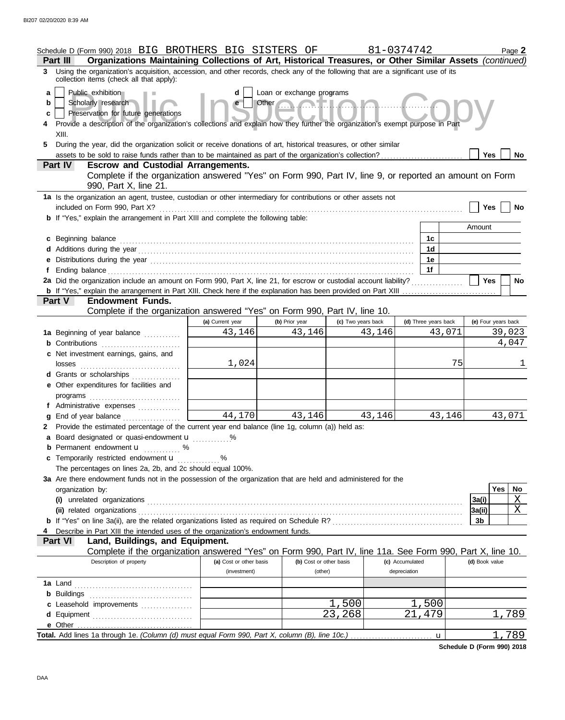|                   | Schedule D (Form 990) 2018 BIG BROTHERS BIG SISTERS OF<br>Part III                                                                                                                                                                                                                                                                                                                                                 |                         |                         |                    | 81-0374742           | Page 2              |  |  |
|-------------------|--------------------------------------------------------------------------------------------------------------------------------------------------------------------------------------------------------------------------------------------------------------------------------------------------------------------------------------------------------------------------------------------------------------------|-------------------------|-------------------------|--------------------|----------------------|---------------------|--|--|
|                   | Organizations Maintaining Collections of Art, Historical Treasures, or Other Similar Assets (continued)<br>3 Using the organization's acquisition, accession, and other records, check any of the following that are a significant use of its<br>collection items (check all that apply):                                                                                                                          |                         |                         |                    |                      |                     |  |  |
| a<br>b<br>С<br>5. | Public exhibition<br>Loan or exchange programs<br>d<br>Other $\bigcap_{n=1}^{\infty}$<br>Scholarly research<br>Preservation for future generations<br>Provide a description of the organization's collections and explain how they further the organization's exempt purpose in Part<br>XIII.<br>During the year, did the organization solicit or receive donations of art, historical treasures, or other similar |                         |                         |                    |                      |                     |  |  |
|                   | assets to be sold to raise funds rather than to be maintained as part of the organization's collection?                                                                                                                                                                                                                                                                                                            |                         |                         |                    |                      | Yes<br>No           |  |  |
|                   | <b>Escrow and Custodial Arrangements.</b><br><b>Part IV</b>                                                                                                                                                                                                                                                                                                                                                        |                         |                         |                    |                      |                     |  |  |
|                   | Complete if the organization answered "Yes" on Form 990, Part IV, line 9, or reported an amount on Form<br>990, Part X, line 21.                                                                                                                                                                                                                                                                                   |                         |                         |                    |                      |                     |  |  |
|                   | 1a Is the organization an agent, trustee, custodian or other intermediary for contributions or other assets not                                                                                                                                                                                                                                                                                                    |                         |                         |                    |                      |                     |  |  |
|                   | included on Form 990, Part X?<br><b>b</b> If "Yes," explain the arrangement in Part XIII and complete the following table:                                                                                                                                                                                                                                                                                         |                         |                         |                    |                      | Yes<br>No           |  |  |
|                   |                                                                                                                                                                                                                                                                                                                                                                                                                    |                         |                         |                    |                      | Amount              |  |  |
|                   | c Beginning balance                                                                                                                                                                                                                                                                                                                                                                                                |                         |                         |                    | 1c                   |                     |  |  |
|                   |                                                                                                                                                                                                                                                                                                                                                                                                                    |                         |                         |                    | 1d                   |                     |  |  |
|                   |                                                                                                                                                                                                                                                                                                                                                                                                                    |                         |                         |                    | 1e                   |                     |  |  |
| Ť.                |                                                                                                                                                                                                                                                                                                                                                                                                                    |                         |                         |                    | 1f                   |                     |  |  |
|                   | 2a Did the organization include an amount on Form 990, Part X, line 21, for escrow or custodial account liability?                                                                                                                                                                                                                                                                                                 |                         |                         |                    |                      | <b>Yes</b><br>No    |  |  |
|                   |                                                                                                                                                                                                                                                                                                                                                                                                                    |                         |                         |                    |                      |                     |  |  |
|                   | <b>Endowment Funds.</b><br><b>Part V</b><br>Complete if the organization answered "Yes" on Form 990, Part IV, line 10.                                                                                                                                                                                                                                                                                             |                         |                         |                    |                      |                     |  |  |
|                   |                                                                                                                                                                                                                                                                                                                                                                                                                    | (a) Current year        | (b) Prior year          | (c) Two years back | (d) Three years back | (e) Four years back |  |  |
|                   | 1a Beginning of year balance                                                                                                                                                                                                                                                                                                                                                                                       | 43,146                  | 43,146                  | 43,146             |                      | 43,071<br>39,023    |  |  |
|                   |                                                                                                                                                                                                                                                                                                                                                                                                                    |                         |                         |                    |                      | 4,047               |  |  |
|                   | c Net investment earnings, gains, and                                                                                                                                                                                                                                                                                                                                                                              | 1,024                   |                         |                    |                      | 75                  |  |  |
|                   | d Grants or scholarships                                                                                                                                                                                                                                                                                                                                                                                           |                         |                         |                    |                      |                     |  |  |
|                   | e Other expenditures for facilities and                                                                                                                                                                                                                                                                                                                                                                            |                         |                         |                    |                      |                     |  |  |
|                   |                                                                                                                                                                                                                                                                                                                                                                                                                    |                         |                         |                    |                      |                     |  |  |
|                   | f Administrative expenses                                                                                                                                                                                                                                                                                                                                                                                          | $\overline{44}$ , 170   | 43,146                  |                    |                      |                     |  |  |
| g                 | End of year balance<br>2 Provide the estimated percentage of the current year end balance (line 1g, column (a)) held as:                                                                                                                                                                                                                                                                                           |                         |                         | 43,146             |                      | 43,146<br>43,071    |  |  |
|                   | a Board designated or quasi-endowment u                                                                                                                                                                                                                                                                                                                                                                            |                         |                         |                    |                      |                     |  |  |
|                   | <b>b</b> Permanent endowment <b>u</b> %                                                                                                                                                                                                                                                                                                                                                                            |                         |                         |                    |                      |                     |  |  |
|                   | c Temporarily restricted endowment <b>u</b> %                                                                                                                                                                                                                                                                                                                                                                      |                         |                         |                    |                      |                     |  |  |
|                   | The percentages on lines 2a, 2b, and 2c should equal 100%.                                                                                                                                                                                                                                                                                                                                                         |                         |                         |                    |                      |                     |  |  |
|                   | 3a Are there endowment funds not in the possession of the organization that are held and administered for the                                                                                                                                                                                                                                                                                                      |                         |                         |                    |                      |                     |  |  |
|                   | organization by:                                                                                                                                                                                                                                                                                                                                                                                                   |                         |                         |                    |                      | Yes<br>No           |  |  |
|                   |                                                                                                                                                                                                                                                                                                                                                                                                                    |                         |                         |                    |                      | Χ<br>3a(i)          |  |  |
|                   |                                                                                                                                                                                                                                                                                                                                                                                                                    |                         |                         |                    |                      | X<br> 3a(i)         |  |  |
|                   | Describe in Part XIII the intended uses of the organization's endowment funds.                                                                                                                                                                                                                                                                                                                                     |                         |                         |                    |                      | 3b                  |  |  |
|                   | Land, Buildings, and Equipment.<br><b>Part VI</b>                                                                                                                                                                                                                                                                                                                                                                  |                         |                         |                    |                      |                     |  |  |
|                   | Complete if the organization answered "Yes" on Form 990, Part IV, line 11a. See Form 990, Part X, line 10.                                                                                                                                                                                                                                                                                                         |                         |                         |                    |                      |                     |  |  |
|                   | Description of property                                                                                                                                                                                                                                                                                                                                                                                            | (a) Cost or other basis | (b) Cost or other basis |                    | (c) Accumulated      | (d) Book value      |  |  |
|                   |                                                                                                                                                                                                                                                                                                                                                                                                                    | (investment)            | (other)                 |                    | depreciation         |                     |  |  |
|                   |                                                                                                                                                                                                                                                                                                                                                                                                                    |                         |                         |                    |                      |                     |  |  |
|                   |                                                                                                                                                                                                                                                                                                                                                                                                                    |                         |                         |                    |                      |                     |  |  |
|                   | c Leasehold improvements                                                                                                                                                                                                                                                                                                                                                                                           |                         |                         | 500                | 500<br>21            |                     |  |  |
|                   |                                                                                                                                                                                                                                                                                                                                                                                                                    |                         |                         | 23,268             | 479                  | 1,789               |  |  |
|                   | Total. Add lines 1a through 1e. (Column (d) must equal Form 990, Part X, column (B), line 10c.)                                                                                                                                                                                                                                                                                                                    |                         |                         |                    | u                    | 1,789               |  |  |

**Schedule D (Form 990) 2018**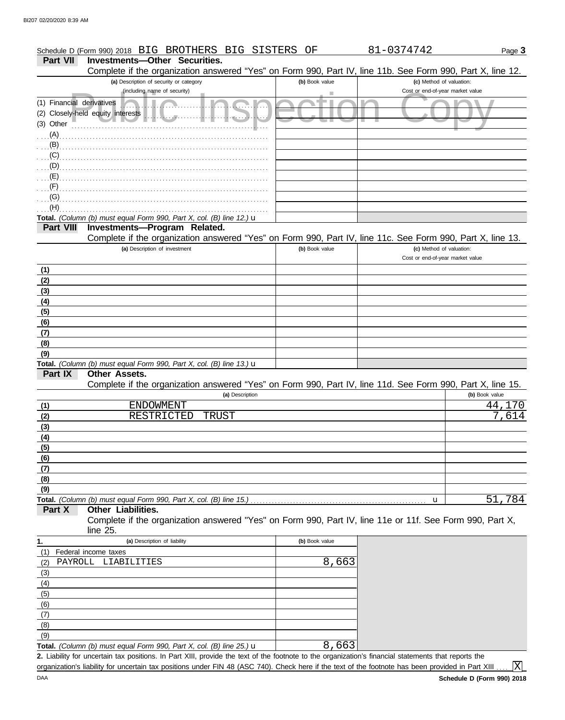## Schedule D (Form 990) 2018 BIG BROTHERS BIG SISTERS OF 81-0374742

Page **3**

**Part VII Investments—Other Securities.**

|                           | Complete if the organization answered "Yes" on Form 990, Part IV, line 11b. See Form 990, Part X, line 12. |                |                                  |                     |
|---------------------------|------------------------------------------------------------------------------------------------------------|----------------|----------------------------------|---------------------|
|                           | (a) Description of security or category                                                                    | (b) Book value | (c) Method of valuation:         |                     |
|                           | (including name of security)                                                                               | ٠              | Cost or end-of-year market value |                     |
| (1) Financial derivatives |                                                                                                            |                |                                  |                     |
|                           | (2) Closely-held equity interests<br>الله.<br>.                                                            |                |                                  |                     |
| (3) Other                 |                                                                                                            |                |                                  |                     |
| $(A)$ .                   |                                                                                                            |                |                                  |                     |
| $(B)$ .                   |                                                                                                            |                |                                  |                     |
| (C)                       |                                                                                                            |                |                                  |                     |
| (D)                       |                                                                                                            |                |                                  |                     |
| $(E)$                     |                                                                                                            |                |                                  |                     |
| $(F)$ .                   |                                                                                                            |                |                                  |                     |
| (G)                       |                                                                                                            |                |                                  |                     |
| (H)                       |                                                                                                            |                |                                  |                     |
|                           | Total. (Column (b) must equal Form 990, Part X, col. (B) line 12.) u                                       |                |                                  |                     |
| Part VIII                 | Investments-Program Related.                                                                               |                |                                  |                     |
|                           | Complete if the organization answered "Yes" on Form 990, Part IV, line 11c. See Form 990, Part X, line 13. |                |                                  |                     |
|                           | (a) Description of investment                                                                              | (b) Book value | (c) Method of valuation:         |                     |
|                           |                                                                                                            |                | Cost or end-of-year market value |                     |
| (1)                       |                                                                                                            |                |                                  |                     |
| (2)                       |                                                                                                            |                |                                  |                     |
|                           |                                                                                                            |                |                                  |                     |
| (3)                       |                                                                                                            |                |                                  |                     |
| (4)                       |                                                                                                            |                |                                  |                     |
| (5)                       |                                                                                                            |                |                                  |                     |
| (6)                       |                                                                                                            |                |                                  |                     |
| (7)                       |                                                                                                            |                |                                  |                     |
| (8)                       |                                                                                                            |                |                                  |                     |
| (9)                       |                                                                                                            |                |                                  |                     |
|                           | Total. (Column (b) must equal Form 990, Part X, col. (B) line 13.) u                                       |                |                                  |                     |
| Part IX                   | Other Assets.                                                                                              |                |                                  |                     |
|                           | Complete if the organization answered "Yes" on Form 990, Part IV, line 11d. See Form 990, Part X, line 15. |                |                                  |                     |
|                           | (a) Description                                                                                            |                |                                  | (b) Book value      |
| (1)                       | <b>ENDOWMENT</b>                                                                                           |                |                                  | 44,170              |
| (2)                       | RESTRICTED<br>TRUST                                                                                        |                |                                  | $\overline{7}$ ,614 |
| (3)                       |                                                                                                            |                |                                  |                     |
| (4)                       |                                                                                                            |                |                                  |                     |
| (5)                       |                                                                                                            |                |                                  |                     |
| (6)                       |                                                                                                            |                |                                  |                     |
| (7)                       |                                                                                                            |                |                                  |                     |
| (8)                       |                                                                                                            |                |                                  |                     |
| (9)                       |                                                                                                            |                |                                  |                     |
|                           | Total. (Column (b) must equal Form 990, Part X, col. (B) line 15.)                                         |                | u                                | 51,784              |
| Part X                    | Other Liabilities.                                                                                         |                |                                  |                     |
|                           | Complete if the organization answered "Yes" on Form 990, Part IV, line 11e or 11f. See Form 990, Part X,   |                |                                  |                     |
|                           | line $25$ .                                                                                                |                |                                  |                     |
| 1.                        | (a) Description of liability                                                                               | (b) Book value |                                  |                     |
| (1)                       | Federal income taxes                                                                                       |                |                                  |                     |
| PAYROLL<br>(2)            | LIABILITIES                                                                                                | 8,663          |                                  |                     |
| (3)                       |                                                                                                            |                |                                  |                     |
| (4)                       |                                                                                                            |                |                                  |                     |
| (5)                       |                                                                                                            |                |                                  |                     |
| (6)                       |                                                                                                            |                |                                  |                     |
| (7)                       |                                                                                                            |                |                                  |                     |
| (8)                       |                                                                                                            |                |                                  |                     |
| (9)                       |                                                                                                            |                |                                  |                     |

**Total.** *(Column (b) must equal Form 990, Part X, col. (B) line 25.)* u

Liability for uncertain tax positions. In Part XIII, provide the text of the footnote to the organization's financial statements that reports the **2.** organization's liability for uncertain tax positions under FIN 48 (ASC 740). Check here if the text of the footnote has been provided in Part XIII.

8,663

 $\mathbf{X}$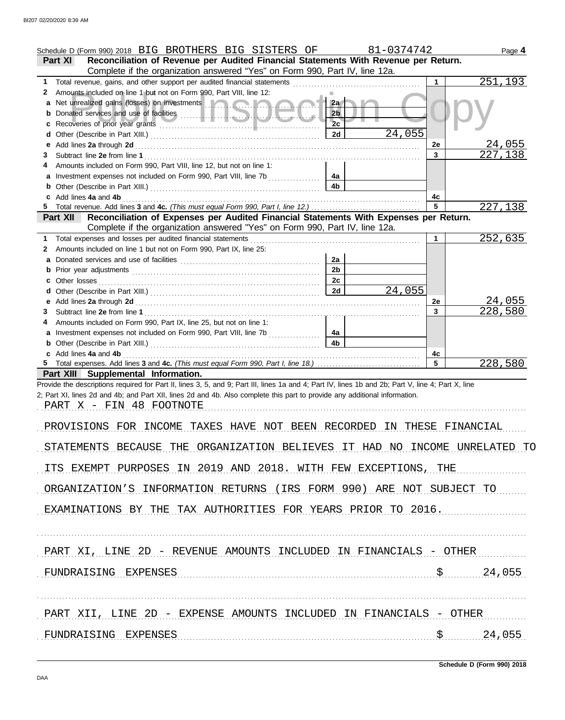|         | Schedule D (Form 990) 2018 BIG BROTHERS BIG SISTERS OF                                                                                                                                                                                                                           |                      | 81-0374742 |                | Page 4        |
|---------|----------------------------------------------------------------------------------------------------------------------------------------------------------------------------------------------------------------------------------------------------------------------------------|----------------------|------------|----------------|---------------|
| Part XI | Reconciliation of Revenue per Audited Financial Statements With Revenue per Return.                                                                                                                                                                                              |                      |            |                |               |
|         | Complete if the organization answered "Yes" on Form 990, Part IV, line 12a.                                                                                                                                                                                                      |                      |            |                |               |
| 1.      | Total revenue, gains, and other support per audited financial statements [                                                                                                                                                                                                       |                      |            | 1              | 251,193       |
| 2       | Amounts included on line 1 but not on Form 990, Part VIII, line 12:                                                                                                                                                                                                              |                      |            |                |               |
| a       | Net unrealized gains (losses) on investments <b>and a state of the state of the state of the state of the state of the state of the state of the state of the state of the state of the state of the state of the state of the s</b>                                             | 2a                   |            |                |               |
|         |                                                                                                                                                                                                                                                                                  | 2 <sub>b</sub>       |            |                |               |
|         |                                                                                                                                                                                                                                                                                  | 2c                   |            |                |               |
|         |                                                                                                                                                                                                                                                                                  | 2d                   | 24,055     |                |               |
| е       |                                                                                                                                                                                                                                                                                  |                      |            | 2e             | 24,055        |
| 3       |                                                                                                                                                                                                                                                                                  |                      |            | $\overline{3}$ | 227,138       |
|         | Amounts included on Form 990, Part VIII, line 12, but not on line 1:                                                                                                                                                                                                             |                      |            |                |               |
|         | a Investment expenses not included on Form 990, Part VIII, line 7b                                                                                                                                                                                                               | 4а                   |            |                |               |
|         |                                                                                                                                                                                                                                                                                  | 4 <sub>b</sub>       |            |                |               |
|         | Add lines 4a and 4b                                                                                                                                                                                                                                                              |                      |            | 4c             |               |
|         |                                                                                                                                                                                                                                                                                  |                      |            | 5              | 227,138       |
|         | Reconciliation of Expenses per Audited Financial Statements With Expenses per Return.<br><b>Part XII</b>                                                                                                                                                                         |                      |            |                |               |
|         | Complete if the organization answered "Yes" on Form 990, Part IV, line 12a.                                                                                                                                                                                                      |                      |            |                |               |
| 1.      | Total expenses and losses per audited financial statements                                                                                                                                                                                                                       |                      |            | 1              | 252,635       |
| 2       | Amounts included on line 1 but not on Form 990, Part IX, line 25:                                                                                                                                                                                                                |                      |            |                |               |
|         |                                                                                                                                                                                                                                                                                  | 2a<br>2 <sub>b</sub> |            |                |               |
|         |                                                                                                                                                                                                                                                                                  | 2c                   |            |                |               |
|         |                                                                                                                                                                                                                                                                                  | 2d                   | 24,055     |                |               |
| е       |                                                                                                                                                                                                                                                                                  |                      |            | <b>2e</b>      | <u>24,055</u> |
| 3       | Add lines 2a through 2d [[11] Add [11] Add lines 2a through 2d [11] Add lines 2a through 2d [11] Add lines 2a through 2d [11] Add and the state of the state of the state of the state of the state of the state of the state                                                    |                      |            | $\mathbf{3}$   | 228,580       |
|         | Amounts included on Form 990, Part IX, line 25, but not on line 1:                                                                                                                                                                                                               |                      |            |                |               |
|         |                                                                                                                                                                                                                                                                                  |                      |            |                |               |
|         |                                                                                                                                                                                                                                                                                  |                      |            |                |               |
|         | Investment expenses not included on Form 990, Part VIII, line 7b                                                                                                                                                                                                                 | 4а                   |            |                |               |
|         | <b>b</b> Other (Describe in Part XIII.) <b>CONSIDENT DESCRIPTION DESCRIPTION DESCRIPTION DESCRIPTION DESCRIPTION DESCRIPTION DESCRIPTION DESCRIPTION DESCRIPTION DESCRIPTION DESCRIPTION DESCRIPTION DESCRI</b>                                                                  | 4 <sub>b</sub>       |            |                |               |
|         | c Add lines 4a and 4b                                                                                                                                                                                                                                                            |                      |            | 4c<br>5        |               |
|         |                                                                                                                                                                                                                                                                                  |                      |            |                | 228,580       |
|         | Part XIII Supplemental Information.                                                                                                                                                                                                                                              |                      |            |                |               |
|         | Provide the descriptions required for Part II, lines 3, 5, and 9; Part III, lines 1a and 4; Part IV, lines 1b and 2b; Part V, line 4; Part X, line<br>2; Part XI, lines 2d and 4b; and Part XII, lines 2d and 4b. Also complete this part to provide any additional information. |                      |            |                |               |
|         |                                                                                                                                                                                                                                                                                  |                      |            |                |               |
|         | PART X - FIN 48 FOOTNOTE                                                                                                                                                                                                                                                         |                      |            |                |               |
|         | PROVISIONS FOR INCOME TAXES HAVE NOT BEEN RECORDED IN THESE FINANCIAL                                                                                                                                                                                                            |                      |            |                |               |
|         |                                                                                                                                                                                                                                                                                  |                      |            |                |               |
|         | STATEMENTS BECAUSE THE<br>ORGANIZATION BELIEVES IT HAD NO INCOME UNRELATED TO                                                                                                                                                                                                    |                      |            |                |               |
|         |                                                                                                                                                                                                                                                                                  |                      |            |                |               |
|         | ITS EXEMPT PURPOSES IN 2019 AND 2018. WITH FEW EXCEPTIONS, THE                                                                                                                                                                                                                   |                      |            |                |               |
|         |                                                                                                                                                                                                                                                                                  |                      |            |                |               |
|         | ORGANIZATION'S INFORMATION RETURNS (IRS FORM 990) ARE NOT SUBJECT TO                                                                                                                                                                                                             |                      |            |                |               |
|         |                                                                                                                                                                                                                                                                                  |                      |            |                |               |
|         | EXAMINATIONS BY THE TAX AUTHORITIES FOR YEARS PRIOR TO 2016.                                                                                                                                                                                                                     |                      |            |                |               |
|         |                                                                                                                                                                                                                                                                                  |                      |            |                |               |
|         |                                                                                                                                                                                                                                                                                  |                      |            |                |               |
|         |                                                                                                                                                                                                                                                                                  |                      |            |                |               |
|         | PART XI, LINE 2D - REVENUE AMOUNTS INCLUDED IN FINANCIALS - OTHER                                                                                                                                                                                                                |                      |            |                |               |
|         |                                                                                                                                                                                                                                                                                  |                      |            |                |               |
|         | FUNDRAISING EXPENSES                                                                                                                                                                                                                                                             |                      |            |                | 24,055        |
|         |                                                                                                                                                                                                                                                                                  |                      |            |                |               |
|         |                                                                                                                                                                                                                                                                                  |                      |            |                |               |
|         |                                                                                                                                                                                                                                                                                  |                      |            |                |               |
|         | PART XII, LINE 2D - EXPENSE AMOUNTS INCLUDED IN FINANCIALS - OTHER                                                                                                                                                                                                               |                      |            |                |               |
|         | FUNDRAISING EXPENSES                                                                                                                                                                                                                                                             |                      |            |                | 24,055        |

**Schedule D (Form 990) 2018**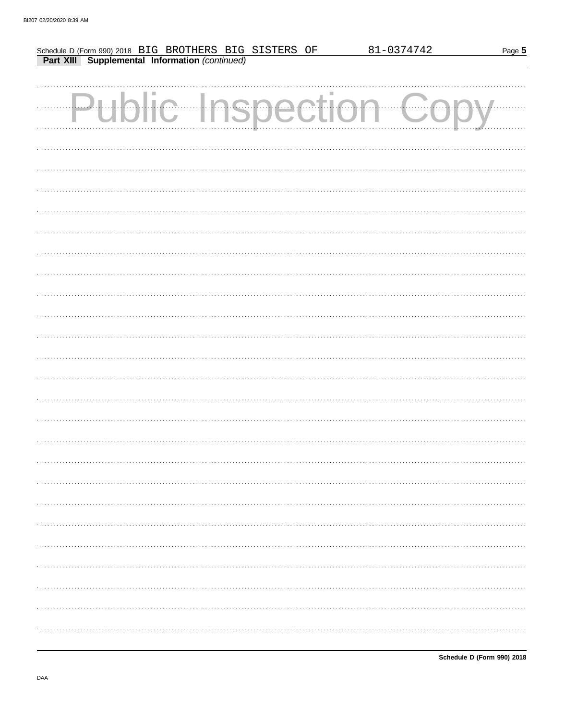|  |  |                                                                                                       |  | 81-0374742    | Page 5 |
|--|--|-------------------------------------------------------------------------------------------------------|--|---------------|--------|
|  |  | Schedule D (Form 990) 2018 BIG BROTHERS BIG SISTERS OF Part XIII Supplemental Information (continued) |  |               |        |
|  |  |                                                                                                       |  |               |        |
|  |  |                                                                                                       |  |               |        |
|  |  | c Inspection                                                                                          |  | $\frac{1}{2}$ |        |
|  |  |                                                                                                       |  |               |        |
|  |  |                                                                                                       |  |               |        |
|  |  |                                                                                                       |  |               |        |
|  |  |                                                                                                       |  |               |        |
|  |  |                                                                                                       |  |               |        |
|  |  |                                                                                                       |  |               |        |
|  |  |                                                                                                       |  |               |        |
|  |  |                                                                                                       |  |               |        |
|  |  |                                                                                                       |  |               |        |
|  |  |                                                                                                       |  |               |        |
|  |  |                                                                                                       |  |               |        |
|  |  |                                                                                                       |  |               |        |
|  |  |                                                                                                       |  |               |        |
|  |  |                                                                                                       |  |               |        |
|  |  |                                                                                                       |  |               |        |
|  |  |                                                                                                       |  |               |        |
|  |  |                                                                                                       |  |               |        |
|  |  |                                                                                                       |  |               |        |
|  |  |                                                                                                       |  |               |        |
|  |  |                                                                                                       |  |               |        |
|  |  |                                                                                                       |  |               |        |
|  |  |                                                                                                       |  |               |        |
|  |  |                                                                                                       |  |               |        |
|  |  |                                                                                                       |  |               |        |
|  |  |                                                                                                       |  |               |        |
|  |  |                                                                                                       |  |               |        |
|  |  |                                                                                                       |  |               |        |
|  |  |                                                                                                       |  |               |        |
|  |  |                                                                                                       |  |               |        |
|  |  |                                                                                                       |  |               |        |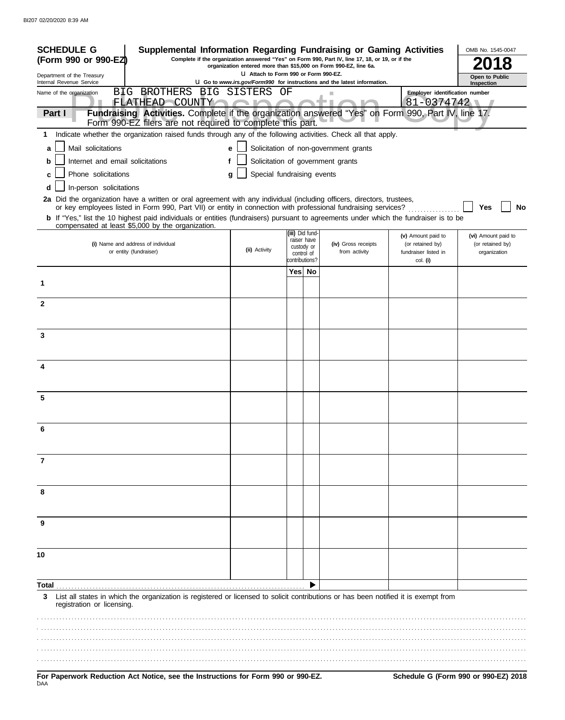| <b>SCHEDULE G</b>                                                                                                                                                                           | Supplemental Information Regarding Fundraising or Gaming Activities                                                                                                                                                                                            |                                      |    |                                |                                                                          |                                        | OMB No. 1545-0047                       |
|---------------------------------------------------------------------------------------------------------------------------------------------------------------------------------------------|----------------------------------------------------------------------------------------------------------------------------------------------------------------------------------------------------------------------------------------------------------------|--------------------------------------|----|--------------------------------|--------------------------------------------------------------------------|----------------------------------------|-----------------------------------------|
| Complete if the organization answered "Yes" on Form 990, Part IV, line 17, 18, or 19, or if the<br>(Form 990 or 990-EZ)<br>organization entered more than \$15,000 on Form 990-EZ, line 6a. |                                                                                                                                                                                                                                                                |                                      |    |                                |                                                                          |                                        |                                         |
| Department of the Treasury<br>Internal Revenue Service                                                                                                                                      |                                                                                                                                                                                                                                                                | U Attach to Form 990 or Form 990-EZ. |    |                                | U Go to www.irs.gov/Form990 for instructions and the latest information. |                                        | Open to Public<br>Inspection            |
| Name of the organization                                                                                                                                                                    | BIG BROTHERS BIG SISTERS                                                                                                                                                                                                                                       |                                      | OF |                                | H.                                                                       | Employer identification number         |                                         |
| Part I                                                                                                                                                                                      | FLATHEAD COUNTY<br>Fundraising Activities. Complete if the organization answered "Yes" on Form 990, Part IV, line 17.                                                                                                                                          |                                      |    |                                |                                                                          | 81-0374742                             |                                         |
|                                                                                                                                                                                             | Form 990-EZ filers are not required to complete this part.                                                                                                                                                                                                     |                                      |    |                                |                                                                          |                                        |                                         |
| 1.                                                                                                                                                                                          | Indicate whether the organization raised funds through any of the following activities. Check all that apply.                                                                                                                                                  |                                      |    |                                |                                                                          |                                        |                                         |
| Mail solicitations<br>a                                                                                                                                                                     |                                                                                                                                                                                                                                                                | е                                    |    |                                | Solicitation of non-government grants                                    |                                        |                                         |
| Internet and email solicitations<br>b                                                                                                                                                       |                                                                                                                                                                                                                                                                | f                                    |    |                                | Solicitation of government grants                                        |                                        |                                         |
| Phone solicitations<br>c                                                                                                                                                                    |                                                                                                                                                                                                                                                                | Special fundraising events<br>g      |    |                                |                                                                          |                                        |                                         |
| In-person solicitations<br>d                                                                                                                                                                |                                                                                                                                                                                                                                                                |                                      |    |                                |                                                                          |                                        |                                         |
|                                                                                                                                                                                             | 2a Did the organization have a written or oral agreement with any individual (including officers, directors, trustees,                                                                                                                                         |                                      |    |                                |                                                                          |                                        |                                         |
|                                                                                                                                                                                             | or key employees listed in Form 990, Part VII) or entity in connection with professional fundraising services?<br><b>b</b> If "Yes," list the 10 highest paid individuals or entities (fundraisers) pursuant to agreements under which the fundraiser is to be |                                      |    |                                |                                                                          |                                        | Yes<br>No                               |
|                                                                                                                                                                                             | compensated at least \$5,000 by the organization.                                                                                                                                                                                                              |                                      |    |                                |                                                                          |                                        |                                         |
|                                                                                                                                                                                             | (i) Name and address of individual                                                                                                                                                                                                                             |                                      |    | (iii) Did fund-<br>raiser have | (iv) Gross receipts                                                      | (v) Amount paid to<br>(or retained by) | (vi) Amount paid to<br>(or retained by) |
|                                                                                                                                                                                             | or entity (fundraiser)                                                                                                                                                                                                                                         | (ii) Activity                        |    | custody or<br>control of       | from activity                                                            | fundraiser listed in                   | organization                            |
|                                                                                                                                                                                             |                                                                                                                                                                                                                                                                |                                      |    | :ontributions?                 |                                                                          | col. (i)                               |                                         |
| 1                                                                                                                                                                                           |                                                                                                                                                                                                                                                                |                                      |    | Yes  No                        |                                                                          |                                        |                                         |
|                                                                                                                                                                                             |                                                                                                                                                                                                                                                                |                                      |    |                                |                                                                          |                                        |                                         |
| $\mathbf{2}$                                                                                                                                                                                |                                                                                                                                                                                                                                                                |                                      |    |                                |                                                                          |                                        |                                         |
|                                                                                                                                                                                             |                                                                                                                                                                                                                                                                |                                      |    |                                |                                                                          |                                        |                                         |
| 3                                                                                                                                                                                           |                                                                                                                                                                                                                                                                |                                      |    |                                |                                                                          |                                        |                                         |
|                                                                                                                                                                                             |                                                                                                                                                                                                                                                                |                                      |    |                                |                                                                          |                                        |                                         |
|                                                                                                                                                                                             |                                                                                                                                                                                                                                                                |                                      |    |                                |                                                                          |                                        |                                         |
| 4                                                                                                                                                                                           |                                                                                                                                                                                                                                                                |                                      |    |                                |                                                                          |                                        |                                         |
|                                                                                                                                                                                             |                                                                                                                                                                                                                                                                |                                      |    |                                |                                                                          |                                        |                                         |
| 5                                                                                                                                                                                           |                                                                                                                                                                                                                                                                |                                      |    |                                |                                                                          |                                        |                                         |
|                                                                                                                                                                                             |                                                                                                                                                                                                                                                                |                                      |    |                                |                                                                          |                                        |                                         |
| 6                                                                                                                                                                                           |                                                                                                                                                                                                                                                                |                                      |    |                                |                                                                          |                                        |                                         |
|                                                                                                                                                                                             |                                                                                                                                                                                                                                                                |                                      |    |                                |                                                                          |                                        |                                         |
|                                                                                                                                                                                             |                                                                                                                                                                                                                                                                |                                      |    |                                |                                                                          |                                        |                                         |
| 7                                                                                                                                                                                           |                                                                                                                                                                                                                                                                |                                      |    |                                |                                                                          |                                        |                                         |
|                                                                                                                                                                                             |                                                                                                                                                                                                                                                                |                                      |    |                                |                                                                          |                                        |                                         |
| 8                                                                                                                                                                                           |                                                                                                                                                                                                                                                                |                                      |    |                                |                                                                          |                                        |                                         |
|                                                                                                                                                                                             |                                                                                                                                                                                                                                                                |                                      |    |                                |                                                                          |                                        |                                         |
| 9                                                                                                                                                                                           |                                                                                                                                                                                                                                                                |                                      |    |                                |                                                                          |                                        |                                         |
|                                                                                                                                                                                             |                                                                                                                                                                                                                                                                |                                      |    |                                |                                                                          |                                        |                                         |
|                                                                                                                                                                                             |                                                                                                                                                                                                                                                                |                                      |    |                                |                                                                          |                                        |                                         |
| 10                                                                                                                                                                                          |                                                                                                                                                                                                                                                                |                                      |    |                                |                                                                          |                                        |                                         |
|                                                                                                                                                                                             |                                                                                                                                                                                                                                                                |                                      |    |                                |                                                                          |                                        |                                         |
| Total                                                                                                                                                                                       |                                                                                                                                                                                                                                                                |                                      |    |                                |                                                                          |                                        |                                         |
| 3<br>registration or licensing.                                                                                                                                                             | List all states in which the organization is registered or licensed to solicit contributions or has been notified it is exempt from                                                                                                                            |                                      |    |                                |                                                                          |                                        |                                         |
|                                                                                                                                                                                             |                                                                                                                                                                                                                                                                |                                      |    |                                |                                                                          |                                        |                                         |
|                                                                                                                                                                                             |                                                                                                                                                                                                                                                                |                                      |    |                                |                                                                          |                                        |                                         |
|                                                                                                                                                                                             |                                                                                                                                                                                                                                                                |                                      |    |                                |                                                                          |                                        |                                         |
|                                                                                                                                                                                             |                                                                                                                                                                                                                                                                |                                      |    |                                |                                                                          |                                        |                                         |
|                                                                                                                                                                                             | For Panerwork Reduction Act Notice, see the Instructions for Form 990 or 990-F7                                                                                                                                                                                |                                      |    |                                |                                                                          |                                        | Schedule G (Form 990 or 990-F7) 2018    |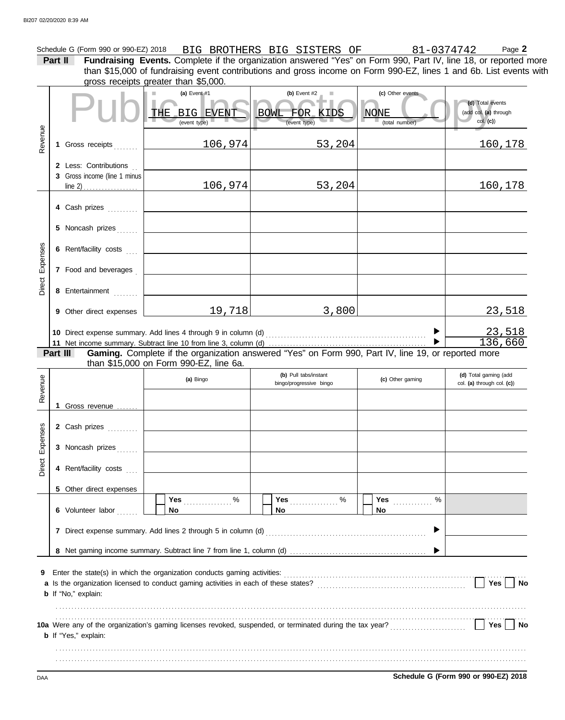|                 |         | Schedule G (Form 990 or 990-EZ) 2018                  |                                                                                                                                               | BIG BROTHERS BIG SISTERS OF                          |                                                   | 81-0374742<br>Page 2                                  |
|-----------------|---------|-------------------------------------------------------|-----------------------------------------------------------------------------------------------------------------------------------------------|------------------------------------------------------|---------------------------------------------------|-------------------------------------------------------|
|                 | Part II |                                                       | Fundraising Events. Complete if the organization answered "Yes" on Form 990, Part IV, line 18, or reported more                               |                                                      |                                                   |                                                       |
|                 |         |                                                       | than \$15,000 of fundraising event contributions and gross income on Form 990-EZ, lines 1 and 6b. List events with                            |                                                      |                                                   |                                                       |
|                 |         |                                                       | gross receipts greater than \$5,000.                                                                                                          |                                                      |                                                   |                                                       |
|                 |         |                                                       | (a) Event#1<br>THE BIG EVENT<br>(event type)                                                                                                  | (b) Event $#2$<br>п<br>BOWL FOR KIDS<br>(event type) | (c) Other events<br><b>NONE</b><br>(total number) | (d) Total events<br>(add col. (a) through<br>col. (c) |
| Revenue         |         | 1 Gross receipts                                      | 106,974                                                                                                                                       | 53,204                                               |                                                   | 160,178                                               |
|                 |         | 2 Less: Contributions<br>3 Gross income (line 1 minus | 106,974                                                                                                                                       | 53,204                                               |                                                   | 160,178                                               |
|                 |         | 4 Cash prizes                                         |                                                                                                                                               |                                                      |                                                   |                                                       |
|                 |         | 5 Noncash prizes                                      |                                                                                                                                               |                                                      |                                                   |                                                       |
|                 |         | 6 Rent/facility costs                                 |                                                                                                                                               |                                                      |                                                   |                                                       |
| Direct Expenses |         | 7 Food and beverages                                  |                                                                                                                                               |                                                      |                                                   |                                                       |
|                 |         | 8 Entertainment                                       |                                                                                                                                               |                                                      |                                                   |                                                       |
|                 |         | 9 Other direct expenses                               | 19,718                                                                                                                                        | 3,800                                                |                                                   | 23,518                                                |
|                 |         |                                                       |                                                                                                                                               |                                                      | ▶                                                 | $\frac{23,518}{136,660}$                              |
|                 |         |                                                       |                                                                                                                                               |                                                      |                                                   |                                                       |
|                 |         | Part III                                              | Gaming. Complete if the organization answered "Yes" on Form 990, Part IV, line 19, or reported more<br>than \$15,000 on Form 990-EZ, line 6a. |                                                      |                                                   |                                                       |
| Revenue         |         |                                                       | (a) Bingo                                                                                                                                     | (b) Pull tabs/instant<br>bingo/progressive bingo     | (c) Other gaming                                  | (d) Total gaming (add<br>col. (a) through col. (c))   |
|                 |         | 1 Gross revenue                                       |                                                                                                                                               |                                                      |                                                   |                                                       |
|                 |         | 2 Cash prizes                                         |                                                                                                                                               |                                                      |                                                   |                                                       |
| Expenses        |         | 3 Noncash prizes                                      |                                                                                                                                               |                                                      |                                                   |                                                       |
| Direct          |         | 4 Rent/facility costs                                 |                                                                                                                                               |                                                      |                                                   |                                                       |

| 9 Enter the state(s) in which the organization conducts gaming activities:<br>a Is the organization licensed to conduct gaming activities in each of these states?<br>Yes. |                                                                                                                                         |
|----------------------------------------------------------------------------------------------------------------------------------------------------------------------------|-----------------------------------------------------------------------------------------------------------------------------------------|
| <b>Yes</b>                                                                                                                                                                 |                                                                                                                                         |
| <b>b</b> If "Yes," explain:                                                                                                                                                |                                                                                                                                         |
|                                                                                                                                                                            | <b>b</b> If "No," explain:<br>10a Were any of the organization's gaming licenses revoked, suspended, or terminated during the tax year? |

**No**

% %

**Yes** . . . . . . . . . . . . . . . . % **Yes** . . . . . . . . . . . . .

**No**

**7** Direct expense summary. Add lines 2 through 5 in column (d) . . . . . . . . . . . . . . . . . . . . . . . . . . . . . . . . . . . . . . . . . . . . . . . . . . . . .

**Yes** . . . . . . . . . . . . . . . .

**No**

**DAA Schedule G (Form 990 or 990-EZ) 2018** 

 $\blacktriangleright$ 

**6** Volunteer labor .......

**5** Other direct expenses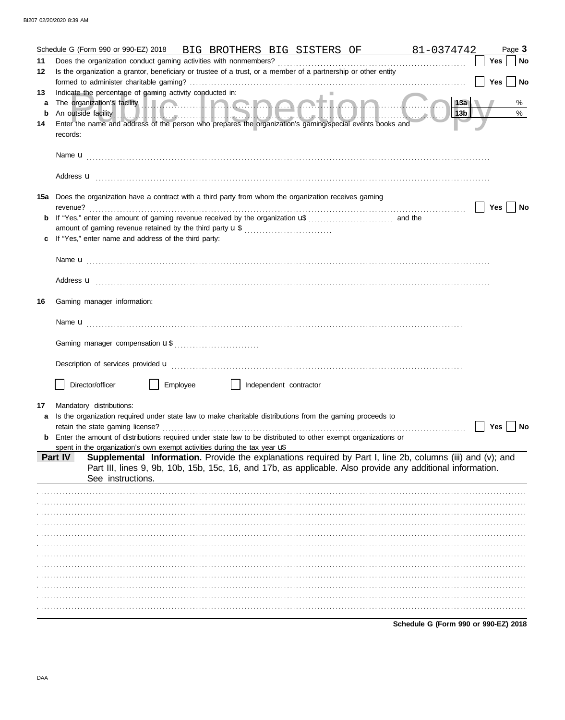|    |          |                                                                                      |          |                        | Schedule G (Form 990 or 990-EZ) 2018 BIG BROTHERS BIG SISTERS OF 81-0374742                                                                                                                                                               |                                      |     |            | Page 3 |
|----|----------|--------------------------------------------------------------------------------------|----------|------------------------|-------------------------------------------------------------------------------------------------------------------------------------------------------------------------------------------------------------------------------------------|--------------------------------------|-----|------------|--------|
| 11 |          |                                                                                      |          |                        |                                                                                                                                                                                                                                           |                                      |     | Yes        | No     |
| 12 |          |                                                                                      |          |                        | Is the organization a grantor, beneficiary or trustee of a trust, or a member of a partnership or other entity                                                                                                                            |                                      |     | <b>Yes</b> | No     |
| 13 |          | Indicate the percentage of gaming activity conducted in:                             |          |                        |                                                                                                                                                                                                                                           |                                      |     |            |        |
| a  |          |                                                                                      |          |                        |                                                                                                                                                                                                                                           |                                      | 13a |            | %      |
| b  |          |                                                                                      |          |                        | An outside facility <b>And the Contract of the Contract of the Contract of Andrew Contract of Andrew Contract of Andrew Contract of Andrew Contract of Andrew Contract of Andrew Contract of Andrew Contract of Andrew Contract </b>      |                                      | 13b |            | $\%$   |
| 14 |          |                                                                                      |          |                        | Enter the name and address of the person who prepares the organization's gaming/special events books and                                                                                                                                  |                                      |     |            |        |
|    | records: |                                                                                      |          |                        |                                                                                                                                                                                                                                           |                                      |     |            |        |
|    |          |                                                                                      |          |                        |                                                                                                                                                                                                                                           |                                      |     |            |        |
|    |          |                                                                                      |          |                        | Address $\mathbf{u}$                                                                                                                                                                                                                      |                                      |     |            |        |
|    |          |                                                                                      |          |                        | 15a Does the organization have a contract with a third party from whom the organization receives gaming                                                                                                                                   |                                      |     | Yes        | No     |
| b  |          |                                                                                      |          |                        |                                                                                                                                                                                                                                           |                                      |     |            |        |
|    |          |                                                                                      |          |                        |                                                                                                                                                                                                                                           |                                      |     |            |        |
|    |          | If "Yes," enter name and address of the third party:                                 |          |                        |                                                                                                                                                                                                                                           |                                      |     |            |        |
|    |          |                                                                                      |          |                        |                                                                                                                                                                                                                                           |                                      |     |            |        |
|    |          |                                                                                      |          |                        |                                                                                                                                                                                                                                           |                                      |     |            |        |
|    |          |                                                                                      |          |                        |                                                                                                                                                                                                                                           |                                      |     |            |        |
|    |          |                                                                                      |          |                        | Address <b>u</b> <u>contractive and the contractive and the contractive and the contractive and the contractive and the contractive and the contractive and contract and contract and contract and contract and contract and contract</u> |                                      |     |            |        |
| 16 |          | Gaming manager information:                                                          |          |                        |                                                                                                                                                                                                                                           |                                      |     |            |        |
|    |          |                                                                                      |          |                        |                                                                                                                                                                                                                                           |                                      |     |            |        |
|    |          |                                                                                      |          |                        |                                                                                                                                                                                                                                           |                                      |     |            |        |
|    |          |                                                                                      |          |                        |                                                                                                                                                                                                                                           |                                      |     |            |        |
|    |          |                                                                                      |          |                        |                                                                                                                                                                                                                                           |                                      |     |            |        |
|    |          | Director/officer                                                                     | Employee | Independent contractor |                                                                                                                                                                                                                                           |                                      |     |            |        |
|    |          |                                                                                      |          |                        |                                                                                                                                                                                                                                           |                                      |     |            |        |
| 17 |          | Mandatory distributions:                                                             |          |                        |                                                                                                                                                                                                                                           |                                      |     |            |        |
| a  |          | retain the state gaming license?                                                     |          |                        | Is the organization required under state law to make charitable distributions from the gaming proceeds to                                                                                                                                 |                                      |     | Yes        | No     |
|    |          |                                                                                      |          |                        | Enter the amount of distributions required under state law to be distributed to other exempt organizations or                                                                                                                             |                                      |     |            |        |
|    |          | spent in the organization's own exempt activities during the tax year $\mathbf{u}^*$ |          |                        |                                                                                                                                                                                                                                           |                                      |     |            |        |
|    | Part IV  | See instructions.                                                                    |          |                        | Supplemental Information. Provide the explanations required by Part I, line 2b, columns (iii) and (v); and<br>Part III, lines 9, 9b, 10b, 15b, 15c, 16, and 17b, as applicable. Also provide any additional information.                  |                                      |     |            |        |
|    |          |                                                                                      |          |                        |                                                                                                                                                                                                                                           |                                      |     |            |        |
|    |          |                                                                                      |          |                        |                                                                                                                                                                                                                                           |                                      |     |            |        |
|    |          |                                                                                      |          |                        |                                                                                                                                                                                                                                           |                                      |     |            |        |
|    |          |                                                                                      |          |                        |                                                                                                                                                                                                                                           |                                      |     |            |        |
|    |          |                                                                                      |          |                        |                                                                                                                                                                                                                                           |                                      |     |            |        |
|    |          |                                                                                      |          |                        |                                                                                                                                                                                                                                           |                                      |     |            |        |
|    |          |                                                                                      |          |                        |                                                                                                                                                                                                                                           |                                      |     |            |        |
|    |          |                                                                                      |          |                        |                                                                                                                                                                                                                                           |                                      |     |            |        |
|    |          |                                                                                      |          |                        |                                                                                                                                                                                                                                           |                                      |     |            |        |
|    |          |                                                                                      |          |                        |                                                                                                                                                                                                                                           |                                      |     |            |        |
|    |          |                                                                                      |          |                        |                                                                                                                                                                                                                                           |                                      |     |            |        |
|    |          |                                                                                      |          |                        |                                                                                                                                                                                                                                           |                                      |     |            |        |
|    |          |                                                                                      |          |                        |                                                                                                                                                                                                                                           | Schedule G (Form 990 or 990-EZ) 2018 |     |            |        |